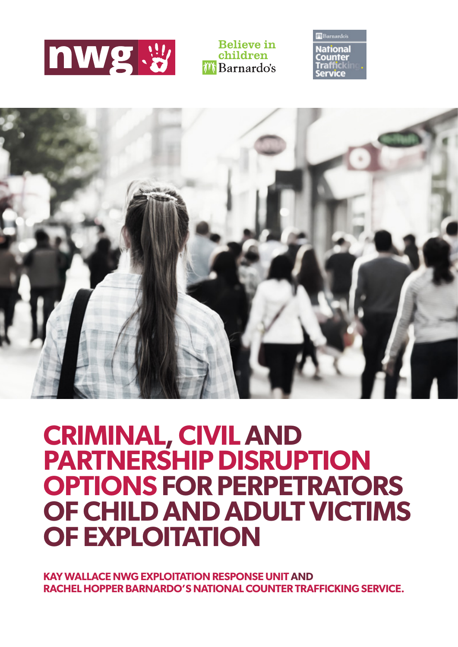

**Believe in** children **in Barnardo's** 





# **CRIMINAL, CIVIL AND PARTNERSHIP DISRUPTION OPTIONS FOR PERPETRATORS OF CHILD AND ADULT VICTIMS OF EXPLOITATION**

**KAY WALLACE NWG EXPLOITATION RESPONSE UNIT AND RACHEL HOPPER BARNARDO'S NATIONAL COUNTER TRAFFICKING SERVICE.**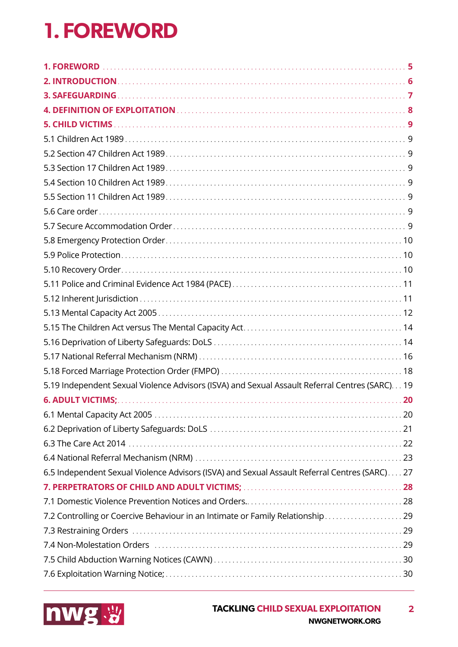# **1. FOREWORD**

| 5.19 Independent Sexual Violence Advisors (ISVA) and Sexual Assault Referral Centres (SARC) 19                 |  |
|----------------------------------------------------------------------------------------------------------------|--|
|                                                                                                                |  |
|                                                                                                                |  |
|                                                                                                                |  |
|                                                                                                                |  |
|                                                                                                                |  |
| 6.5 Independent Sexual Violence Advisors (ISVA) and Sexual Assault Referral Centres (SARC) 27                  |  |
|                                                                                                                |  |
|                                                                                                                |  |
| 7.2 Controlling or Coercive Behaviour in an Intimate or Family Relationship 29                                 |  |
|                                                                                                                |  |
| 7.4 Non-Molestation Orders (and account and account account and account account account account account accoun |  |
|                                                                                                                |  |
|                                                                                                                |  |

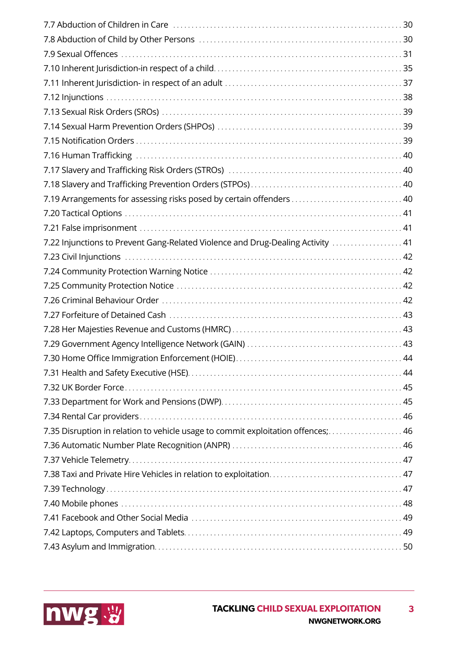| 7.19 Arrangements for assessing risks posed by certain offenders  40             |  |
|----------------------------------------------------------------------------------|--|
|                                                                                  |  |
|                                                                                  |  |
| 7.22 Injunctions to Prevent Gang-Related Violence and Drug-Dealing Activity  41  |  |
|                                                                                  |  |
|                                                                                  |  |
|                                                                                  |  |
|                                                                                  |  |
|                                                                                  |  |
|                                                                                  |  |
|                                                                                  |  |
|                                                                                  |  |
|                                                                                  |  |
|                                                                                  |  |
|                                                                                  |  |
|                                                                                  |  |
| 7.35 Disruption in relation to vehicle usage to commit exploitation offences; 46 |  |
|                                                                                  |  |
|                                                                                  |  |
|                                                                                  |  |
|                                                                                  |  |
|                                                                                  |  |
|                                                                                  |  |
|                                                                                  |  |
|                                                                                  |  |

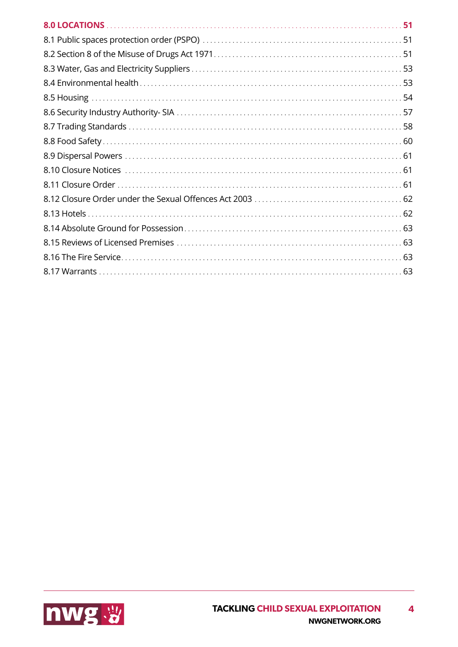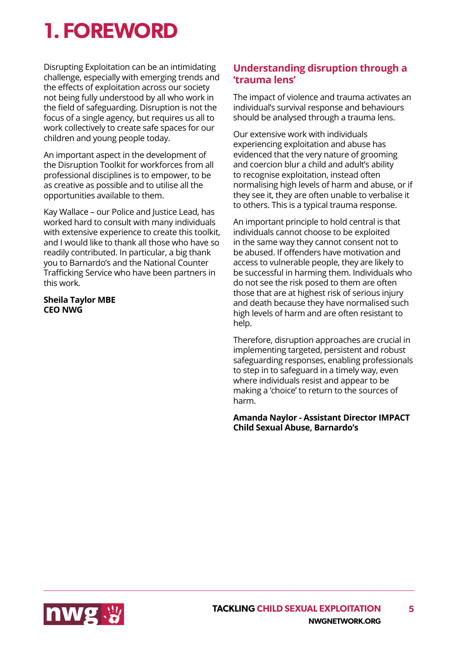# <span id="page-4-0"></span>**1. FOREWORD**

Disrupting Exploitation can be an intimidating challenge, especially with emerging trends and the effects of exploitation across our society not being fully understood by all who work in the field of safeguarding. Disruption is not the focus of a single agency, but requires us all to work collectively to create safe spaces for our children and young people today.

An important aspect in the development of the Disruption Toolkit for workforces from all professional disciplines is to empower, to be as creative as possible and to utilise all the opportunities available to them.

Kay Wallace – our Police and Justice Lead, has worked hard to consult with many individuals with extensive experience to create this toolkit, and I would like to thank all those who have so readily contributed. In particular, a big thank you to Barnardo's and the National Counter Trafficking Service who have been partners in this work.

#### **Sheila Taylor MBE CEO NWG**

# **Understanding disruption through a 'trauma lens'**

The impact of violence and trauma activates an individual's survival response and behaviours should be analysed through a trauma lens.

Our extensive work with individuals experiencing exploitation and abuse has evidenced that the very nature of grooming and coercion blur a child and adult's ability to recognise exploitation, instead often normalising high levels of harm and abuse, or if they see it, they are often unable to verbalise it to others. This is a typical trauma response.

An important principle to hold central is that individuals cannot choose to be exploited in the same way they cannot consent not to be abused. If offenders have motivation and access to vulnerable people, they are likely to be successful in harming them. Individuals who do not see the risk posed to them are often those that are at highest risk of serious injury and death because they have normalised such high levels of harm and are often resistant to help.

Therefore, disruption approaches are crucial in implementing targeted, persistent and robust safeguarding responses, enabling professionals to step in to safeguard in a timely way, even where individuals resist and appear to be making a 'choice' to return to the sources of harm.

**Amanda Naylor - Assistant Director IMPACT Child Sexual Abuse, Barnardo's**

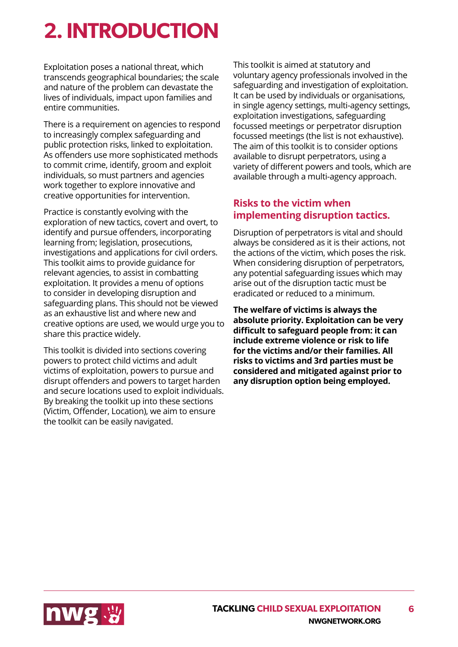# <span id="page-5-0"></span>**2. INTRODUCTION**

Exploitation poses a national threat, which transcends geographical boundaries; the scale and nature of the problem can devastate the lives of individuals, impact upon families and entire communities.

There is a requirement on agencies to respond to increasingly complex safeguarding and public protection risks, linked to exploitation. As offenders use more sophisticated methods to commit crime, identify, groom and exploit individuals, so must partners and agencies work together to explore innovative and creative opportunities for intervention.

Practice is constantly evolving with the exploration of new tactics, covert and overt, to identify and pursue offenders, incorporating learning from; legislation, prosecutions, investigations and applications for civil orders. This toolkit aims to provide guidance for relevant agencies, to assist in combatting exploitation. It provides a menu of options to consider in developing disruption and safeguarding plans. This should not be viewed as an exhaustive list and where new and creative options are used, we would urge you to share this practice widely.

This toolkit is divided into sections covering powers to protect child victims and adult victims of exploitation, powers to pursue and disrupt offenders and powers to target harden and secure locations used to exploit individuals. By breaking the toolkit up into these sections (Victim, Offender, Location), we aim to ensure the toolkit can be easily navigated.

This toolkit is aimed at statutory and voluntary agency professionals involved in the safeguarding and investigation of exploitation. It can be used by individuals or organisations, in single agency settings, multi-agency settings, exploitation investigations, safeguarding focussed meetings or perpetrator disruption focussed meetings (the list is not exhaustive). The aim of this toolkit is to consider options available to disrupt perpetrators, using a variety of different powers and tools, which are available through a multi-agency approach.

# **Risks to the victim when implementing disruption tactics.**

Disruption of perpetrators is vital and should always be considered as it is their actions, not the actions of the victim, which poses the risk. When considering disruption of perpetrators, any potential safeguarding issues which may arise out of the disruption tactic must be eradicated or reduced to a minimum.

**The welfare of victims is always the absolute priority. Exploitation can be very difficult to safeguard people from: it can include extreme violence or risk to life for the victims and/or their families. All risks to victims and 3rd parties must be considered and mitigated against prior to any disruption option being employed.**

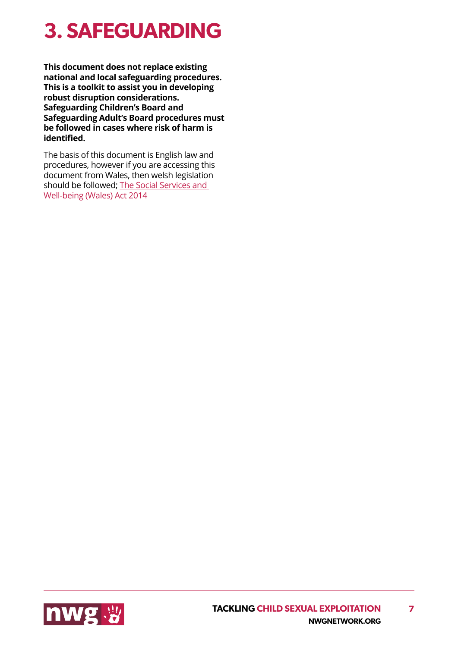# <span id="page-6-0"></span>**3. SAFEGUARDING**

**This document does not replace existing national and local safeguarding procedures. This is a toolkit to assist you in developing robust disruption considerations. Safeguarding Children's Board and Safeguarding Adult's Board procedures must be followed in cases where risk of harm is identified.**

The basis of this document is English law and procedures, however if you are accessing this document from Wales, then welsh legislation should be followed; The Social Services and [Well-being \(Wales\) Act 2014](https://www.legislation.gov.uk/anaw/2014/4/contents)

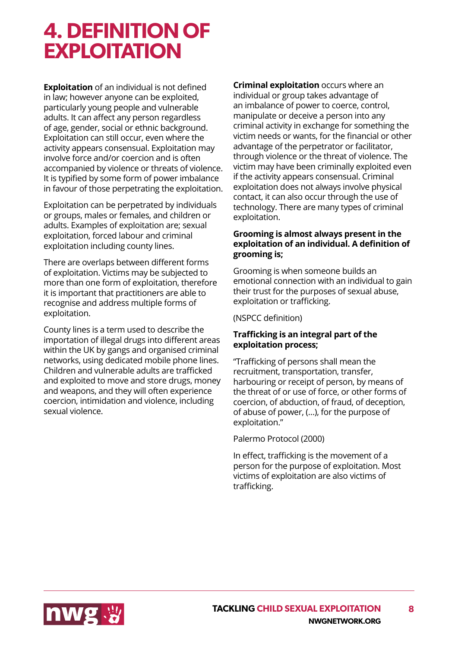# <span id="page-7-0"></span>**4. DEFINITION OF EXPLOITATION**

**Exploitation** of an individual is not defined in law; however anyone can be exploited, particularly young people and vulnerable adults. It can affect any person regardless of age, gender, social or ethnic background. Exploitation can still occur, even where the activity appears consensual. Exploitation may involve force and/or coercion and is often accompanied by violence or threats of violence. It is typified by some form of power imbalance in favour of those perpetrating the exploitation.

Exploitation can be perpetrated by individuals or groups, males or females, and children or adults. Examples of exploitation are; sexual exploitation, forced labour and criminal exploitation including county lines.

There are overlaps between different forms of exploitation. Victims may be subjected to more than one form of exploitation, therefore it is important that practitioners are able to recognise and address multiple forms of exploitation.

County lines is a term used to describe the importation of illegal drugs into different areas within the UK by gangs and organised criminal networks, using dedicated mobile phone lines. Children and vulnerable adults are trafficked and exploited to move and store drugs, money and weapons, and they will often experience coercion, intimidation and violence, including sexual violence.

**Criminal exploitation** occurs where an individual or group takes advantage of an imbalance of power to coerce, control, manipulate or deceive a person into any criminal activity in exchange for something the victim needs or wants, for the financial or other advantage of the perpetrator or facilitator, through violence or the threat of violence. The victim may have been criminally exploited even if the activity appears consensual. Criminal exploitation does not always involve physical contact, it can also occur through the use of technology. There are many types of criminal exploitation.

#### **Grooming is almost always present in the exploitation of an individual. A definition of grooming is;**

Grooming is when someone builds an emotional connection with an individual to gain their trust for the purposes of sexual abuse, exploitation or trafficking.

(NSPCC definition)

### **Trafficking is an integral part of the exploitation process;**

"Trafficking of persons shall mean the recruitment, transportation, transfer, harbouring or receipt of person, by means of the threat of or use of force, or other forms of coercion, of abduction, of fraud, of deception, of abuse of power, (…), for the purpose of exploitation."

Palermo Protocol (2000)

In effect, trafficking is the movement of a person for the purpose of exploitation. Most victims of exploitation are also victims of trafficking.

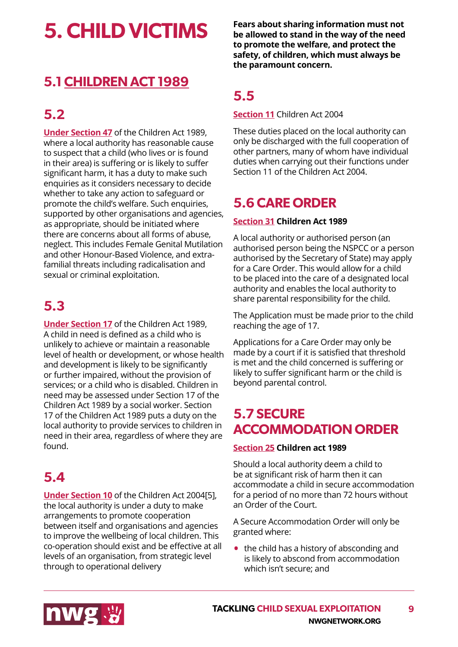# <span id="page-8-0"></span>**5. CHILD VICTIMS**

# **5.1 [CHILDREN ACT 1989](https://www.legislation.gov.uk/ukpga/1989/41/contents)**

# **5.2**

**[Under Section 47](https://www.legislation.gov.uk/ukpga/1989/41/section/47)** of the Children Act 1989, where a local authority has reasonable cause to suspect that a child (who lives or is found in their area) is suffering or is likely to suffer significant harm, it has a duty to make such enquiries as it considers necessary to decide whether to take any action to safeguard or promote the child's welfare. Such enquiries, supported by other organisations and agencies, as appropriate, should be initiated where there are concerns about all forms of abuse, neglect. This includes Female Genital Mutilation and other Honour-Based Violence, and extrafamilial threats including radicalisation and sexual or criminal exploitation.

# **5.3**

**[Under Section 17](https://www.legislation.gov.uk/ukpga/1989/41/section/17)** of the Children Act 1989, A child in need is defined as a child who is unlikely to achieve or maintain a reasonable level of health or development, or whose health and development is likely to be significantly or further impaired, without the provision of services; or a child who is disabled. Children in need may be assessed under Section 17 of the Children Act 1989 by a social worker. Section 17 of the Children Act 1989 puts a duty on the local authority to provide services to children in need in their area, regardless of where they are found.

# **5.4**

**[Under Section 10](https://www.legislation.gov.uk/ukpga/1989/41/section/10)** of the Children Act 2004[5], the local authority is under a duty to make arrangements to promote cooperation between itself and organisations and agencies to improve the wellbeing of local children. This co-operation should exist and be effective at all levels of an organisation, from strategic level through to operational delivery

**Fears about sharing information must not be allowed to stand in the way of the need to promote the welfare, and protect the safety, of children, which must always be the paramount concern.**

# **5.5**

### **[Section 11](https://www.legislation.gov.uk/ukpga/2004/31/section/11)** Children Act 2004

These duties placed on the local authority can only be discharged with the full cooperation of other partners, many of whom have individual duties when carrying out their functions under Section 11 of the Children Act 2004.

# **5.6 CARE ORDER**

### **[Section 31](http://www.legislation.gov.uk/ukpga/1989/41/section/31) Children Act 1989**

A local authority or authorised person (an authorised person being the NSPCC or a person authorised by the Secretary of State) may apply for a Care Order. This would allow for a child to be placed into the care of a designated local authority and enables the local authority to share parental responsibility for the child.

The Application must be made prior to the child reaching the age of 17.

Applications for a Care Order may only be made by a court if it is satisfied that threshold is met and the child concerned is suffering or likely to suffer significant harm or the child is beyond parental control.

# **5.7 SECURE ACCOMMODATION ORDER**

### **[Section 25](http://www.legislation.gov.uk/ukpga/1989/41/section/25) Children act 1989**

Should a local authority deem a child to be at significant risk of harm then it can accommodate a child in secure accommodation for a period of no more than 72 hours without an Order of the Court.

A Secure Accommodation Order will only be granted where:

• the child has a history of absconding and is likely to abscond from accommodation which isn't secure; and

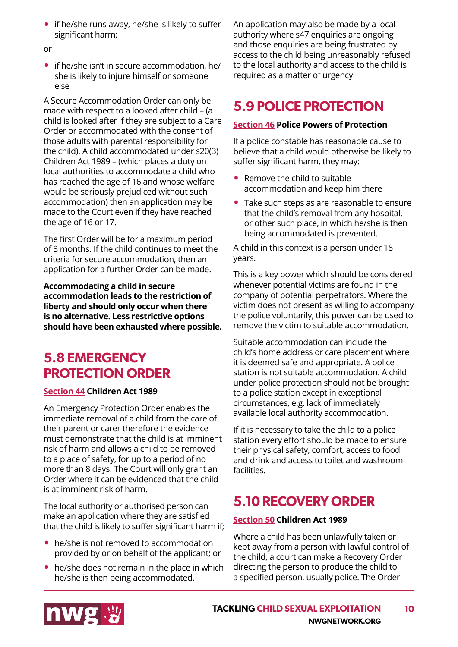<span id="page-9-0"></span>• if he/she runs away, he/she is likely to suffer significant harm;

or

• if he/she isn't in secure accommodation, he/ she is likely to injure himself or someone else

A Secure Accommodation Order can only be made with respect to a looked after child – (a child is looked after if they are subject to a Care Order or accommodated with the consent of those adults with parental responsibility for the child). A child accommodated under s20(3) Children Act 1989 – (which places a duty on local authorities to accommodate a child who has reached the age of 16 and whose welfare would be seriously prejudiced without such accommodation) then an application may be made to the Court even if they have reached the age of 16 or 17.

The first Order will be for a maximum period of 3 months. If the child continues to meet the criteria for secure accommodation, then an application for a further Order can be made.

**Accommodating a child in secure accommodation leads to the restriction of liberty and should only occur when there is no alternative. Less restrictive options should have been exhausted where possible.**

# **5.8 EMERGENCY PROTECTION ORDER**

### **[Section 44](http://www.legislation.gov.uk/ukpga/1989/41/section/44) Children Act 1989**

An Emergency Protection Order enables the immediate removal of a child from the care of their parent or carer therefore the evidence must demonstrate that the child is at imminent risk of harm and allows a child to be removed to a place of safety, for up to a period of no more than 8 days. The Court will only grant an Order where it can be evidenced that the child is at imminent risk of harm.

The local authority or authorised person can make an application where they are satisfied that the child is likely to suffer significant harm if;

- he/she is not removed to accommodation provided by or on behalf of the applicant; or
- he/she does not remain in the place in which he/she is then being accommodated.

An application may also be made by a local authority where s47 enquiries are ongoing and those enquiries are being frustrated by access to the child being unreasonably refused to the local authority and access to the child is required as a matter of urgency

# **5.9 POLICE PROTECTION**

## **[Section 46](http://www.legislation.gov.uk/ukpga/1989/41/section/46) Police Powers of Protection**

If a police constable has reasonable cause to believe that a child would otherwise be likely to suffer significant harm, they may:

- Remove the child to suitable accommodation and keep him there
- Take such steps as are reasonable to ensure that the child's removal from any hospital, or other such place, in which he/she is then being accommodated is prevented.

A child in this context is a person under 18 years.

This is a key power which should be considered whenever potential victims are found in the company of potential perpetrators. Where the victim does not present as willing to accompany the police voluntarily, this power can be used to remove the victim to suitable accommodation.

Suitable accommodation can include the child's home address or care placement where it is deemed safe and appropriate. A police station is not suitable accommodation. A child under police protection should not be brought to a police station except in exceptional circumstances, e.g. lack of immediately available local authority accommodation.

If it is necessary to take the child to a police station every effort should be made to ensure their physical safety, comfort, access to food and drink and access to toilet and washroom facilities.

# **5.10 RECOVERY ORDER**

### **[Section 50](http://www.legislation.gov.uk/ukpga/1989/41/section/50) Children Act 1989**

Where a child has been unlawfully taken or kept away from a person with lawful control of the child, a court can make a Recovery Order directing the person to produce the child to a specified person, usually police. The Order

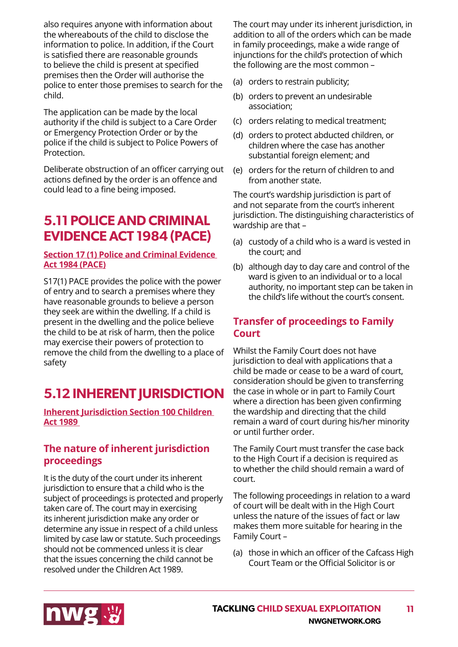<span id="page-10-0"></span>also requires anyone with information about the whereabouts of the child to disclose the information to police. In addition, if the Court is satisfied there are reasonable grounds to believe the child is present at specified premises then the Order will authorise the police to enter those premises to search for the child.

The application can be made by the local authority if the child is subject to a Care Order or Emergency Protection Order or by the police if the child is subject to Police Powers of Protection.

Deliberate obstruction of an officer carrying out actions defined by the order is an offence and could lead to a fine being imposed.

# **5.11 POLICE AND CRIMINAL EVIDENCE ACT 1984 (PACE)**

#### **[Section 17 \(1\) Police and Criminal Evidence](http://www.legislation.gov.uk/ukpga/1984/60/section/17)  [Act 1984 \(PACE\)](http://www.legislation.gov.uk/ukpga/1984/60/section/17)**

S17(1) PACE provides the police with the power of entry and to search a premises where they have reasonable grounds to believe a person they seek are within the dwelling. If a child is present in the dwelling and the police believe the child to be at risk of harm, then the police may exercise their powers of protection to remove the child from the dwelling to a place of safety

# **5.12 INHERENT JURISDICTION**

#### **[Inherent Jurisdiction Section 100 Children](http://www.legislation.gov.uk/ukpga/1989/41/section/100)  [Act 1989](http://www.legislation.gov.uk/ukpga/1989/41/section/100)**

## **The nature of inherent jurisdiction proceedings**

It is the duty of the court under its inherent jurisdiction to ensure that a child who is the subject of proceedings is protected and properly taken care of. The court may in exercising its inherent jurisdiction make any order or determine any issue in respect of a child unless limited by case law or statute. Such proceedings should not be commenced unless it is clear that the issues concerning the child cannot be resolved under the Children Act 1989.

The court may under its inherent jurisdiction, in addition to all of the orders which can be made in family proceedings, make a wide range of injunctions for the child's protection of which the following are the most common –

- (a) orders to restrain publicity;
- (b) orders to prevent an undesirable association;
- (c) orders relating to medical treatment;
- (d) orders to protect abducted children, or children where the case has another substantial foreign element; and
- (e) orders for the return of children to and from another state.

The court's wardship jurisdiction is part of and not separate from the court's inherent jurisdiction. The distinguishing characteristics of wardship are that –

- (a) custody of a child who is a ward is vested in the court; and
- (b) although day to day care and control of the ward is given to an individual or to a local authority, no important step can be taken in the child's life without the court's consent.

### **Transfer of proceedings to Family Court**

Whilst the Family Court does not have jurisdiction to deal with applications that a child be made or cease to be a ward of court, consideration should be given to transferring the case in whole or in part to Family Court where a direction has been given confirming the wardship and directing that the child remain a ward of court during his/her minority or until further order.

The Family Court must transfer the case back to the High Court if a decision is required as to whether the child should remain a ward of court.

The following proceedings in relation to a ward of court will be dealt with in the High Court unless the nature of the issues of fact or law makes them more suitable for hearing in the Family Court –

(a) those in which an officer of the Cafcass High Court Team or the Official Solicitor is or

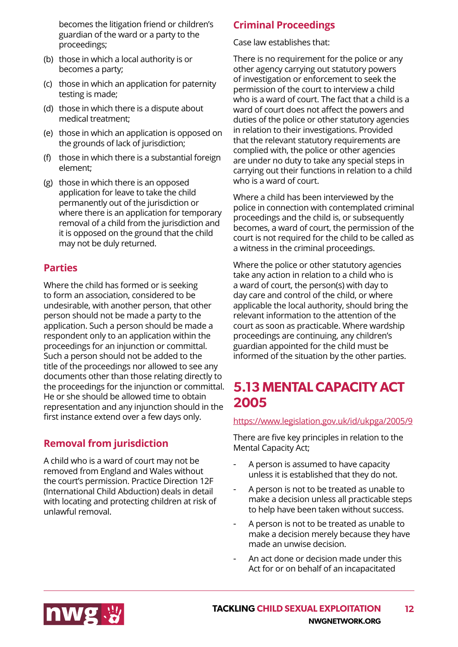<span id="page-11-0"></span>becomes the litigation friend or children's guardian of the ward or a party to the proceedings;

- (b) those in which a local authority is or becomes a party;
- (c) those in which an application for paternity testing is made;
- (d) those in which there is a dispute about medical treatment;
- (e) those in which an application is opposed on the grounds of lack of jurisdiction;
- (f) those in which there is a substantial foreign element;
- (g) those in which there is an opposed application for leave to take the child permanently out of the jurisdiction or where there is an application for temporary removal of a child from the jurisdiction and it is opposed on the ground that the child may not be duly returned.

### **Parties**

Where the child has formed or is seeking to form an association, considered to be undesirable, with another person, that other person should not be made a party to the application. Such a person should be made a respondent only to an application within the proceedings for an injunction or committal. Such a person should not be added to the title of the proceedings nor allowed to see any documents other than those relating directly to the proceedings for the injunction or committal. He or she should be allowed time to obtain representation and any injunction should in the first instance extend over a few days only.

# **Removal from jurisdiction**

A child who is a ward of court may not be removed from England and Wales without the court's permission. Practice Direction 12F (International Child Abduction) deals in detail with locating and protecting children at risk of unlawful removal.

# **Criminal Proceedings**

Case law establishes that:

There is no requirement for the police or any other agency carrying out statutory powers of investigation or enforcement to seek the permission of the court to interview a child who is a ward of court. The fact that a child is a ward of court does not affect the powers and duties of the police or other statutory agencies in relation to their investigations. Provided that the relevant statutory requirements are complied with, the police or other agencies are under no duty to take any special steps in carrying out their functions in relation to a child who is a ward of court.

Where a child has been interviewed by the police in connection with contemplated criminal proceedings and the child is, or subsequently becomes, a ward of court, the permission of the court is not required for the child to be called as a witness in the criminal proceedings.

Where the police or other statutory agencies take any action in relation to a child who is a ward of court, the person(s) with day to day care and control of the child, or where applicable the local authority, should bring the relevant information to the attention of the court as soon as practicable. Where wardship proceedings are continuing, any children's guardian appointed for the child must be informed of the situation by the other parties.

# **5.13 MENTAL CAPACITY ACT 2005**

[https://www.legislation.gov.uk/id/ukpga/2005/9](https://www.legislation.gov.uk/ukpga/2005/9)

There are five key principles in relation to the Mental Capacity Act;

- A person is assumed to have capacity unless it is established that they do not.
- A person is not to be treated as unable to make a decision unless all practicable steps to help have been taken without success.
- A person is not to be treated as unable to make a decision merely because they have made an unwise decision.
- An act done or decision made under this Act for or on behalf of an incapacitated

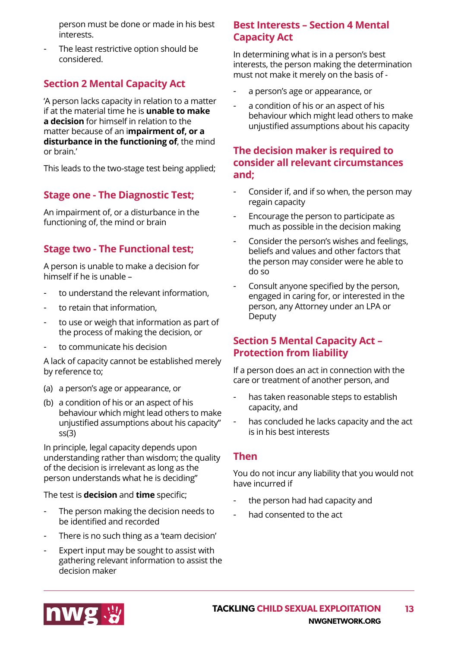person must be done or made in his best interests.

The least restrictive option should be considered.

# **Section 2 Mental Capacity Act**

'A person lacks capacity in relation to a matter if at the material time he is **unable to make a decision** for himself in relation to the matter because of an i**mpairment of, or a disturbance in the functioning of**, the mind or brain.'

This leads to the two-stage test being applied;

## **Stage one - The Diagnostic Test;**

An impairment of, or a disturbance in the functioning of, the mind or brain

## **Stage two - The Functional test;**

A person is unable to make a decision for himself if he is unable –

- to understand the relevant information,
- to retain that information,
- to use or weigh that information as part of the process of making the decision, or
- to communicate his decision

A lack of capacity cannot be established merely by reference to;

- (a) a person's age or appearance, or
- (b) a condition of his or an aspect of his behaviour which might lead others to make unjustified assumptions about his capacity" ss(3)

In principle, legal capacity depends upon understanding rather than wisdom; the quality of the decision is irrelevant as long as the person understands what he is deciding"

#### The test is **decision** and **time** specific;

- The person making the decision needs to be identified and recorded
- There is no such thing as a 'team decision'
- Expert input may be sought to assist with gathering relevant information to assist the decision maker

### **Best Interests – Section 4 Mental Capacity Act**

In determining what is in a person's best interests, the person making the determination must not make it merely on the basis of -

- a person's age or appearance, or
- a condition of his or an aspect of his behaviour which might lead others to make unjustified assumptions about his capacity

### **The decision maker is required to consider all relevant circumstances and;**

- Consider if, and if so when, the person may regain capacity
- Encourage the person to participate as much as possible in the decision making
- Consider the person's wishes and feelings, beliefs and values and other factors that the person may consider were he able to do so
- Consult anyone specified by the person, engaged in caring for, or interested in the person, any Attorney under an LPA or Deputy

### **Section 5 Mental Capacity Act – Protection from liability**

If a person does an act in connection with the care or treatment of another person, and

- has taken reasonable steps to establish capacity, and
- has concluded he lacks capacity and the act is in his best interests

### **Then**

You do not incur any liability that you would not have incurred if

- the person had had capacity and
- had consented to the act

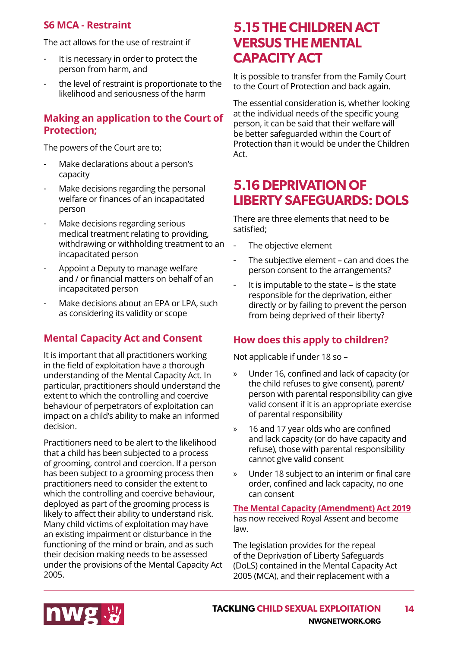# <span id="page-13-0"></span>**S6 MCA - Restraint**

The act allows for the use of restraint if

- It is necessary in order to protect the person from harm, and
- the level of restraint is proportionate to the likelihood and seriousness of the harm

### **Making an application to the Court of Protection;**

The powers of the Court are to;

- Make declarations about a person's capacity
- Make decisions regarding the personal welfare or finances of an incapacitated person
- Make decisions regarding serious medical treatment relating to providing, withdrawing or withholding treatment to an incapacitated person
- Appoint a Deputy to manage welfare and / or financial matters on behalf of an incapacitated person
- Make decisions about an EPA or LPA, such as considering its validity or scope

# **Mental Capacity Act and Consent**

It is important that all practitioners working in the field of exploitation have a thorough understanding of the Mental Capacity Act. In particular, practitioners should understand the extent to which the controlling and coercive behaviour of perpetrators of exploitation can impact on a child's ability to make an informed decision.

Practitioners need to be alert to the likelihood that a child has been subjected to a process of grooming, control and coercion. If a person has been subject to a grooming process then practitioners need to consider the extent to which the controlling and coercive behaviour, deployed as part of the grooming process is likely to affect their ability to understand risk. Many child victims of exploitation may have an existing impairment or disturbance in the functioning of the mind or brain, and as such their decision making needs to be assessed under the provisions of the Mental Capacity Act 2005.

# **5.15 THE CHILDREN ACT VERSUS THE MENTAL CAPACITY ACT**

It is possible to transfer from the Family Court to the Court of Protection and back again.

The essential consideration is, whether looking at the individual needs of the specific young person, it can be said that their welfare will be better safeguarded within the Court of Protection than it would be under the Children Act.

# **5.16 DEPRIVATION OF LIBERTY SAFEGUARDS: DOLS**

There are three elements that need to be satisfied;

- The objective element
- The subjective element can and does the person consent to the arrangements?
- It is imputable to the state  $-$  is the state responsible for the deprivation, either directly or by failing to prevent the person from being deprived of their liberty?

# **How does this apply to children?**

Not applicable if under 18 so –

- » Under 16, confined and lack of capacity (or the child refuses to give consent), parent/ person with parental responsibility can give valid consent if it is an appropriate exercise of parental responsibility
- » 16 and 17 year olds who are confined and lack capacity (or do have capacity and refuse), those with parental responsibility cannot give valid consent
- » Under 18 subject to an interim or final care order, confined and lack capacity, no one can consent

**[The Mental Capacity \(Amendment\) Act 2019](https://services.parliament.uk/bills/2017-19/mentalcapacityamendment.html)** has now received Royal Assent and become law.

The legislation provides for the repeal of the Deprivation of Liberty Safeguards (DoLS) contained in the Mental Capacity Act 2005 (MCA), and their replacement with a

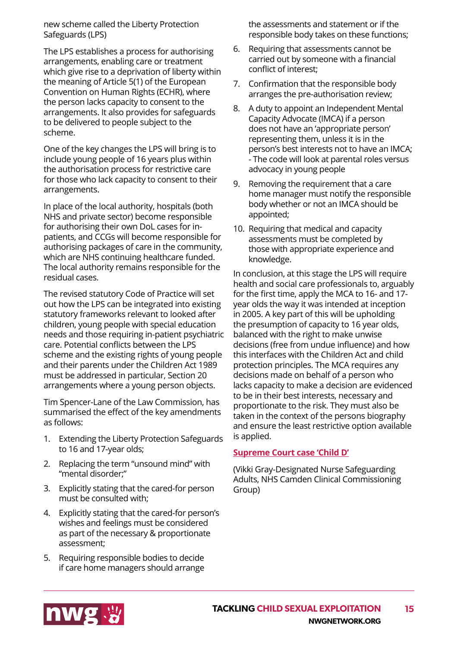new scheme called the Liberty Protection Safeguards (LPS)

The LPS establishes a process for authorising arrangements, enabling care or treatment which give rise to a deprivation of liberty within the meaning of Article 5(1) of the European Convention on Human Rights (ECHR), where the person lacks capacity to consent to the arrangements. It also provides for safeguards to be delivered to people subject to the scheme.

One of the key changes the LPS will bring is to include young people of 16 years plus within the authorisation process for restrictive care for those who lack capacity to consent to their arrangements.

In place of the local authority, hospitals (both NHS and private sector) become responsible for authorising their own DoL cases for inpatients, and CCGs will become responsible for authorising packages of care in the community, which are NHS continuing healthcare funded. The local authority remains responsible for the residual cases.

The revised statutory Code of Practice will set out how the LPS can be integrated into existing statutory frameworks relevant to looked after children, young people with special education needs and those requiring in-patient psychiatric care. Potential conflicts between the LPS scheme and the existing rights of young people and their parents under the Children Act 1989 must be addressed in particular, Section 20 arrangements where a young person objects.

Tim Spencer-Lane of the Law Commission, has summarised the effect of the key amendments as follows:

- 1. Extending the Liberty Protection Safeguards to 16 and 17-year olds;
- 2. Replacing the term "unsound mind" with "mental disorder;"
- 3. Explicitly stating that the cared-for person must be consulted with;
- 4. Explicitly stating that the cared-for person's wishes and feelings must be considered as part of the necessary & proportionate assessment;
- 5. Requiring responsible bodies to decide if care home managers should arrange

the assessments and statement or if the responsible body takes on these functions;

- 6. Requiring that assessments cannot be carried out by someone with a financial conflict of interest;
- 7. Confirmation that the responsible body arranges the pre-authorisation review;
- 8. A duty to appoint an Independent Mental Capacity Advocate (IMCA) if a person does not have an 'appropriate person' representing them, unless it is in the person's best interests not to have an IMCA; - The code will look at parental roles versus advocacy in young people
- 9. Removing the requirement that a care home manager must notify the responsible body whether or not an IMCA should be appointed;
- 10. Requiring that medical and capacity assessments must be completed by those with appropriate experience and knowledge.

In conclusion, at this stage the LPS will require health and social care professionals to, arguably for the first time, apply the MCA to 16- and 17 year olds the way it was intended at inception in 2005. A key part of this will be upholding the presumption of capacity to 16 year olds, balanced with the right to make unwise decisions (free from undue influence) and how this interfaces with the Children Act and child protection principles. The MCA requires any decisions made on behalf of a person who lacks capacity to make a decision are evidenced to be in their best interests, necessary and proportionate to the risk. They must also be taken in the context of the persons biography and ensure the least restrictive option available is applied.

#### **[Supreme Court case 'Child D'](https://www.39essex.com/supreme-court-to-consider-power-of-parents-to-consent-to-interventions-in-relation-to-teenagers-with-impaired-capacity/)**

(Vikki Gray-Designated Nurse Safeguarding Adults, NHS Camden Clinical Commissioning Group)

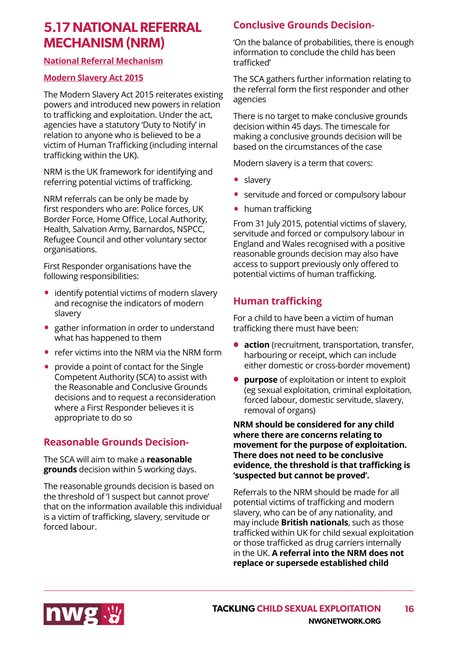# <span id="page-15-0"></span>**5.17 NATIONAL REFERRAL MECHANISM (NRM)**

### **[National Referral Mechanism](https://www.gov.uk/government/publications/human-trafficking-victims-referral-and-assessment-forms)**

### **[Modern Slavery Act 2015](http://www.legislation.gov.uk/ukpga/2015/30/section/2/enacted)**

The Modern Slavery Act 2015 reiterates existing powers and introduced new powers in relation to trafficking and exploitation. Under the act, agencies have a statutory 'Duty to Notify' in relation to anyone who is believed to be a victim of Human Trafficking (including internal trafficking within the UK).

NRM is the UK framework for identifying and referring potential victims of trafficking.

NRM referrals can be only be made by first responders who are: Police forces, UK Border Force, Home Office, Local Authority, Health, Salvation Army, Barnardos, NSPCC, Refugee Council and other voluntary sector organisations.

First Responder organisations have the following responsibilities:

- identify potential victims of modern slavery and recognise the indicators of modern slavery
- gather information in order to understand what has happened to them
- refer victims into the NRM via the NRM form
- provide a point of contact for the Single Competent Authority (SCA) to assist with the Reasonable and Conclusive Grounds decisions and to request a reconsideration where a First Responder believes it is appropriate to do so

# **Reasonable Grounds Decision-**

The SCA will aim to make a **reasonable grounds** decision within 5 working days.

The reasonable grounds decision is based on the threshold of 'I suspect but cannot prove' that on the information available this individual is a victim of trafficking, slavery, servitude or forced labour.

# **Conclusive Grounds Decision-**

'On the balance of probabilities, there is enough information to conclude the child has been trafficked'

The SCA gathers further information relating to the referral form the first responder and other agencies

There is no target to make conclusive grounds decision within 45 days. The timescale for making a conclusive grounds decision will be based on the circumstances of the case

Modern slavery is a term that covers:

- slavery
- servitude and forced or compulsory labour
- human trafficking

From 31 July 2015, potential victims of slavery, servitude and forced or compulsory labour in England and Wales recognised with a positive reasonable grounds decision may also have access to support previously only offered to potential victims of human trafficking.

# **Human trafficking**

For a child to have been a victim of human trafficking there must have been:

- **• action** (recruitment, transportation, transfer, harbouring or receipt, which can include either domestic or cross-border movement)
- **• purpose** of exploitation or intent to exploit (eg sexual exploitation, criminal exploitation, forced labour, domestic servitude, slavery, removal of organs)

**NRM should be considered for any child where there are concerns relating to movement for the purpose of exploitation. There does not need to be conclusive evidence, the threshold is that trafficking is 'suspected but cannot be proved'.**

Referrals to the NRM should be made for all potential victims of trafficking and modern slavery, who can be of any nationality, and may include **British nationals**, such as those trafficked within UK for child sexual exploitation or those trafficked as drug carriers internally in the UK. **A referral into the NRM does not replace or supersede established child** 

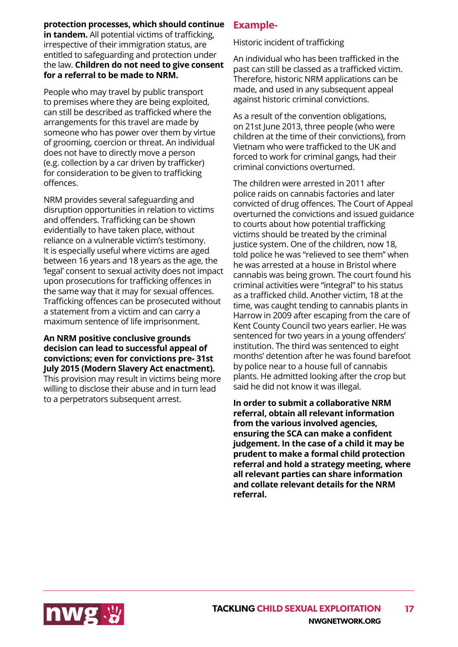#### **protection processes, which should continue in tandem.** All potential victims of trafficking, irrespective of their immigration status, are entitled to safeguarding and protection under the law. **Children do not need to give consent for a referral to be made to NRM.**

People who may travel by public transport to premises where they are being exploited, can still be described as trafficked where the arrangements for this travel are made by someone who has power over them by virtue of grooming, coercion or threat. An individual does not have to directly move a person (e.g. collection by a car driven by trafficker) for consideration to be given to trafficking offences.

NRM provides several safeguarding and disruption opportunities in relation to victims and offenders. Trafficking can be shown evidentially to have taken place, without reliance on a vulnerable victim's testimony. It is especially useful where victims are aged between 16 years and 18 years as the age, the 'legal' consent to sexual activity does not impact upon prosecutions for trafficking offences in the same way that it may for sexual offences. Trafficking offences can be prosecuted without a statement from a victim and can carry a maximum sentence of life imprisonment.

#### **An NRM positive conclusive grounds decision can lead to successful appeal of convictions; even for convictions pre- 31st July 2015 (Modern Slavery Act enactment).**

This provision may result in victims being more willing to disclose their abuse and in turn lead to a perpetrators subsequent arrest.

# **Example-**

Historic incident of trafficking

An individual who has been trafficked in the past can still be classed as a trafficked victim. Therefore, historic NRM applications can be made, and used in any subsequent appeal against historic criminal convictions.

As a result of the convention obligations, on 21st June 2013, three people (who were children at the time of their convictions), from Vietnam who were trafficked to the UK and forced to work for criminal gangs, had their criminal convictions overturned.

The children were arrested in 2011 after police raids on cannabis factories and later convicted of drug offences. The Court of Appeal overturned the convictions and issued guidance to courts about how potential trafficking victims should be treated by the criminal justice system. One of the children, now 18, told police he was "relieved to see them" when he was arrested at a house in Bristol where cannabis was being grown. The court found his criminal activities were "integral" to his status as a trafficked child. Another victim, 18 at the time, was caught tending to cannabis plants in Harrow in 2009 after escaping from the care of Kent County Council two years earlier. He was sentenced for two years in a young offenders' institution. The third was sentenced to eight months' detention after he was found barefoot by police near to a house full of cannabis plants. He admitted looking after the crop but said he did not know it was illegal.

**In order to submit a collaborative NRM referral, obtain all relevant information from the various involved agencies, ensuring the SCA can make a confident judgement. In the case of a child it may be prudent to make a formal child protection referral and hold a strategy meeting, where all relevant parties can share information and collate relevant details for the NRM referral.**

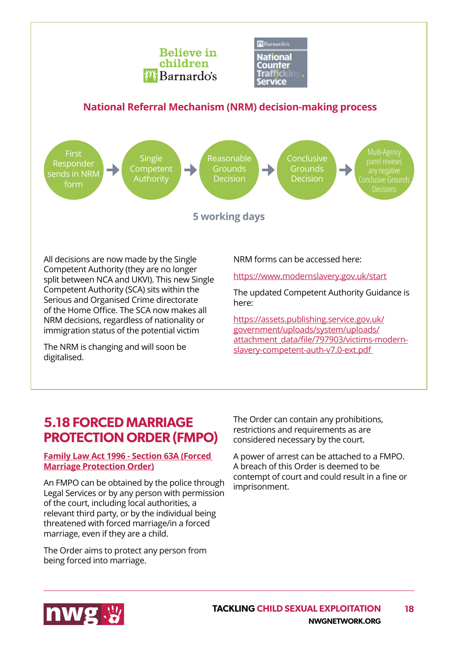<span id="page-17-0"></span>

[https://assets.publishing.service.gov.uk/](https://assets.publishing.service.gov.uk/government/uploads/system/uploads/attachment_data/file/7979) [government/uploads/system/uploads/](https://assets.publishing.service.gov.uk/government/uploads/system/uploads/attachment_data/file/7979) [attachment\\_data/file/797903/victims-modern](https://assets.publishing.service.gov.uk/government/uploads/system/uploads/attachment_data/file/7979)[slavery-competent-auth-v7.0-ext.pdf](https://assets.publishing.service.gov.uk/government/uploads/system/uploads/attachment_data/file/7979) 

# **5.18 FORCED MARRIAGE PROTECTION ORDER (FMPO)**

NRM decisions, regardless of nationality or immigration status of the potential victim

The NRM is changing and will soon be

digitalised.

#### **[Family Law Act 1996 - Section 63A \(Forced](http://www.legislation.gov.uk/ukpga/1996/27/section/63A)  [Marriage Protection Order\)](http://www.legislation.gov.uk/ukpga/1996/27/section/63A)**

An FMPO can be obtained by the police through Legal Services or by any person with permission of the court, including local authorities, a relevant third party, or by the individual being threatened with forced marriage/in a forced marriage, even if they are a child.

The Order aims to protect any person from being forced into marriage.

The Order can contain any prohibitions, restrictions and requirements as are considered necessary by the court.

A power of arrest can be attached to a FMPO. A breach of this Order is deemed to be contempt of court and could result in a fine or imprisonment.

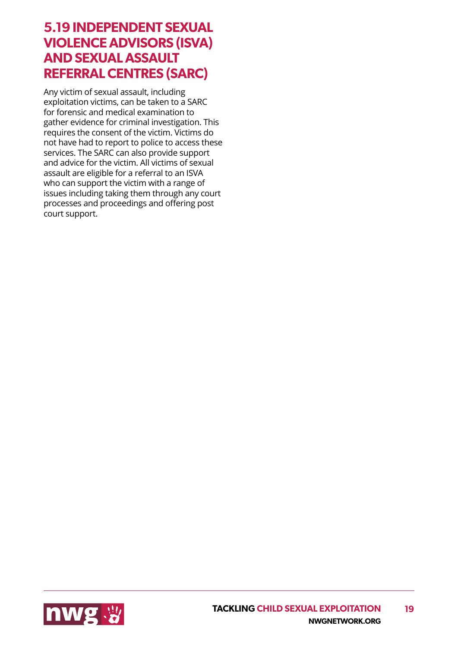# <span id="page-18-0"></span>**5.19 INDEPENDENT SEXUAL VIOLENCE ADVISORS (ISVA) AND SEXUAL ASSAULT REFERRAL CENTRES (SARC)**

Any victim of sexual assault, including exploitation victims, can be taken to a SARC for forensic and medical examination to gather evidence for criminal investigation. This requires the consent of the victim. Victims do not have had to report to police to access these services. The SARC can also provide support and advice for the victim. All victims of sexual assault are eligible for a referral to an ISVA who can support the victim with a range of issues including taking them through any court processes and proceedings and offering post court support.

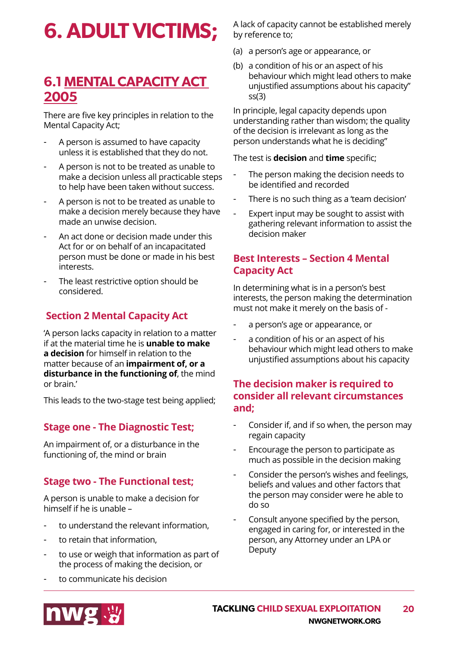# <span id="page-19-0"></span>**6. ADULT VICTIMS;**

# **6.1 [MENTAL CAPACITY ACT](https://www.legislation.gov.uk/ukpga/2005/9/contents)  [2005](https://www.legislation.gov.uk/ukpga/2005/9/contents)**

There are five key principles in relation to the Mental Capacity Act;

- A person is assumed to have capacity unless it is established that they do not.
- A person is not to be treated as unable to make a decision unless all practicable steps to help have been taken without success.
- A person is not to be treated as unable to make a decision merely because they have made an unwise decision.
- An act done or decision made under this Act for or on behalf of an incapacitated person must be done or made in his best interests.
- The least restrictive option should be considered.

# **Section 2 Mental Capacity Act**

'A person lacks capacity in relation to a matter if at the material time he is **unable to make a decision** for himself in relation to the matter because of an **impairment of, or a disturbance in the functioning of**, the mind or brain.'

This leads to the two-stage test being applied;

# **Stage one - The Diagnostic Test;**

An impairment of, or a disturbance in the functioning of, the mind or brain

# **Stage two - The Functional test;**

A person is unable to make a decision for himself if he is unable –

- to understand the relevant information,
- to retain that information,
- to use or weigh that information as part of the process of making the decision, or
- to communicate his decision

A lack of capacity cannot be established merely by reference to;

- (a) a person's age or appearance, or
- (b) a condition of his or an aspect of his behaviour which might lead others to make unjustified assumptions about his capacity" ss(3)

In principle, legal capacity depends upon understanding rather than wisdom; the quality of the decision is irrelevant as long as the person understands what he is deciding"

### The test is **decision** and **time** specific;

- The person making the decision needs to be identified and recorded
- There is no such thing as a 'team decision'
- Expert input may be sought to assist with gathering relevant information to assist the decision maker

# **Best Interests – Section 4 Mental Capacity Act**

In determining what is in a person's best interests, the person making the determination must not make it merely on the basis of -

- a person's age or appearance, or
- a condition of his or an aspect of his behaviour which might lead others to make unjustified assumptions about his capacity

## **The decision maker is required to consider all relevant circumstances and;**

- Consider if, and if so when, the person may regain capacity
- Encourage the person to participate as much as possible in the decision making
- Consider the person's wishes and feelings, beliefs and values and other factors that the person may consider were he able to do so
- Consult anyone specified by the person, engaged in caring for, or interested in the person, any Attorney under an LPA or Deputy

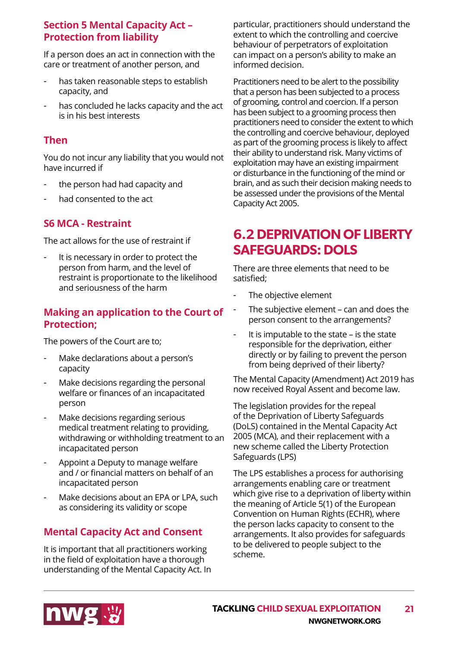## <span id="page-20-0"></span>**Section 5 Mental Capacity Act – Protection from liability**

If a person does an act in connection with the care or treatment of another person, and

- has taken reasonable steps to establish capacity, and
- has concluded he lacks capacity and the act is in his best interests

### **Then**

You do not incur any liability that you would not have incurred if

- the person had had capacity and
- had consented to the act

### **S6 MCA - Restraint**

The act allows for the use of restraint if

It is necessary in order to protect the person from harm, and the level of restraint is proportionate to the likelihood and seriousness of the harm

### **Making an application to the Court of Protection;**

The powers of the Court are to;

- Make declarations about a person's capacity
- Make decisions regarding the personal welfare or finances of an incapacitated person
- Make decisions regarding serious medical treatment relating to providing, withdrawing or withholding treatment to an incapacitated person
- Appoint a Deputy to manage welfare and / or financial matters on behalf of an incapacitated person
- Make decisions about an EPA or LPA, such as considering its validity or scope

# **Mental Capacity Act and Consent**

It is important that all practitioners working in the field of exploitation have a thorough understanding of the Mental Capacity Act. In particular, practitioners should understand the extent to which the controlling and coercive behaviour of perpetrators of exploitation can impact on a person's ability to make an informed decision.

Practitioners need to be alert to the possibility that a person has been subjected to a process of grooming, control and coercion. If a person has been subject to a grooming process then practitioners need to consider the extent to which the controlling and coercive behaviour, deployed as part of the grooming process is likely to affect their ability to understand risk. Many victims of exploitation may have an existing impairment or disturbance in the functioning of the mind or brain, and as such their decision making needs to be assessed under the provisions of the Mental Capacity Act 2005.

# **6.2 DEPRIVATION OF LIBERTY SAFEGUARDS: DOLS**

There are three elements that need to be satisfied;

- The objective element
- The subjective element can and does the person consent to the arrangements?
- It is imputable to the state  $-$  is the state responsible for the deprivation, either directly or by failing to prevent the person from being deprived of their liberty?

The Mental Capacity (Amendment) Act 2019 has now received Royal Assent and become law.

The legislation provides for the repeal of the Deprivation of Liberty Safeguards (DoLS) contained in the Mental Capacity Act 2005 (MCA), and their replacement with a new scheme called the Liberty Protection Safeguards (LPS)

The LPS establishes a process for authorising arrangements enabling care or treatment which give rise to a deprivation of liberty within the meaning of Article 5(1) of the European Convention on Human Rights (ECHR), where the person lacks capacity to consent to the arrangements. It also provides for safeguards to be delivered to people subject to the scheme.

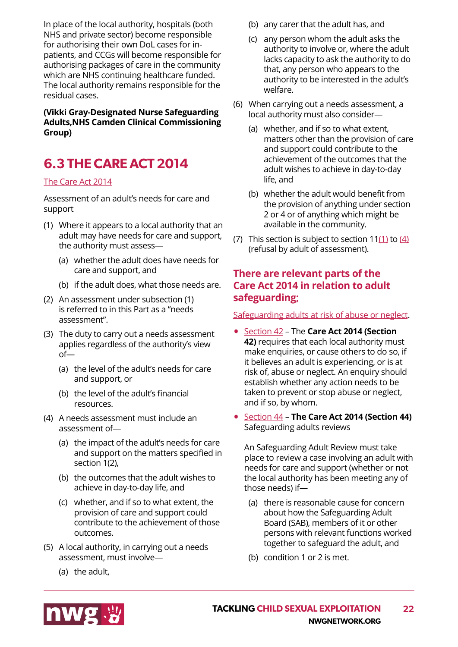<span id="page-21-0"></span>In place of the local authority, hospitals (both NHS and private sector) become responsible for authorising their own DoL cases for inpatients, and CCGs will become responsible for authorising packages of care in the community which are NHS continuing healthcare funded. The local authority remains responsible for the residual cases.

#### **(Vikki Gray-Designated Nurse Safeguarding Adults,NHS Camden Clinical Commissioning Group)**

# **6.3 THE CARE ACT 2014**

#### [The Care Act 2014](http://www.legislation.gov.uk/ukpga/2014/23/contents/enacted)

Assessment of an adult's needs for care and support

- (1) Where it appears to a local authority that an adult may have needs for care and support, the authority must assess—
	- (a) whether the adult does have needs for care and support, and
	- (b) if the adult does, what those needs are.
- (2) An assessment under subsection (1) is referred to in this Part as a "needs assessment".
- (3) The duty to carry out a needs assessment applies regardless of the authority's view  $of$ —
	- (a) the level of the adult's needs for care and support, or
	- (b) the level of the adult's financial resources.
- (4) A needs assessment must include an assessment of—
	- (a) the impact of the adult's needs for care and support on the matters specified in section 1(2),
	- (b) the outcomes that the adult wishes to achieve in day-to-day life, and
	- (c) whether, and if so to what extent, the provision of care and support could contribute to the achievement of those outcomes.
- (5) A local authority, in carrying out a needs assessment, must involve—
- (b) any carer that the adult has, and
- (c) any person whom the adult asks the authority to involve or, where the adult lacks capacity to ask the authority to do that, any person who appears to the authority to be interested in the adult's welfare.
- (6) When carrying out a needs assessment, a local authority must also consider—
	- (a) whether, and if so to what extent, matters other than the provision of care and support could contribute to the achievement of the outcomes that the adult wishes to achieve in day-to-day life, and
	- (b) whether the adult would benefit from the provision of anything under section 2 or 4 or of anything which might be available in the community.
- (7) This section is subject to section  $11(1)$  $11(1)$  to  $(4)$ (refusal by adult of assessment).

### **There are relevant parts of the Care Act 2014 in relation to adult safeguarding;**

#### [Safeguarding adults at risk of abuse or neglect](http://www.legislation.gov.uk/ukpga/2014/23/part/1/crossheading/safeguarding-adults-at-risk-of-abuse-or-neglect/enacted).

- [Section 42](http://www.legislation.gov.uk/ukpga/2014/23/part/1/crossheading/safeguarding-adults-at-risk-of-abuse-or-neglect/enacted) The **Care Act 2014 (Section 42)** requires that each local authority must make enquiries, or cause others to do so, if it believes an adult is experiencing, or is at risk of, abuse or neglect. An enquiry should establish whether any action needs to be taken to prevent or stop abuse or neglect, and if so, by whom.
- [Section 44](http://www.legislation.gov.uk/ukpga/2014/23/part/1/crossheading/safeguarding-adults-at-risk-of-abuse-or-neglect/enacted) **The Care Act 2014 (Section 44)**  Safeguarding adults reviews

An Safeguarding Adult Review must take place to review a case involving an adult with needs for care and support (whether or not the local authority has been meeting any of those needs) if—

- (a) there is reasonable cause for concern about how the Safeguarding Adult Board (SAB), members of it or other persons with relevant functions worked together to safeguard the adult, and
- (b) condition 1 or 2 is met.

(a) the adult,

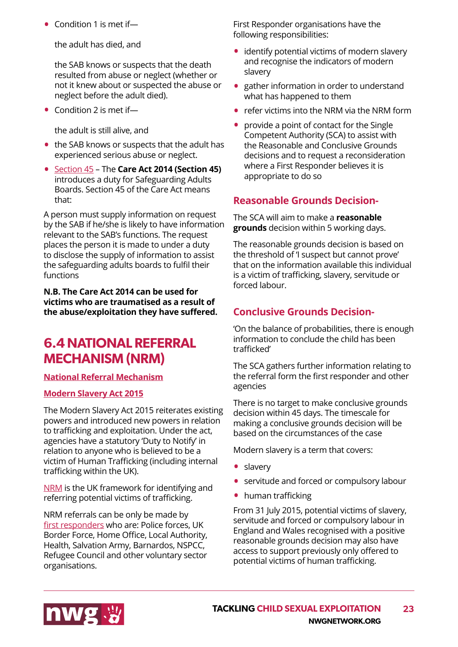<span id="page-22-0"></span>• Condition 1 is met if-

the adult has died, and

the SAB knows or suspects that the death resulted from abuse or neglect (whether or not it knew about or suspected the abuse or neglect before the adult died).

• Condition 2 is met if-

the adult is still alive, and

- the SAB knows or suspects that the adult has experienced serious abuse or neglect.
- [Section 45](http://www.legislation.gov.uk/ukpga/2014/23/part/1/crossheading/safeguarding-adults-at-risk-of-abuse-or-neglect/enacted)  The **Care Act 2014 (Section 45)**  introduces a duty for Safeguarding Adults Boards. Section 45 of the Care Act means that:

A person must supply information on request by the SAB if he/she is likely to have information relevant to the SAB's functions. The request places the person it is made to under a duty to disclose the supply of information to assist the safeguarding adults boards to fulfil their functions

**N.B. The Care Act 2014 can be used for victims who are traumatised as a result of the abuse/exploitation they have suffered.**

# **6.4 NATIONAL REFERRAL MECHANISM (NRM)**

### **[National Referral Mechanism](https://www.gov.uk/government/publications/human-trafficking-victims-referral-and-assessment-forms)**

#### **[Modern Slavery Act 2015](http://www.legislation.gov.uk/ukpga/2015/30/section/2/enacted)**

The Modern Slavery Act 2015 reiterates existing powers and introduced new powers in relation to trafficking and exploitation. Under the act, agencies have a statutory 'Duty to Notify' in relation to anyone who is believed to be a victim of Human Trafficking (including internal trafficking within the UK).

[NRM](https://www.gov.uk/government/publications/human-trafficking-victims-referral-and-assessment-forms) is the UK framework for identifying and referring potential victims of trafficking.

NRM referrals can be only be made by [first responders](https://www.gov.uk/government/publications/human-trafficking-victims-referral-and-assessment-forms/guidance-on-the-national-referral-mechanism-for-potential-adult-victims-of-modern-slavery-england-and-wales) who are: Police forces, UK Border Force, Home Office, Local Authority, Health, Salvation Army, Barnardos, NSPCC, Refugee Council and other voluntary sector organisations.

First Responder organisations have the following responsibilities:

- identify potential victims of modern slavery and recognise the indicators of modern slavery
- gather information in order to understand what has happened to them
- refer victims into the NRM via the NRM form
- provide a point of contact for the Single Competent Authority (SCA) to assist with the Reasonable and Conclusive Grounds decisions and to request a reconsideration where a First Responder believes it is appropriate to do so

## **Reasonable Grounds Decision-**

The SCA will aim to make a **reasonable grounds** decision within 5 working days.

The reasonable grounds decision is based on the threshold of 'I suspect but cannot prove' that on the information available this individual is a victim of trafficking, slavery, servitude or forced labour.

# **Conclusive Grounds Decision-**

'On the balance of probabilities, there is enough information to conclude the child has been trafficked'

The SCA gathers further information relating to the referral form the first responder and other agencies

There is no target to make conclusive grounds decision within 45 days. The timescale for making a conclusive grounds decision will be based on the circumstances of the case

Modern slavery is a term that covers:

- slavery
- servitude and forced or compulsory labour
- human trafficking

From 31 July 2015, potential victims of slavery, servitude and forced or compulsory labour in England and Wales recognised with a positive reasonable grounds decision may also have access to support previously only offered to potential victims of human trafficking.

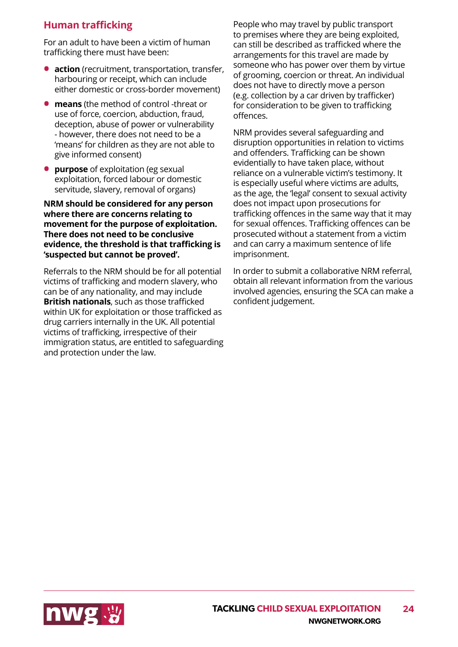# **Human trafficking**

For an adult to have been a victim of human trafficking there must have been:

- **• action** (recruitment, transportation, transfer, harbouring or receipt, which can include either domestic or cross-border movement)
- **• means** (the method of control -threat or use of force, coercion, abduction, fraud, deception, abuse of power or vulnerability - however, there does not need to be a 'means' for children as they are not able to give informed consent)
- **• purpose** of exploitation (eg sexual exploitation, forced labour or domestic servitude, slavery, removal of organs)

**NRM should be considered for any person where there are concerns relating to movement for the purpose of exploitation. There does not need to be conclusive evidence, the threshold is that trafficking is 'suspected but cannot be proved'.**

Referrals to the NRM should be for all potential victims of trafficking and modern slavery, who can be of any nationality, and may include **British nationals**, such as those trafficked within UK for exploitation or those trafficked as drug carriers internally in the UK. All potential victims of trafficking, irrespective of their immigration status, are entitled to safeguarding and protection under the law.

People who may travel by public transport to premises where they are being exploited, can still be described as trafficked where the arrangements for this travel are made by someone who has power over them by virtue of grooming, coercion or threat. An individual does not have to directly move a person (e.g. collection by a car driven by trafficker) for consideration to be given to trafficking offences.

NRM provides several safeguarding and disruption opportunities in relation to victims and offenders. Trafficking can be shown evidentially to have taken place, without reliance on a vulnerable victim's testimony. It is especially useful where victims are adults, as the age, the 'legal' consent to sexual activity does not impact upon prosecutions for trafficking offences in the same way that it may for sexual offences. Trafficking offences can be prosecuted without a statement from a victim and can carry a maximum sentence of life imprisonment.

In order to submit a collaborative NRM referral, obtain all relevant information from the various involved agencies, ensuring the SCA can make a confident judgement.

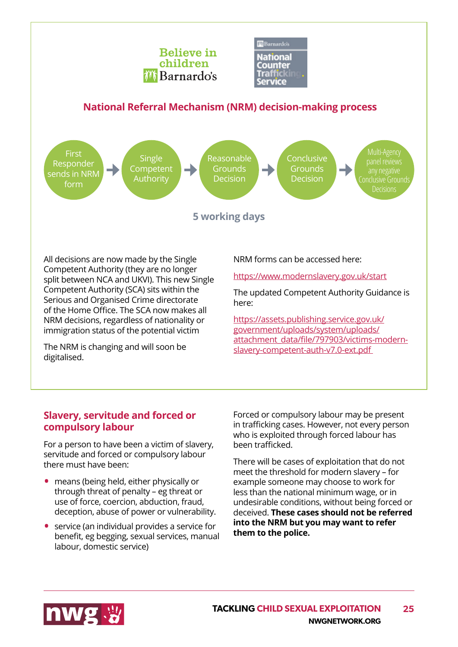

The updated Competent Authority Guidance is here:

[https://assets.publishing.service.gov.uk/](https://assets.publishing.service.gov.uk/government/uploads/system/uploads/attachment_data/file/7979) [government/uploads/system/uploads/](https://assets.publishing.service.gov.uk/government/uploads/system/uploads/attachment_data/file/7979) [attachment\\_data/file/797903/victims-modern](https://assets.publishing.service.gov.uk/government/uploads/system/uploads/attachment_data/file/7979)[slavery-competent-auth-v7.0-ext.pdf](https://assets.publishing.service.gov.uk/government/uploads/system/uploads/attachment_data/file/7979) 

### **Slavery, servitude and forced or compulsory labour**

Serious and Organised Crime directorate of the Home Office. The SCA now makes all NRM decisions, regardless of nationality or immigration status of the potential victim

The NRM is changing and will soon be

digitalised.

For a person to have been a victim of slavery, servitude and forced or compulsory labour there must have been:

- means (being held, either physically or through threat of penalty – eg threat or use of force, coercion, abduction, fraud, deception, abuse of power or vulnerability.
- service (an individual provides a service for benefit, eg begging, sexual services, manual labour, domestic service)

Forced or compulsory labour may be present in trafficking cases. However, not every person who is exploited through forced labour has been trafficked.

There will be cases of exploitation that do not meet the threshold for modern slavery – for example someone may choose to work for less than the national minimum wage, or in undesirable conditions, without being forced or deceived. **These cases should not be referred into the NRM but you may want to refer them to the police.**

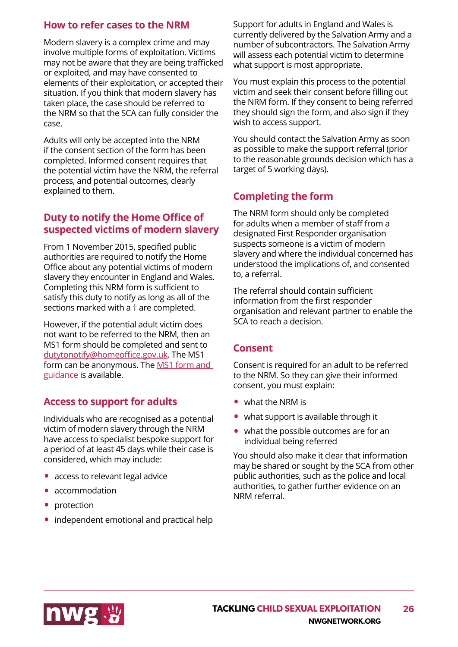### **How to refer cases to the NRM**

Modern slavery is a complex crime and may involve multiple forms of exploitation. Victims may not be aware that they are being trafficked or exploited, and may have consented to elements of their exploitation, or accepted their situation. If you think that modern slavery has taken place, the case should be referred to the NRM so that the SCA can fully consider the case.

Adults will only be accepted into the NRM if the consent section of the form has been completed. Informed consent requires that the potential victim have the NRM, the referral process, and potential outcomes, clearly explained to them.

## **Duty to notify the Home Office of suspected victims of modern slavery**

From 1 November 2015, specified public authorities are required to notify the Home Office about any potential victims of modern slavery they encounter in England and Wales. Completing this NRM form is sufficient to satisfy this duty to notify as long as all of the sections marked with a † are completed.

However, if the potential adult victim does not want to be referred to the NRM, then an MS1 form should be completed and sent to [dutytonotify@homeoffice.gov.uk](mailto:dutytonotify@homeoffice.gov.uk). The MS1 form can be anonymous. The MS1 form and [guidance](https://www.gov.uk/government/publications/duty-to-notify-the-home-office-of-potential-victims-of-modern-slavery) is available.

# **Access to support for adults**

Individuals who are recognised as a potential victim of modern slavery through the NRM have access to specialist bespoke support for a period of at least 45 days while their case is considered, which may include:

- access to relevant legal advice
- accommodation
- protection
- independent emotional and practical help

Support for adults in England and Wales is currently delivered by the Salvation Army and a number of subcontractors. The Salvation Army will assess each potential victim to determine what support is most appropriate.

You must explain this process to the potential victim and seek their consent before filling out the NRM form. If they consent to being referred they should sign the form, and also sign if they wish to access support.

You should contact the Salvation Army as soon as possible to make the support referral (prior to the reasonable grounds decision which has a target of 5 working days).

# **Completing the form**

The NRM form should only be completed for adults when a member of staff from a designated First Responder organisation suspects someone is a victim of modern slavery and where the individual concerned has understood the implications of, and consented to, a referral.

The referral should contain sufficient information from the first responder organisation and relevant partner to enable the SCA to reach a decision.

### **Consent**

Consent is required for an adult to be referred to the NRM. So they can give their informed consent, you must explain:

- what the NRM is
- what support is available through it
- what the possible outcomes are for an individual being referred

You should also make it clear that information may be shared or sought by the SCA from other public authorities, such as the police and local authorities, to gather further evidence on an NRM referral.

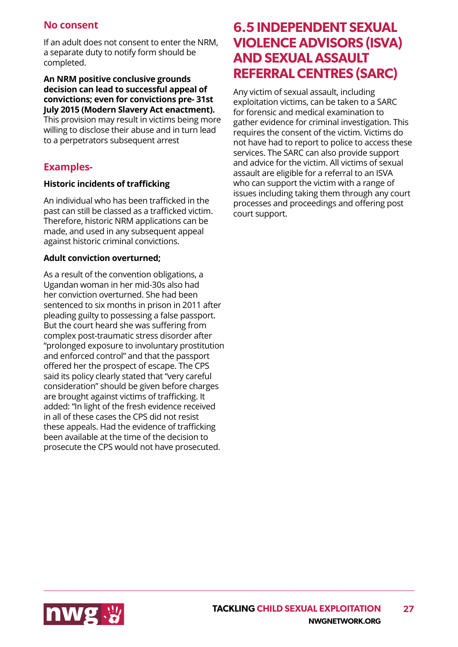### <span id="page-26-0"></span>**No consent**

If an adult does not consent to enter the NRM, a separate duty to notify form should be completed.

**An NRM positive conclusive grounds decision can lead to successful appeal of convictions; even for convictions pre- 31st July 2015 (Modern Slavery Act enactment).** This provision may result in victims being more willing to disclose their abuse and in turn lead to a perpetrators subsequent arrest

# **Examples-**

### **Historic incidents of trafficking**

An individual who has been trafficked in the past can still be classed as a trafficked victim. Therefore, historic NRM applications can be made, and used in any subsequent appeal against historic criminal convictions.

### **Adult conviction overturned;**

As a result of the convention obligations, a Ugandan woman in her mid-30s also had her conviction overturned. She had been sentenced to six months in prison in 2011 after pleading guilty to possessing a false passport. But the court heard she was suffering from complex post-traumatic stress disorder after "prolonged exposure to involuntary prostitution and enforced control" and that the passport offered her the prospect of escape. The CPS said its policy clearly stated that "very careful consideration" should be given before charges are brought against victims of trafficking. It added: "In light of the fresh evidence received in all of these cases the CPS did not resist these appeals. Had the evidence of trafficking been available at the time of the decision to prosecute the CPS would not have prosecuted.

# **6.5 INDEPENDENT SEXUAL VIOLENCE ADVISORS (ISVA) AND SEXUAL ASSAULT REFERRAL CENTRES (SARC)**

Any victim of sexual assault, including exploitation victims, can be taken to a SARC for forensic and medical examination to gather evidence for criminal investigation. This requires the consent of the victim. Victims do not have had to report to police to access these services. The SARC can also provide support and advice for the victim. All victims of sexual assault are eligible for a referral to an ISVA who can support the victim with a range of issues including taking them through any court processes and proceedings and offering post court support.

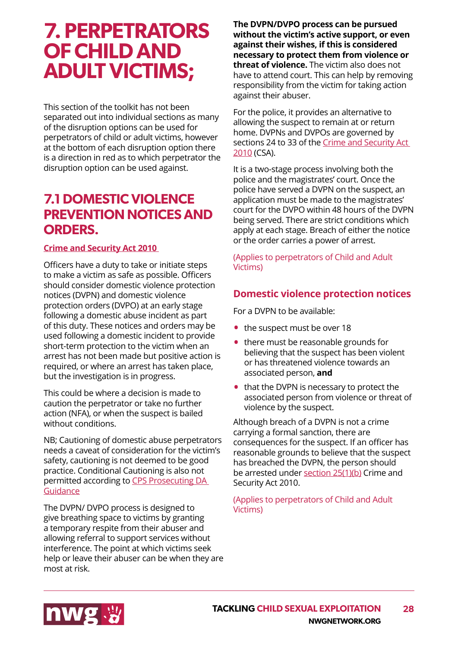# <span id="page-27-0"></span>**7. PERPETRATORS OF CHILD AND ADULT VICTIMS;**

This section of the toolkit has not been separated out into individual sections as many of the disruption options can be used for perpetrators of child or adult victims, however at the bottom of each disruption option there is a direction in red as to which perpetrator the disruption option can be used against.

# **7.1 DOMESTIC VIOLENCE PREVENTION NOTICES AND ORDERS.**

### **[Crime and Security Act 2010](https://www.legislation.gov.uk/ukpga/2010/17/crossheading/domestic-violence)**

Officers have a duty to take or initiate steps to make a victim as safe as possible. Officers should consider domestic violence protection notices (DVPN) and domestic violence protection orders (DVPO) at an early stage following a domestic abuse incident as part of this duty. These notices and orders may be used following a domestic incident to provide short-term protection to the victim when an arrest has not been made but positive action is required, or where an arrest has taken place, but the investigation is in progress.

This could be where a decision is made to caution the perpetrator or take no further action (NFA), or when the suspect is bailed without conditions.

NB; Cautioning of domestic abuse perpetrators needs a caveat of consideration for the victim's safety, cautioning is not deemed to be good practice. Conditional Cautioning is also not permitted according to [CPS Prosecuting DA](https://www.cps.gov.uk/legal-guidance/domestic-abuse-guidelines-prosecutors)  [Guidance](https://www.cps.gov.uk/legal-guidance/domestic-abuse-guidelines-prosecutors)

The DVPN/ DVPO process is designed to give breathing space to victims by granting a temporary respite from their abuser and allowing referral to support services without interference. The point at which victims seek help or leave their abuser can be when they are most at risk.

**The DVPN/DVPO process can be pursued without the victim's active support, or even against their wishes, if this is considered necessary to protect them from violence or threat of violence.** The victim also does not have to attend court. This can help by removing responsibility from the victim for taking action against their abuser.

For the police, it provides an alternative to allowing the suspect to remain at or return home. DVPNs and DVPOs are governed by sections 24 to 33 of the [Crime and Security Act](http://www.legislation.gov.uk/ukpga/2010/17/crossheading/domestic-violence)  [2010](http://www.legislation.gov.uk/ukpga/2010/17/crossheading/domestic-violence) (CSA).

It is a two-stage process involving both the police and the magistrates' court. Once the police have served a DVPN on the suspect, an application must be made to the magistrates' court for the DVPO within 48 hours of the DVPN being served. There are strict conditions which apply at each stage. Breach of either the notice or the order carries a power of arrest.

### (Applies to perpetrators of Child and Adult Victims)

# **Domestic violence protection notices**

For a DVPN to be available:

- the suspect must be over 18
- there must be reasonable grounds for believing that the suspect has been violent or has threatened violence towards an associated person, **and**
- that the DVPN is necessary to protect the associated person from violence or threat of violence by the suspect.

Although breach of a DVPN is not a crime carrying a formal sanction, there are consequences for the suspect. If an officer has reasonable grounds to believe that the suspect has breached the DVPN, the person should be arrested under [section 25\(1\)\(b\)](http://www.legislation.gov.uk/ukpga/2010/17/section/25) Crime and Security Act 2010.

(Applies to perpetrators of Child and Adult Victims)

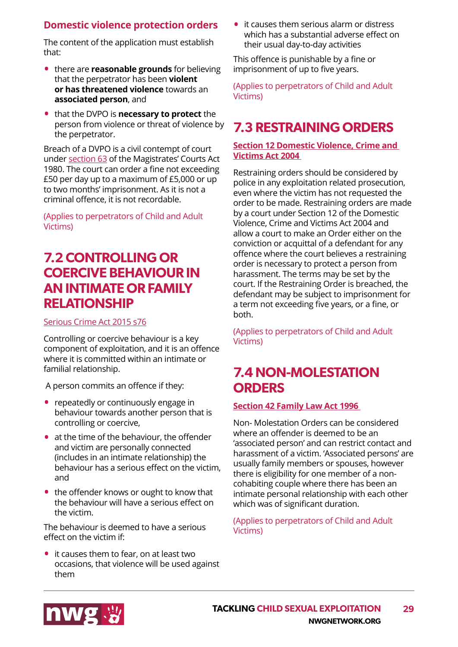# <span id="page-28-0"></span>**Domestic violence protection orders**

The content of the application must establish that:

- there are **reasonable grounds** for believing that the perpetrator has been **violent or has threatened violence** towards an **associated person**, and
- that the DVPO is **necessary to protect** the person from violence or threat of violence by the perpetrator.

Breach of a DVPO is a civil contempt of court under [section 63](http://www.legislation.gov.uk/ukpga/1980/43/section/63) of the Magistrates' Courts Act 1980. The court can order a fine not exceeding £50 per day up to a maximum of £5,000 or up to two months' imprisonment. As it is not a criminal offence, it is not recordable.

(Applies to perpetrators of Child and Adult Victims)

# **7.2 CONTROLLING OR COERCIVE BEHAVIOUR IN AN INTIMATE OR FAMILY RELATIONSHIP**

[Serious Crime Act 2015 s76](http://www.legislation.gov.uk/ukpga/2015/9/section/76/enacted)

Controlling or coercive behaviour is a key component of exploitation, and it is an offence where it is committed within an intimate or familial relationship.

A person commits an offence if they:

- repeatedly or continuously engage in behaviour towards another person that is controlling or coercive,
- at the time of the behaviour, the offender and victim are personally connected (includes in an intimate relationship) the behaviour has a serious effect on the victim, and
- the offender knows or ought to know that the behaviour will have a serious effect on the victim.

The behaviour is deemed to have a serious effect on the victim if:

• it causes them to fear, on at least two occasions, that violence will be used against them

• it causes them serious alarm or distress which has a substantial adverse effect on their usual day-to-day activities

This offence is punishable by a fine or imprisonment of up to five years.

(Applies to perpetrators of Child and Adult Victims)

# **7.3 RESTRAINING ORDERS**

#### **[Section 12 Domestic Violence, Crime and](https://www.legislation.gov.uk/ukpga/2004/28/section/12)  [Victims Act 2004](https://www.legislation.gov.uk/ukpga/2004/28/section/12)**

Restraining orders should be considered by police in any exploitation related prosecution, even where the victim has not requested the order to be made. Restraining orders are made by a court under Section 12 of the Domestic Violence, Crime and Victims Act 2004 and allow a court to make an Order either on the conviction or acquittal of a defendant for any offence where the court believes a restraining order is necessary to protect a person from harassment. The terms may be set by the court. If the Restraining Order is breached, the defendant may be subject to imprisonment for a term not exceeding five years, or a fine, or both.

(Applies to perpetrators of Child and Adult Victims)

# **7.4 NON-MOLESTATION ORDERS**

### **[Section 42 Family Law Act 1996](https://www.legislation.gov.uk/ukpga/1996/27/section/42)**

Non- Molestation Orders can be considered where an offender is deemed to be an 'associated person' and can restrict contact and harassment of a victim. 'Associated persons' are usually family members or spouses, however there is eligibility for one member of a noncohabiting couple where there has been an intimate personal relationship with each other which was of significant duration.

(Applies to perpetrators of Child and Adult Victims)

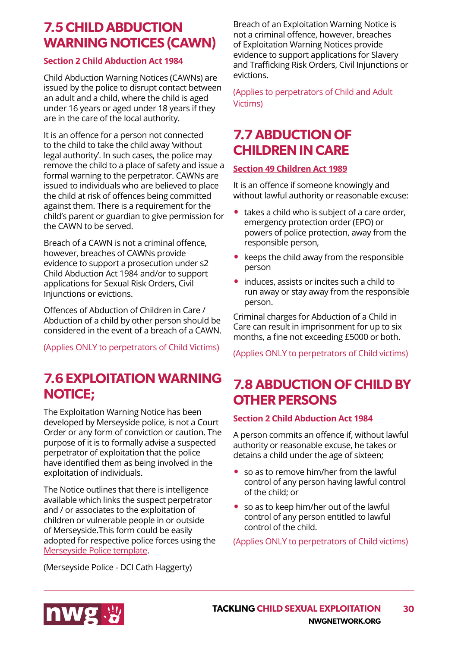# <span id="page-29-0"></span>**7.5 CHILD ABDUCTION WARNING NOTICES (CAWN)**

### **[Section 2 Child Abduction Act 1984](https://www.legislation.gov.uk/ukpga/1984/37/section/2)**

Child Abduction Warning Notices (CAWNs) are issued by the police to disrupt contact between an adult and a child, where the child is aged under 16 years or aged under 18 years if they are in the care of the local authority.

It is an offence for a person not connected to the child to take the child away 'without legal authority'. In such cases, the police may remove the child to a place of safety and issue a formal warning to the perpetrator. CAWNs are issued to individuals who are believed to place the child at risk of offences being committed against them. There is a requirement for the child's parent or guardian to give permission for the CAWN to be served.

Breach of a CAWN is not a criminal offence, however, breaches of CAWNs provide evidence to support a prosecution under s2 Child Abduction Act 1984 and/or to support applications for Sexual Risk Orders, Civil Injunctions or evictions.

Offences of Abduction of Children in Care / Abduction of a child by other person should be considered in the event of a breach of a CAWN.

(Applies ONLY to perpetrators of Child Victims)

# **7.6 EXPLOITATION WARNING NOTICE;**

The Exploitation Warning Notice has been developed by Merseyside police, is not a Court Order or any form of conviction or caution. The purpose of it is to formally advise a suspected perpetrator of exploitation that the police have identified them as being involved in the exploitation of individuals.

The Notice outlines that there is intelligence available which links the suspect perpetrator and / or associates to the exploitation of children or vulnerable people in or outside of Merseyside.This form could be easily adopted for respective police forces using the [Merseyside Police template](http://www.stop-cse.org/download/5305/).

Breach of an Exploitation Warning Notice is not a criminal offence, however, breaches of Exploitation Warning Notices provide evidence to support applications for Slavery and Trafficking Risk Orders, Civil Injunctions or evictions.

(Applies to perpetrators of Child and Adult Victims)

# **7.7 ABDUCTION OF CHILDREN IN CARE**

### **[Section 49 Children Act 1989](https://www.legislation.gov.uk/ukpga/1989/41/section/49)**

It is an offence if someone knowingly and without lawful authority or reasonable excuse:

- takes a child who is subject of a care order, emergency protection order (EPO) or powers of police protection, away from the responsible person,
- keeps the child away from the responsible person
- induces, assists or incites such a child to run away or stay away from the responsible person.

Criminal charges for Abduction of a Child in Care can result in imprisonment for up to six months, a fine not exceeding £5000 or both.

(Applies ONLY to perpetrators of Child victims)

# **7.8 ABDUCTION OF CHILD BY OTHER PERSONS**

### **[Section 2 Child Abduction Act 1984](https://www.legislation.gov.uk/ukpga/1984/37/section/2)**

A person commits an offence if, without lawful authority or reasonable excuse, he takes or detains a child under the age of sixteen;

- so as to remove him/her from the lawful control of any person having lawful control of the child; or
- so as to keep him/her out of the lawful control of any person entitled to lawful control of the child.

(Applies ONLY to perpetrators of Child victims)

(Merseyside Police - DCI Cath Haggerty)

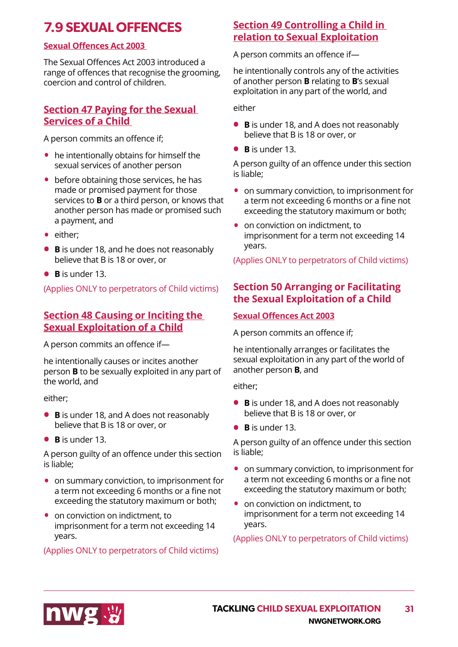# <span id="page-30-0"></span>**7.9 SEXUAL OFFENCES**

#### **[Sexual Offences Act 2003](https://www.legislation.gov.uk/ukpga/2003/42/contents)**

The Sexual Offences Act 2003 introduced a range of offences that recognise the grooming, coercion and control of children.

### **[Section 47 Paying for the Sexual](https://www.legislation.gov.uk/ukpga/2003/42/section/47)  [Services of a Child](https://www.legislation.gov.uk/ukpga/2003/42/section/47)**

A person commits an offence if;

- he intentionally obtains for himself the sexual services of another person
- before obtaining those services, he has made or promised payment for those services to **B** or a third person, or knows that another person has made or promised such a payment, and
- either:
- **• <sup>B</sup>** is under 18, and he does not reasonably believe that B is 18 or over, or
- **• <sup>B</sup>**is under 13.

(Applies ONLY to perpetrators of Child victims)

### **[Section 48 Causing or Inciting the](https://www.legislation.gov.uk/ukpga/2003/42/section/48)  [Sexual Exploitation of a Child](https://www.legislation.gov.uk/ukpga/2003/42/section/48)**

A person commits an offence if—

he intentionally causes or incites another person **B** to be sexually exploited in any part of the world, and

either;

- **• <sup>B</sup>** is under 18, and A does not reasonably believe that B is 18 or over, or
- **• <sup>B</sup>** is under 13.

A person guilty of an offence under this section is liable;

- on summary conviction, to imprisonment for a term not exceeding 6 months or a fine not exceeding the statutory maximum or both;
- on conviction on indictment, to imprisonment for a term not exceeding 14 years.

(Applies ONLY to perpetrators of Child victims)

### **[Section 49 Controlling a Child in](https://www.legislation.gov.uk/ukpga/2003/42/section/49)  [relation to Sexual Exploitation](https://www.legislation.gov.uk/ukpga/2003/42/section/49)**

A person commits an offence if—

he intentionally controls any of the activities of another person **B** relating to **B**'s sexual exploitation in any part of the world, and

either

- **• <sup>B</sup>** is under 18, and A does not reasonably believe that B is 18 or over, or
- **• <sup>B</sup>** is under 13.

A person guilty of an offence under this section is liable;

- on summary conviction, to imprisonment for a term not exceeding 6 months or a fine not exceeding the statutory maximum or both;
- on conviction on indictment, to imprisonment for a term not exceeding 14 years.

(Applies ONLY to perpetrators of Child victims)

### **Section 50 Arranging or Facilitating the Sexual Exploitation of a Child**

#### **[Sexual Offences Act 2003](https://www.legislation.gov.uk/ukpga/2003/42/contents)**

A person commits an offence if;

he intentionally arranges or facilitates the sexual exploitation in any part of the world of another person **B**, and

either;

- **• <sup>B</sup>** is under 18, and A does not reasonably believe that B is 18 or over, or
- **• <sup>B</sup>** is under 13.

A person guilty of an offence under this section is liable;

- on summary conviction, to imprisonment for a term not exceeding 6 months or a fine not exceeding the statutory maximum or both;
- on conviction on indictment, to imprisonment for a term not exceeding 14 years.

(Applies ONLY to perpetrators of Child victims)

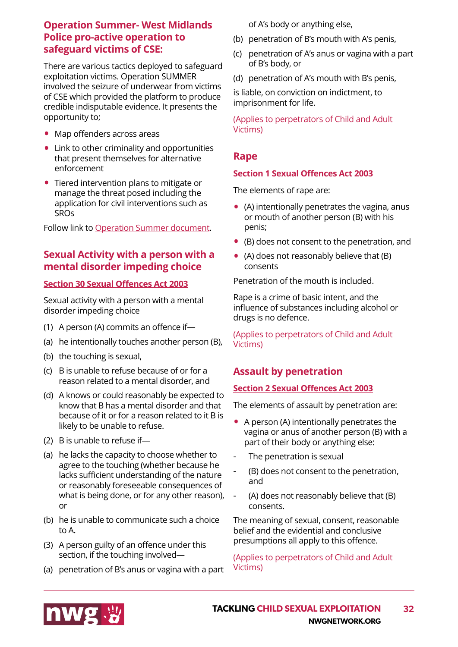### **Operation Summer- West Midlands Police pro-active operation to safeguard victims of CSE:**

There are various tactics deployed to safeguard exploitation victims. Operation SUMMER involved the seizure of underwear from victims of CSE which provided the platform to produce credible indisputable evidence. It presents the opportunity to;

- Map offenders across areas
- Link to other criminality and opportunities that present themselves for alternative enforcement
- Tiered intervention plans to mitigate or manage the threat posed including the application for civil interventions such as SROs

Follow link to [Operation Summer document](http://www.stop-cse.org/download/5314/).

# **Sexual Activity with a person with a mental disorder impeding choice**

#### **[Section 30 Sexual Offences Act 2003](http://www.legislation.gov.uk/ukpga/2003/42/section/30/2010-12-01)**

Sexual activity with a person with a mental disorder impeding choice

- (1) A person (A) commits an offence if—
- (a) he intentionally touches another person (B),
- (b) the touching is sexual,
- (c) B is unable to refuse because of or for a reason related to a mental disorder, and
- (d) A knows or could reasonably be expected to know that B has a mental disorder and that because of it or for a reason related to it B is likely to be unable to refuse.
- (2) B is unable to refuse if—
- (a) he lacks the capacity to choose whether to agree to the touching (whether because he lacks sufficient understanding of the nature or reasonably foreseeable consequences of what is being done, or for any other reason), or
- (b) he is unable to communicate such a choice to A.
- (3) A person guilty of an offence under this section, if the touching involved—
- (a) penetration of B's anus or vagina with a part

of A's body or anything else,

- (b) penetration of B's mouth with A's penis,
- (c) penetration of A's anus or vagina with a part of B's body, or
- (d) penetration of A's mouth with B's penis,

is liable, on conviction on indictment, to imprisonment for life.

(Applies to perpetrators of Child and Adult Victims)

### **Rape**

### **[Section 1 Sexual Offences Act 2003](http://www.legislation.gov.uk/ukpga/2003/42/part/1/crossheading/rape)**

The elements of rape are:

- (A) intentionally penetrates the vagina, anus or mouth of another person (B) with his penis;
- (B) does not consent to the penetration, and
- (A) does not reasonably believe that (B) consents

Penetration of the mouth is included.

Rape is a crime of basic intent, and the influence of substances including alcohol or drugs is no defence.

(Applies to perpetrators of Child and Adult Victims)

# **Assault by penetration**

### **[Section 2 Sexual Offences Act 2003](http://www.legislation.gov.uk/ukpga/2003/42/section/2)**

The elements of assault by penetration are:

- A person (A) intentionally penetrates the vagina or anus of another person (B) with a part of their body or anything else:
- The penetration is sexual
- (B) does not consent to the penetration, and
- (A) does not reasonably believe that (B) consents.

The meaning of sexual, consent, reasonable belief and the evidential and conclusive presumptions all apply to this offence.

(Applies to perpetrators of Child and Adult Victims)

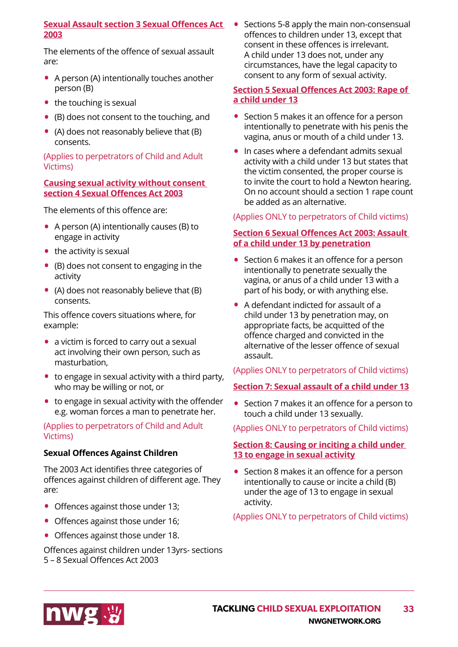### **[Sexual Assault section 3 Sexual Offences Act](http://www.legislation.gov.uk/ukpga/2003/42/schedule/3)  [2003](http://www.legislation.gov.uk/ukpga/2003/42/schedule/3)**

The elements of the offence of sexual assault are:

- A person (A) intentionally touches another person (B)
- the touching is sexual
- (B) does not consent to the touching, and
- (A) does not reasonably believe that (B) consents.

(Applies to perpetrators of Child and Adult Victims)

#### **[Causing sexual activity without consent](http://www.legislation.gov.uk/ukpga/2003/42/section/4)  [section 4 Sexual Offences Act 2003](http://www.legislation.gov.uk/ukpga/2003/42/section/4)**

The elements of this offence are:

- A person (A) intentionally causes (B) to engage in activity
- the activity is sexual
- (B) does not consent to engaging in the activity
- (A) does not reasonably believe that (B) consents.

This offence covers situations where, for example:

- a victim is forced to carry out a sexual act involving their own person, such as masturbation,
- to engage in sexual activity with a third party, who may be willing or not, or
- to engage in sexual activity with the offender e.g. woman forces a man to penetrate her.

(Applies to perpetrators of Child and Adult Victims)

#### **Sexual Offences Against Children**

The 2003 Act identifies three categories of offences against children of different age. They are:

- Offences against those under 13;
- Offences against those under 16;
- Offences against those under 18.

Offences against children under 13yrs- sections 5 – 8 Sexual Offences Act 2003

• Sections 5-8 apply the main non-consensual offences to children under 13, except that consent in these offences is irrelevant. A child under 13 does not, under any circumstances, have the legal capacity to consent to any form of sexual activity.

#### **[Section 5 Sexual Offences Act 2003: Rape of](http://www.legislation.gov.uk/ukpga/2003/42/section/5)  [a child under 13](http://www.legislation.gov.uk/ukpga/2003/42/section/5)**

- Section 5 makes it an offence for a person intentionally to penetrate with his penis the vagina, anus or mouth of a child under 13.
- In cases where a defendant admits sexual activity with a child under 13 but states that the victim consented, the proper course is to invite the court to hold a Newton hearing. On no account should a section 1 rape count be added as an alternative.

#### (Applies ONLY to perpetrators of Child victims)

#### **[Section 6 Sexual Offences Act 2003: Assault](http://www.legislation.gov.uk/ukpga/2003/42/section/6/2008-05-15)  [of a child under 13 by penetration](http://www.legislation.gov.uk/ukpga/2003/42/section/6/2008-05-15)**

- Section 6 makes it an offence for a person intentionally to penetrate sexually the vagina, or anus of a child under 13 with a part of his body, or with anything else.
- A defendant indicted for assault of a child under 13 by penetration may, on appropriate facts, be acquitted of the offence charged and convicted in the alternative of the lesser offence of sexual assault.

#### (Applies ONLY to perpetrators of Child victims)

#### **[Section 7: Sexual assault of a child under 13](http://www.legislation.gov.uk/ukpga/2003/42/section/7)**

• Section 7 makes it an offence for a person to touch a child under 13 sexually.

#### (Applies ONLY to perpetrators of Child victims)

#### **[Section 8: Causing or inciting a child under](http://www.legislation.gov.uk/ukpga/2003/42/section/8)  [13 to engage in sexual activity](http://www.legislation.gov.uk/ukpga/2003/42/section/8)**

• Section 8 makes it an offence for a person intentionally to cause or incite a child (B) under the age of 13 to engage in sexual activity.

(Applies ONLY to perpetrators of Child victims)

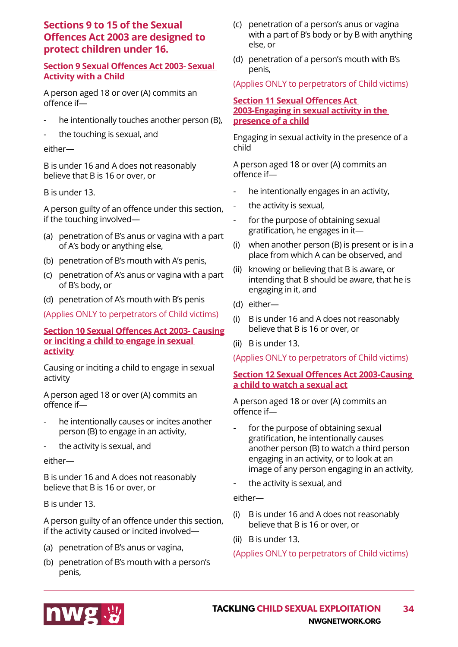### **Sections 9 to 15 of the Sexual Offences Act 2003 are designed to protect children under 16.**

#### **[Section 9 Sexual Offences Act 2003- Sexual](http://www.legislation.gov.uk/ukpga/2003/42/section/9)  [Activity with a Child](http://www.legislation.gov.uk/ukpga/2003/42/section/9)**

A person aged 18 or over (A) commits an offence if—

- he intentionally touches another person (B),
- the touching is sexual, and

#### either—

B is under 16 and A does not reasonably believe that B is 16 or over, or

B is under 13.

A person guilty of an offence under this section, if the touching involved—

- (a) penetration of B's anus or vagina with a part of A's body or anything else,
- (b) penetration of B's mouth with A's penis,
- (c) penetration of A's anus or vagina with a part of B's body, or
- (d) penetration of A's mouth with B's penis

(Applies ONLY to perpetrators of Child victims)

#### **[Section 10 Sexual Offences Act 2003- Causing](http://www.legislation.gov.uk/ukpga/2003/42/section/10)  [or inciting a child to engage in sexual](http://www.legislation.gov.uk/ukpga/2003/42/section/10)  [activity](http://www.legislation.gov.uk/ukpga/2003/42/section/10)**

Causing or inciting a child to engage in sexual activity

A person aged 18 or over (A) commits an offence if—

- he intentionally causes or incites another person (B) to engage in an activity,
- the activity is sexual, and

#### either—

B is under 16 and A does not reasonably believe that B is 16 or over, or

B is under 13.

A person guilty of an offence under this section, if the activity caused or incited involved—

- (a) penetration of B's anus or vagina,
- (b) penetration of B's mouth with a person's penis,
- (c) penetration of a person's anus or vagina with a part of B's body or by B with anything else, or
- (d) penetration of a person's mouth with B's penis,

(Applies ONLY to perpetrators of Child victims)

#### **[Section 11 Sexual Offences Act](http://www.legislation.gov.uk/ukpga/2003/42/section/11/enacted)  [2003-Engaging in sexual activity in the](http://www.legislation.gov.uk/ukpga/2003/42/section/11/enacted)  [presence of a child](http://www.legislation.gov.uk/ukpga/2003/42/section/11/enacted)**

Engaging in sexual activity in the presence of a child

A person aged 18 or over (A) commits an offence if—

- he intentionally engages in an activity,
- the activity is sexual,
- for the purpose of obtaining sexual gratification, he engages in it—
- (i) when another person (B) is present or is in a place from which A can be observed, and
- (ii) knowing or believing that B is aware, or intending that B should be aware, that he is engaging in it, and
- (d) either—
- (i) B is under 16 and A does not reasonably believe that B is 16 or over, or
- (ii) B is under 13.

(Applies ONLY to perpetrators of Child victims)

#### **[Section 12 Sexual Offences Act 2003-Causing](http://www.legislation.gov.uk/ukpga/2003/42/section/12)  [a child to watch a sexual act](http://www.legislation.gov.uk/ukpga/2003/42/section/12)**

A person aged 18 or over (A) commits an offence if—

- for the purpose of obtaining sexual gratification, he intentionally causes another person (B) to watch a third person engaging in an activity, or to look at an image of any person engaging in an activity,
- the activity is sexual, and

either—

- (i) B is under 16 and A does not reasonably believe that B is 16 or over, or
- (ii) B is under 13.

#### (Applies ONLY to perpetrators of Child victims)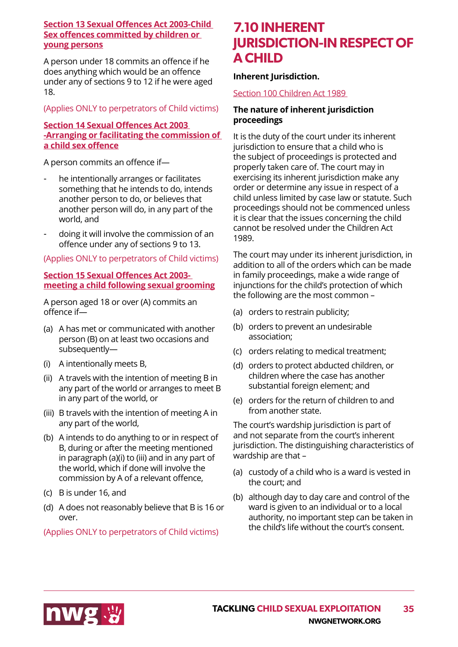#### <span id="page-34-0"></span>**[Section 13 Sexual Offences Act 2003-Child](http://www.legislation.gov.uk/ukpga/2003/42/section/13)  [Sex offences committed by children or](http://www.legislation.gov.uk/ukpga/2003/42/section/13)  [young persons](http://www.legislation.gov.uk/ukpga/2003/42/section/13)**

A person under 18 commits an offence if he does anything which would be an offence under any of sections 9 to 12 if he were aged 18.

### (Applies ONLY to perpetrators of Child victims)

#### **[Section 14 Sexual Offences Act 2003](http://www.legislation.gov.uk/ukpga/2003/42/section/14?view=extent)  [-Arranging or facilitating the commission of](http://www.legislation.gov.uk/ukpga/2003/42/section/14?view=extent)  [a child sex offence](http://www.legislation.gov.uk/ukpga/2003/42/section/14?view=extent)**

A person commits an offence if—

- he intentionally arranges or facilitates something that he intends to do, intends another person to do, or believes that another person will do, in any part of the world, and
- doing it will involve the commission of an offence under any of sections 9 to 13.

### (Applies ONLY to perpetrators of Child victims)

### **[Section 15 Sexual Offences Act 2003](http://www.legislation.gov.uk/ukpga/2003/42/section/15)  [meeting a child following sexual grooming](http://www.legislation.gov.uk/ukpga/2003/42/section/15)**

A person aged 18 or over (A) commits an offence if—

- (a) A has met or communicated with another person (B) on at least two occasions and subsequently-
- (i) A intentionally meets B,
- (ii) A travels with the intention of meeting B in any part of the world or arranges to meet B in any part of the world, or
- (iii) B travels with the intention of meeting A in any part of the world,
- (b) A intends to do anything to or in respect of B, during or after the meeting mentioned in paragraph (a)(i) to (iii) and in any part of the world, which if done will involve the commission by A of a relevant offence,
- (c) B is under 16, and
- (d) A does not reasonably believe that B is 16 or over.

(Applies ONLY to perpetrators of Child victims)

# **7.10 INHERENT JURISDICTION-IN RESPECT OF A CHILD**

### **Inherent Jurisdiction.**

[Section 100 Children Act 1989](http://www.legislation.gov.uk/ukpga/1989/41/section/100) 

#### **The nature of inherent jurisdiction proceedings**

It is the duty of the court under its inherent jurisdiction to ensure that a child who is the subject of proceedings is protected and properly taken care of. The court may in exercising its inherent jurisdiction make any order or determine any issue in respect of a child unless limited by case law or statute. Such proceedings should not be commenced unless it is clear that the issues concerning the child cannot be resolved under the Children Act 1989.

The court may under its inherent jurisdiction, in addition to all of the orders which can be made in family proceedings, make a wide range of injunctions for the child's protection of which the following are the most common –

- (a) orders to restrain publicity;
- (b) orders to prevent an undesirable association;
- (c) orders relating to medical treatment;
- (d) orders to protect abducted children, or children where the case has another substantial foreign element; and
- (e) orders for the return of children to and from another state.

The court's wardship jurisdiction is part of and not separate from the court's inherent jurisdiction. The distinguishing characteristics of wardship are that –

- (a) custody of a child who is a ward is vested in the court; and
- (b) although day to day care and control of the ward is given to an individual or to a local authority, no important step can be taken in the child's life without the court's consent.

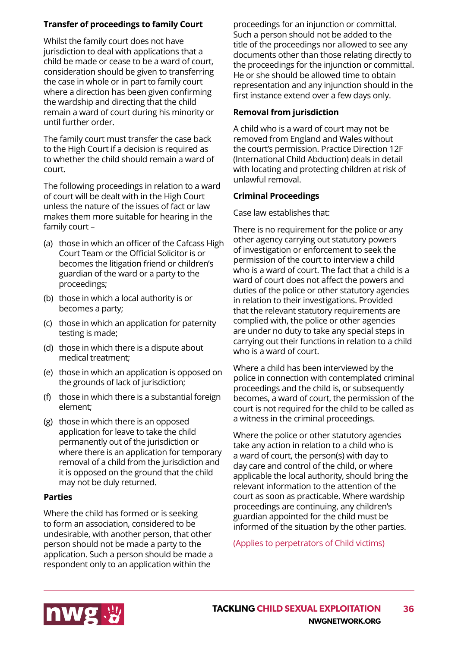### **Transfer of proceedings to family Court**

Whilst the family court does not have jurisdiction to deal with applications that a child be made or cease to be a ward of court, consideration should be given to transferring the case in whole or in part to family court where a direction has been given confirming the wardship and directing that the child remain a ward of court during his minority or until further order.

The family court must transfer the case back to the High Court if a decision is required as to whether the child should remain a ward of court.

The following proceedings in relation to a ward of court will be dealt with in the High Court unless the nature of the issues of fact or law makes them more suitable for hearing in the family court –

- (a) those in which an officer of the Cafcass High Court Team or the Official Solicitor is or becomes the litigation friend or children's guardian of the ward or a party to the proceedings;
- (b) those in which a local authority is or becomes a party;
- (c) those in which an application for paternity testing is made;
- (d) those in which there is a dispute about medical treatment;
- (e) those in which an application is opposed on the grounds of lack of jurisdiction;
- (f) those in which there is a substantial foreign element;
- (g) those in which there is an opposed application for leave to take the child permanently out of the jurisdiction or where there is an application for temporary removal of a child from the jurisdiction and it is opposed on the ground that the child may not be duly returned.

### **Parties**

Where the child has formed or is seeking to form an association, considered to be undesirable, with another person, that other person should not be made a party to the application. Such a person should be made a respondent only to an application within the

proceedings for an injunction or committal. Such a person should not be added to the title of the proceedings nor allowed to see any documents other than those relating directly to the proceedings for the injunction or committal. He or she should be allowed time to obtain representation and any injunction should in the first instance extend over a few days only.

### **Removal from jurisdiction**

A child who is a ward of court may not be removed from England and Wales without the court's permission. Practice Direction 12F (International Child Abduction) deals in detail with locating and protecting children at risk of unlawful removal.

### **Criminal Proceedings**

Case law establishes that:

There is no requirement for the police or any other agency carrying out statutory powers of investigation or enforcement to seek the permission of the court to interview a child who is a ward of court. The fact that a child is a ward of court does not affect the powers and duties of the police or other statutory agencies in relation to their investigations. Provided that the relevant statutory requirements are complied with, the police or other agencies are under no duty to take any special steps in carrying out their functions in relation to a child who is a ward of court.

Where a child has been interviewed by the police in connection with contemplated criminal proceedings and the child is, or subsequently becomes, a ward of court, the permission of the court is not required for the child to be called as a witness in the criminal proceedings.

Where the police or other statutory agencies take any action in relation to a child who is a ward of court, the person(s) with day to day care and control of the child, or where applicable the local authority, should bring the relevant information to the attention of the court as soon as practicable. Where wardship proceedings are continuing, any children's guardian appointed for the child must be informed of the situation by the other parties.

(Applies to perpetrators of Child victims)

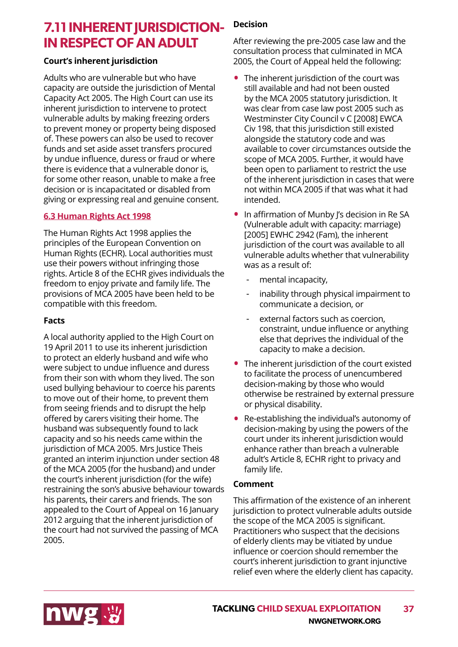# <span id="page-36-0"></span>**7.11 INHERENT JURISDICTION-IN RESPECT OF AN ADULT**

### **Court's inherent jurisdiction**

Adults who are vulnerable but who have capacity are outside the jurisdiction of Mental Capacity Act 2005. The High Court can use its inherent jurisdiction to intervene to protect vulnerable adults by making freezing orders to prevent money or property being disposed of. These powers can also be used to recover funds and set aside asset transfers procured by undue influence, duress or fraud or where there is evidence that a vulnerable donor is, for some other reason, unable to make a free decision or is incapacitated or disabled from giving or expressing real and genuine consent.

### **[6.3 Human Rights Act 1998](http://www.legislation.gov.uk/ukpga/1998/42/contents)**

The Human Rights Act 1998 applies the principles of the European Convention on Human Rights (ECHR). Local authorities must use their powers without infringing those rights. Article 8 of the ECHR gives individuals the freedom to enjoy private and family life. The provisions of MCA 2005 have been held to be compatible with this freedom.

#### **Facts**

A local authority applied to the High Court on 19 April 2011 to use its inherent jurisdiction to protect an elderly husband and wife who were subject to undue influence and duress from their son with whom they lived. The son used bullying behaviour to coerce his parents to move out of their home, to prevent them from seeing friends and to disrupt the help offered by carers visiting their home. The husband was subsequently found to lack capacity and so his needs came within the jurisdiction of MCA 2005. Mrs Justice Theis granted an interim injunction under section 48 of the MCA 2005 (for the husband) and under the court's inherent jurisdiction (for the wife) restraining the son's abusive behaviour towards his parents, their carers and friends. The son appealed to the Court of Appeal on 16 January 2012 arguing that the inherent jurisdiction of the court had not survived the passing of MCA 2005.

## **Decision**

After reviewing the pre-2005 case law and the consultation process that culminated in MCA 2005, the Court of Appeal held the following:

- The inherent jurisdiction of the court was still available and had not been ousted by the MCA 2005 statutory jurisdiction. It was clear from case law post 2005 such as Westminster City Council v C [2008] EWCA Civ 198, that this jurisdiction still existed alongside the statutory code and was available to cover circumstances outside the scope of MCA 2005. Further, it would have been open to parliament to restrict the use of the inherent jurisdiction in cases that were not within MCA 2005 if that was what it had intended.
- In affirmation of Munby I's decision in Re SA (Vulnerable adult with capacity: marriage) [2005] EWHC 2942 (Fam), the inherent jurisdiction of the court was available to all vulnerable adults whether that vulnerability was as a result of:
	- mental incapacity,
	- inability through physical impairment to communicate a decision, or
	- external factors such as coercion. constraint, undue influence or anything else that deprives the individual of the capacity to make a decision.
- The inherent jurisdiction of the court existed to facilitate the process of unencumbered decision-making by those who would otherwise be restrained by external pressure or physical disability.
- Re-establishing the individual's autonomy of decision-making by using the powers of the court under its inherent jurisdiction would enhance rather than breach a vulnerable adult's Article 8, ECHR right to privacy and family life.

### **Comment**

This affirmation of the existence of an inherent jurisdiction to protect vulnerable adults outside the scope of the MCA 2005 is significant. Practitioners who suspect that the decisions of elderly clients may be vitiated by undue influence or coercion should remember the court's inherent jurisdiction to grant injunctive relief even where the elderly client has capacity.

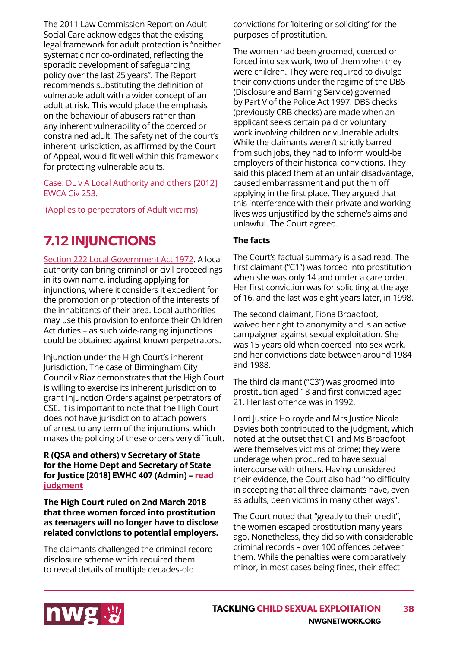<span id="page-37-0"></span>The 2011 Law Commission Report on Adult Social Care acknowledges that the existing legal framework for adult protection is "neither systematic nor co-ordinated, reflecting the sporadic development of safeguarding policy over the last 25 years". The Report recommends substituting the definition of vulnerable adult with a wider concept of an adult at risk. This would place the emphasis on the behaviour of abusers rather than any inherent vulnerability of the coerced or constrained adult. The safety net of the court's inherent jurisdiction, as affirmed by the Court of Appeal, would fit well within this framework for protecting vulnerable adults.

[Case: DL v A Local Authority and others \[2012\]](https://signon.thomsonreuters.com/?productid=PLCUK&viewproductid=UKPL&lr=0&culture=en-GB&returnto=https%3a%2f%2fuk.practicallaw.thomsonreuters.com%2fCosi%2fSignOn%3fredirectTo%3d%252f4-518-9122%253foriginationContext%253ddocument%2526transitionType%253dDocumentItem%2526contextData%253d(sc.Default)%2526firstPage%253dtrue&tracetoken=0916190857300xfmUw0ev9LnoTBEEN3ouYcDYyQZvxeNHJtNy27-G7Rje2okOE_kM5xj3q-VX5tC16DdUefLuxEwBay8Cga7HpZiBMvA12LUkN3gZ_y3K0KqQZxdNmRsRT6xLh0el_DUnF8hHqhg-bQ4y7jy2XcN0putn1JFWQ5CfRFytyFDxOHVkYUX6Jd1Xs3AEtvou7nLLktSa0BrIHq8ekpSGOI1AQy2TZTIUMAkFE4UrRPS8ch-juHk4sjpaEuFg_akhRa2jwoGnDGlDc13zggTs2MjT4LfJ946L4Pup2uKz4CH_upAuMZ9nRvdaeI5QHNy9KhYW-jY5kTk91iQDru3iviruxjTrtgZ5zZPCGmtL4N_33BQTswTXXHu4AxZRwJqbTRt1)  [EWCA Civ 253.](https://signon.thomsonreuters.com/?productid=PLCUK&viewproductid=UKPL&lr=0&culture=en-GB&returnto=https%3a%2f%2fuk.practicallaw.thomsonreuters.com%2fCosi%2fSignOn%3fredirectTo%3d%252f4-518-9122%253foriginationContext%253ddocument%2526transitionType%253dDocumentItem%2526contextData%253d(sc.Default)%2526firstPage%253dtrue&tracetoken=0916190857300xfmUw0ev9LnoTBEEN3ouYcDYyQZvxeNHJtNy27-G7Rje2okOE_kM5xj3q-VX5tC16DdUefLuxEwBay8Cga7HpZiBMvA12LUkN3gZ_y3K0KqQZxdNmRsRT6xLh0el_DUnF8hHqhg-bQ4y7jy2XcN0putn1JFWQ5CfRFytyFDxOHVkYUX6Jd1Xs3AEtvou7nLLktSa0BrIHq8ekpSGOI1AQy2TZTIUMAkFE4UrRPS8ch-juHk4sjpaEuFg_akhRa2jwoGnDGlDc13zggTs2MjT4LfJ946L4Pup2uKz4CH_upAuMZ9nRvdaeI5QHNy9KhYW-jY5kTk91iQDru3iviruxjTrtgZ5zZPCGmtL4N_33BQTswTXXHu4AxZRwJqbTRt1)

(Applies to perpetrators of Adult victims)

# **7.12 INJUNCTIONS**

[Section 222 Local Government Act 1972.](https://www.legislation.gov.uk/ukpga/1972/70/section/222) A local authority can bring criminal or civil proceedings in its own name, including applying for injunctions, where it considers it expedient for the promotion or protection of the interests of the inhabitants of their area. Local authorities may use this provision to enforce their Children Act duties – as such wide-ranging injunctions could be obtained against known perpetrators.

Injunction under the High Court's inherent Jurisdiction. The case of Birmingham City Council v Riaz demonstrates that the High Court is willing to exercise its inherent jurisdiction to grant Injunction Orders against perpetrators of CSE. It is important to note that the High Court does not have jurisdiction to attach powers of arrest to any term of the injunctions, which makes the policing of these orders very difficult.

#### **R (QSA and others) v Secretary of State for the Home Dept and Secretary of State for Justice [2018] EWHC 407 (Admin) – [read](http://www.bailii.org/cgi-bin/format.cgi?doc=/ew/cases/EWHC/Admin/2018/407.html&query=(Broadfoot))  [judgment](http://www.bailii.org/cgi-bin/format.cgi?doc=/ew/cases/EWHC/Admin/2018/407.html&query=(Broadfoot))**

**The High Court ruled on 2nd March 2018 that three women forced into prostitution as teenagers will no longer have to disclose related convictions to potential employers.**

The claimants challenged the criminal record disclosure scheme which required them to reveal details of multiple decades-old

convictions for 'loitering or soliciting' for the purposes of prostitution.

The women had been groomed, coerced or forced into sex work, two of them when they were children. They were required to divulge their convictions under the regime of the DBS (Disclosure and Barring Service) governed by Part V of the Police Act 1997. DBS checks (previously CRB checks) are made when an applicant seeks certain paid or voluntary work involving children or vulnerable adults. While the claimants weren't strictly barred from such jobs, they had to inform would-be employers of their historical convictions. They said this placed them at an unfair disadvantage, caused embarrassment and put them off applying in the first place. They argued that this interference with their private and working lives was unjustified by the scheme's aims and unlawful. The Court agreed.

#### **The facts**

The Court's factual summary is a sad read. The first claimant ("C1") was forced into prostitution when she was only 14 and under a care order. Her first conviction was for soliciting at the age of 16, and the last was eight years later, in 1998.

The second claimant, Fiona Broadfoot, waived her right to anonymity and is an active campaigner against sexual exploitation. She was 15 years old when coerced into sex work, and her convictions date between around 1984 and 1988.

The third claimant ("C3") was groomed into prostitution aged 18 and first convicted aged 21. Her last offence was in 1992.

Lord Justice Holroyde and Mrs Justice Nicola Davies both contributed to the judgment, which noted at the outset that C1 and Ms Broadfoot were themselves victims of crime; they were underage when procured to have sexual intercourse with others. Having considered their evidence, the Court also had "no difficulty in accepting that all three claimants have, even as adults, been victims in many other ways".

The Court noted that "greatly to their credit", the women escaped prostitution many years ago. Nonetheless, they did so with considerable criminal records – over 100 offences between them. While the penalties were comparatively minor, in most cases being fines, their effect

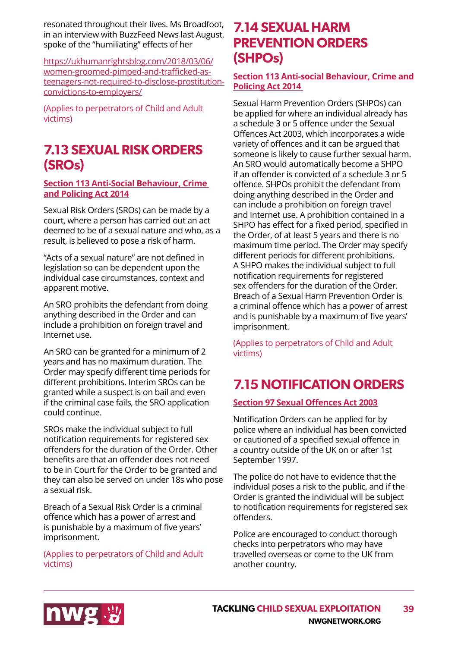<span id="page-38-0"></span>resonated throughout their lives. Ms Broadfoot, in an interview with BuzzFeed News last August, spoke of the "humiliating" effects of her

[https://ukhumanrightsblog.com/2018/03/06/](https://ukhumanrightsblog.com/2018/03/06/women-groomed-pimped-and-trafficked-as-teenagers-not-required-to-disclose-prostitution-convictions-to-employers/) [women-groomed-pimped-and-trafficked-as](https://ukhumanrightsblog.com/2018/03/06/women-groomed-pimped-and-trafficked-as-teenagers-not-required-to-disclose-prostitution-convictions-to-employers/)[teenagers-not-required-to-disclose-prostitution](https://ukhumanrightsblog.com/2018/03/06/women-groomed-pimped-and-trafficked-as-teenagers-not-required-to-disclose-prostitution-convictions-to-employers/)[convictions-to-employers/](https://ukhumanrightsblog.com/2018/03/06/women-groomed-pimped-and-trafficked-as-teenagers-not-required-to-disclose-prostitution-convictions-to-employers/)

(Applies to perpetrators of Child and Adult victims)

# **7.13 SEXUAL RISK ORDERS (SROs)**

#### **[Section 113 Anti-Social Behaviour, Crime](https://www.legislation.gov.uk/ukpga/2014/12/section/113)  [and Policing Act 2014](https://www.legislation.gov.uk/ukpga/2014/12/section/113)**

Sexual Risk Orders (SROs) can be made by a court, where a person has carried out an act deemed to be of a sexual nature and who, as a result, is believed to pose a risk of harm.

"Acts of a sexual nature" are not defined in legislation so can be dependent upon the individual case circumstances, context and apparent motive.

An SRO prohibits the defendant from doing anything described in the Order and can include a prohibition on foreign travel and Internet use.

An SRO can be granted for a minimum of 2 years and has no maximum duration. The Order may specify different time periods for different prohibitions. Interim SROs can be granted while a suspect is on bail and even if the criminal case fails, the SRO application could continue.

SROs make the individual subject to full notification requirements for registered sex offenders for the duration of the Order. Other benefits are that an offender does not need to be in Court for the Order to be granted and they can also be served on under 18s who pose a sexual risk.

Breach of a Sexual Risk Order is a criminal offence which has a power of arrest and is punishable by a maximum of five years' imprisonment.

(Applies to perpetrators of Child and Adult victims)

# **7.14 SEXUAL HARM PREVENTION ORDERS (SHPOs)**

### **[Section 113 Anti-social Behaviour, Crime and](https://www.legislation.gov.uk/ukpga/2014/12/section/113)  [Policing Act 2014](https://www.legislation.gov.uk/ukpga/2014/12/section/113)**

Sexual Harm Prevention Orders (SHPOs) can be applied for where an individual already has a schedule 3 or 5 offence under the Sexual Offences Act 2003, which incorporates a wide variety of offences and it can be argued that someone is likely to cause further sexual harm. An SRO would automatically become a SHPO if an offender is convicted of a schedule 3 or 5 offence. SHPOs prohibit the defendant from doing anything described in the Order and can include a prohibition on foreign travel and Internet use. A prohibition contained in a SHPO has effect for a fixed period, specified in the Order, of at least 5 years and there is no maximum time period. The Order may specify different periods for different prohibitions. A SHPO makes the individual subject to full notification requirements for registered sex offenders for the duration of the Order. Breach of a Sexual Harm Prevention Order is a criminal offence which has a power of arrest and is punishable by a maximum of five years' imprisonment.

(Applies to perpetrators of Child and Adult victims)

# **7.15 NOTIFICATION ORDERS**

### **[Section 97 Sexual Offences Act 2003](http://www.legislation.gov.uk/ukpga/2003/42/section/97)**

Notification Orders can be applied for by police where an individual has been convicted or cautioned of a specified sexual offence in a country outside of the UK on or after 1st September 1997.

The police do not have to evidence that the individual poses a risk to the public, and if the Order is granted the individual will be subject to notification requirements for registered sex offenders.

Police are encouraged to conduct thorough checks into perpetrators who may have travelled overseas or come to the UK from another country.

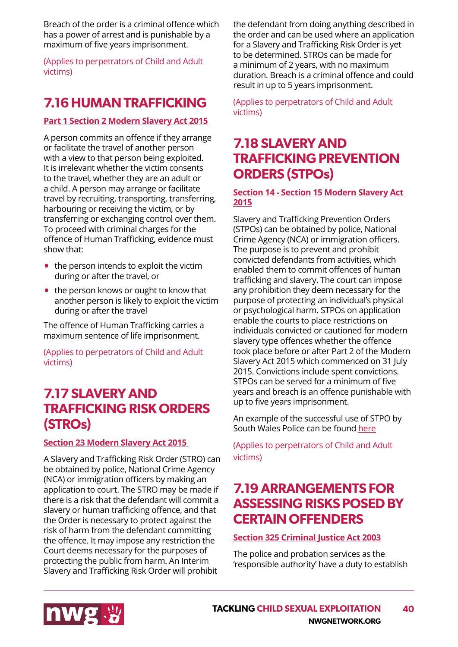<span id="page-39-0"></span>Breach of the order is a criminal offence which has a power of arrest and is punishable by a maximum of five years imprisonment.

(Applies to perpetrators of Child and Adult victims)

# **7.16 HUMAN TRAFFICKING**

### **[Part 1 Section 2 Modern Slavery Act 2015](http://www.legislation.gov.uk/ukpga/2015/30/section/2/enacted)**

A person commits an offence if they arrange or facilitate the travel of another person with a view to that person being exploited. It is irrelevant whether the victim consents to the travel, whether they are an adult or a child. A person may arrange or facilitate travel by recruiting, transporting, transferring, harbouring or receiving the victim, or by transferring or exchanging control over them. To proceed with criminal charges for the offence of Human Trafficking, evidence must show that:

- the person intends to exploit the victim during or after the travel, or
- the person knows or ought to know that another person is likely to exploit the victim during or after the travel

The offence of Human Trafficking carries a maximum sentence of life imprisonment.

(Applies to perpetrators of Child and Adult victims)

# **7.17 SLAVERY AND TRAFFICKING RISK ORDERS (STROs)**

### **[Section 23 Modern Slavery Act 2015](http://www.legislation.gov.uk/ukpga/2015/30/section/23/enacted)**

A Slavery and Trafficking Risk Order (STRO) can be obtained by police, National Crime Agency (NCA) or immigration officers by making an application to court. The STRO may be made if there is a risk that the defendant will commit a slavery or human trafficking offence, and that the Order is necessary to protect against the risk of harm from the defendant committing the offence. It may impose any restriction the Court deems necessary for the purposes of protecting the public from harm. An Interim Slavery and Trafficking Risk Order will prohibit

the defendant from doing anything described in the order and can be used where an application for a Slavery and Trafficking Risk Order is yet to be determined. STROs can be made for a minimum of 2 years, with no maximum duration. Breach is a criminal offence and could result in up to 5 years imprisonment.

(Applies to perpetrators of Child and Adult victims)

# **7.18 SLAVERY AND TRAFFICKING PREVENTION ORDERS (STPOs)**

### **[Section 14 - Section 15 Modern Slavery Act](http://www.legislation.gov.uk/ukpga/2015/30/section/14/enacted)  [2015](http://www.legislation.gov.uk/ukpga/2015/30/section/14/enacted)**

Slavery and Trafficking Prevention Orders (STPOs) can be obtained by police, National Crime Agency (NCA) or immigration officers. The purpose is to prevent and prohibit convicted defendants from activities, which enabled them to commit offences of human trafficking and slavery. The court can impose any prohibition they deem necessary for the purpose of protecting an individual's physical or psychological harm. STPOs on application enable the courts to place restrictions on individuals convicted or cautioned for modern slavery type offences whether the offence took place before or after Part 2 of the Modern Slavery Act 2015 which commenced on 31 July 2015. Convictions include spent convictions. STPOs can be served for a minimum of five years and breach is an offence punishable with up to five years imprisonment.

An example of the successful use of STPO by South Wales Police can be found [here](https://www.cps.gov.uk/cymruwales/news/gang-members-jailed-modern-slavery)

(Applies to perpetrators of Child and Adult victims)

# **7.19 ARRANGEMENTS FOR ASSESSING RISKS POSED BY CERTAIN OFFENDERS**

### **[Section 325 Criminal Justice Act 2003](http://www.legislation.gov.uk/ukpga/2003/44/section/325)**

The police and probation services as the 'responsible authority' have a duty to establish

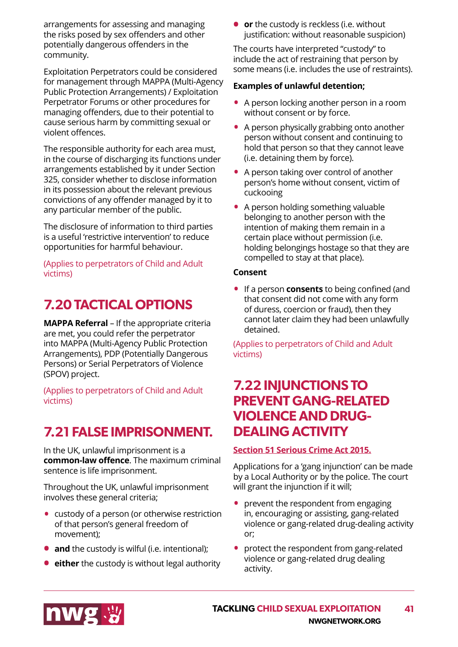<span id="page-40-0"></span>arrangements for assessing and managing the risks posed by sex offenders and other potentially dangerous offenders in the community.

Exploitation Perpetrators could be considered for management through MAPPA (Multi-Agency Public Protection Arrangements) / Exploitation Perpetrator Forums or other procedures for managing offenders, due to their potential to cause serious harm by committing sexual or violent offences.

The responsible authority for each area must, in the course of discharging its functions under arrangements established by it under Section 325, consider whether to disclose information in its possession about the relevant previous convictions of any offender managed by it to any particular member of the public.

The disclosure of information to third parties is a useful 'restrictive intervention' to reduce opportunities for harmful behaviour.

(Applies to perpetrators of Child and Adult victims)

# **7.20 TACTICAL OPTIONS**

**MAPPA Referral** – If the appropriate criteria are met, you could refer the perpetrator into MAPPA (Multi-Agency Public Protection Arrangements), PDP (Potentially Dangerous Persons) or Serial Perpetrators of Violence (SPOV) project.

(Applies to perpetrators of Child and Adult victims)

# **7.21 FALSE IMPRISONMENT.**

In the UK, unlawful imprisonment is a **common-law offence**. The maximum criminal sentence is life imprisonment.

Throughout the UK, unlawful imprisonment involves these general criteria;

- custody of a person (or otherwise restriction of that person's general freedom of movement);
- **• and** the custody is wilful (i.e. intentional);
- **• either** the custody is without legal authority

**• or** the custody is reckless (i.e. without justification: without reasonable suspicion)

The courts have interpreted "custody" to include the act of restraining that person by some means (i.e. includes the use of restraints).

#### **Examples of unlawful detention;**

- A person locking another person in a room without consent or by force.
- A person physically grabbing onto another person without consent and continuing to hold that person so that they cannot leave (i.e. detaining them by force).
- A person taking over control of another person's home without consent, victim of cuckooing
- A person holding something valuable belonging to another person with the intention of making them remain in a certain place without permission (i.e. holding belongings hostage so that they are compelled to stay at that place).

#### **Consent**

• If a person **consents** to being confined (and that consent did not come with any form of duress, coercion or fraud), then they cannot later claim they had been unlawfully detained.

(Applies to perpetrators of Child and Adult victims)

# **7.22 INJUNCTIONS TO PREVENT GANG-RELATED VIOLENCE AND DRUG-DEALING ACTIVITY**

#### **[Section 51 Serious Crime Act 2015.](http://www.legislation.gov.uk/ukpga/2015/9/section/51/enacted)**

Applications for a 'gang injunction' can be made by a Local Authority or by the police. The court will grant the injunction if it will;

- prevent the respondent from engaging in, encouraging or assisting, gang-related violence or gang-related drug-dealing activity or;
- protect the respondent from gang-related violence or gang-related drug dealing activity.

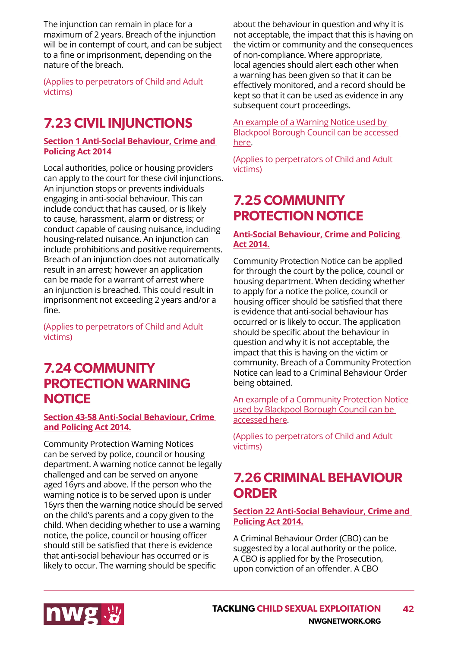<span id="page-41-0"></span>The injunction can remain in place for a maximum of 2 years. Breach of the injunction will be in contempt of court, and can be subject to a fine or imprisonment, depending on the nature of the breach.

(Applies to perpetrators of Child and Adult victims)

# **7.23 CIVIL INJUNCTIONS**

#### **[Section 1 Anti-Social Behaviour, Crime and](http://www.legislation.gov.uk/ukpga/2014/12/section/1/enacted)  [Policing Act 2014](http://www.legislation.gov.uk/ukpga/2014/12/section/1/enacted)**

Local authorities, police or housing providers can apply to the court for these civil injunctions. An injunction stops or prevents individuals engaging in anti-social behaviour. This can include conduct that has caused, or is likely to cause, harassment, alarm or distress; or conduct capable of causing nuisance, including housing-related nuisance. An injunction can include prohibitions and positive requirements. Breach of an injunction does not automatically result in an arrest; however an application can be made for a warrant of arrest where an injunction is breached. This could result in imprisonment not exceeding 2 years and/or a fine.

(Applies to perpetrators of Child and Adult victims)

# **7.24 COMMUNITY PROTECTION WARNING NOTICE**

#### **[Section 43-58 Anti-Social Behaviour, Crime](http://www.legislation.gov.uk/ukpga/2014/12/part/4/chapter/1/enacted)  [and Policing Act 2014.](http://www.legislation.gov.uk/ukpga/2014/12/part/4/chapter/1/enacted)**

Community Protection Warning Notices can be served by police, council or housing department. A warning notice cannot be legally challenged and can be served on anyone aged 16yrs and above. If the person who the warning notice is to be served upon is under 16yrs then the warning notice should be served on the child's parents and a copy given to the child. When deciding whether to use a warning notice, the police, council or housing officer should still be satisfied that there is evidence that anti-social behaviour has occurred or is likely to occur. The warning should be specific

about the behaviour in question and why it is not acceptable, the impact that this is having on the victim or community and the consequences of non-compliance. Where appropriate, local agencies should alert each other when a warning has been given so that it can be effectively monitored, and a record should be kept so that it can be used as evidence in any subsequent court proceedings.

[An example of a Warning Notice used by](http://www.stop-cse.org/download/5308/)  [Blackpool Borough Council can be accessed](http://www.stop-cse.org/download/5308/)  [here](http://www.stop-cse.org/download/5308/).

(Applies to perpetrators of Child and Adult victims)

# **7.25 COMMUNITY PROTECTION NOTICE**

### **[Anti-Social Behaviour, Crime and Policing](http://www.legislation.gov.uk/ukpga/2014/12/part/4/chapter/1/crossheading/community-protection-notices/enacted)  [Act 2014.](http://www.legislation.gov.uk/ukpga/2014/12/part/4/chapter/1/crossheading/community-protection-notices/enacted)**

Community Protection Notice can be applied for through the court by the police, council or housing department. When deciding whether to apply for a notice the police, council or housing officer should be satisfied that there is evidence that anti-social behaviour has occurred or is likely to occur. The application should be specific about the behaviour in question and why it is not acceptable, the impact that this is having on the victim or community. Breach of a Community Protection Notice can lead to a Criminal Behaviour Order being obtained.

[An example of a Community Protection Notice](http://www.stop-cse.org/download/5311/)  [used by Blackpool Borough Council can be](http://www.stop-cse.org/download/5311/)  [accessed here](http://www.stop-cse.org/download/5311/).

(Applies to perpetrators of Child and Adult victims)

# **7.26 CRIMINAL BEHAVIOUR ORDER**

#### **[Section 22 Anti-Social Behaviour, Crime and](http://www.legislation.gov.uk/ukpga/2014/12/part/2/crossheading/criminal-behaviour-orders/enacted)  [Policing Act 2014.](http://www.legislation.gov.uk/ukpga/2014/12/part/2/crossheading/criminal-behaviour-orders/enacted)**

A Criminal Behaviour Order (CBO) can be suggested by a local authority or the police. A CBO is applied for by the Prosecution, upon conviction of an offender. A CBO

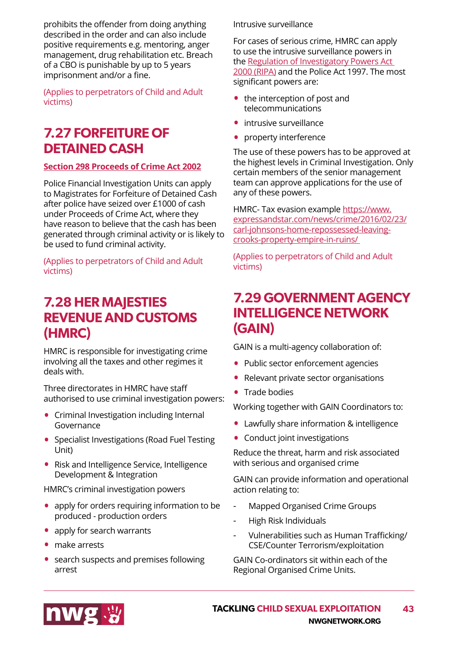<span id="page-42-0"></span>prohibits the offender from doing anything described in the order and can also include positive requirements e.g. mentoring, anger management, drug rehabilitation etc. Breach of a CBO is punishable by up to 5 years imprisonment and/or a fine.

(Applies to perpetrators of Child and Adult victims)

# **7.27 FORFEITURE OF DETAINED CASH**

#### **[Section 298 Proceeds of Crime Act 2002](http://www.legislation.gov.uk/ukpga/2002/29/section/298)**

Police Financial Investigation Units can apply to Magistrates for Forfeiture of Detained Cash after police have seized over £1000 of cash under Proceeds of Crime Act, where they have reason to believe that the cash has been generated through criminal activity or is likely to be used to fund criminal activity.

(Applies to perpetrators of Child and Adult victims)

# **7.28 HER MAJESTIES REVENUE AND CUSTOMS (HMRC)**

HMRC is responsible for investigating crime involving all the taxes and other regimes it deals with.

Three directorates in HMRC have staff authorised to use criminal investigation powers:

- Criminal Investigation including Internal Governance
- Specialist Investigations (Road Fuel Testing Unit)
- Risk and Intelligence Service, Intelligence Development & Integration

HMRC's criminal investigation powers

- apply for orders requiring information to be produced - production orders
- apply for search warrants
- make arrests
- search suspects and premises following arrest

Intrusive surveillance

For cases of serious crime, HMRC can apply to use the intrusive surveillance powers in the [Regulation of Investigatory Powers Act](https://www.gov.uk/government/collections/ripa-codes)  [2000 \(RIPA\)](https://www.gov.uk/government/collections/ripa-codes) and the Police Act 1997. The most significant powers are:

- the interception of post and telecommunications
- intrusive surveillance
- property interference

The use of these powers has to be approved at the highest levels in Criminal Investigation. Only certain members of the senior management team can approve applications for the use of any of these powers.

HMRC- Tax evasion example [https://www.](https://www.expressandstar.com/news/crime/2016/02/23/carl-johnsons-home-repossessed-leaving-crooks-property-empire-in-ruins/) [expressandstar.com/news/crime/2016/02/23/](https://www.expressandstar.com/news/crime/2016/02/23/carl-johnsons-home-repossessed-leaving-crooks-property-empire-in-ruins/) [carl-johnsons-home-repossessed-leaving](https://www.expressandstar.com/news/crime/2016/02/23/carl-johnsons-home-repossessed-leaving-crooks-property-empire-in-ruins/)[crooks-property-empire-in-ruins/](https://www.expressandstar.com/news/crime/2016/02/23/carl-johnsons-home-repossessed-leaving-crooks-property-empire-in-ruins/) 

(Applies to perpetrators of Child and Adult victims)

# **7.29 GOVERNMENT AGENCY INTELLIGENCE NETWORK (GAIN)**

GAIN is a multi-agency collaboration of:

- Public sector enforcement agencies
- Relevant private sector organisations
- Trade bodies

Working together with GAIN Coordinators to:

- Lawfully share information & intelligence
- Conduct joint investigations

Reduce the threat, harm and risk associated with serious and organised crime

GAIN can provide information and operational action relating to:

- Mapped Organised Crime Groups
- High Risk Individuals
- Vulnerabilities such as Human Trafficking/ CSE/Counter Terrorism/exploitation

GAIN Co-ordinators sit within each of the Regional Organised Crime Units.

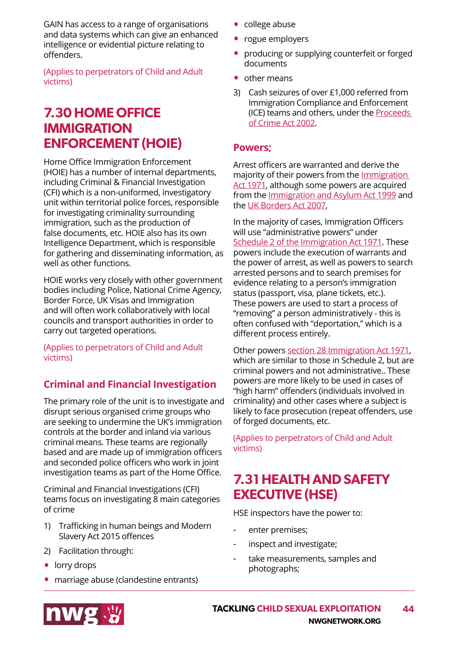<span id="page-43-0"></span>GAIN has access to a range of organisations and data systems which can give an enhanced intelligence or evidential picture relating to offenders.

(Applies to perpetrators of Child and Adult victims)

# **7.30 HOME OFFICE IMMIGRATION ENFORCEMENT (HOIE)**

Home Office Immigration Enforcement (HOIE) has a number of internal departments, including Criminal & Financial Investigation (CFI) which is a non-uniformed, investigatory unit within territorial police forces, responsible for investigating criminality surrounding immigration, such as the production of false documents, etc. HOIE also has its own Intelligence Department, which is responsible for gathering and disseminating information, as well as other functions.

HOIE works very closely with other government bodies including Police, National Crime Agency, Border Force, UK Visas and Immigration and will often work collaboratively with local councils and transport authorities in order to carry out targeted operations.

(Applies to perpetrators of Child and Adult victims)

# **Criminal and Financial Investigation**

The primary role of the unit is to investigate and disrupt serious organised crime groups who are seeking to undermine the UK's immigration controls at the border and inland via various criminal means. These teams are regionally based and are made up of immigration officers and seconded police officers who work in joint investigation teams as part of the Home Office.

Criminal and Financial Investigations (CFI) teams focus on investigating 8 main categories of crime

- 1) Trafficking in human beings and Modern Slavery Act 2015 offences
- 2) Facilitation through:
- lorry drops
- marriage abuse (clandestine entrants)
- college abuse
- rogue employers
- producing or supplying counterfeit or forged documents
- other means
- 3) Cash seizures of over £1,000 referred from Immigration Compliance and Enforcement (ICE) teams and others, under the P[roceeds](https://www.legislation.gov.uk/ukpga/2002/29/contents)  [of Crime Act 2002](https://www.legislation.gov.uk/ukpga/2002/29/contents).

### **Powers;**

Arrest officers are warranted and derive the majority of their powers from the Immigration [Act 1971,](https://www.legislation.gov.uk/ukpga/1971/77/contents) although some powers are acquired from the *Immigration and Asylum Act 1999* and the [UK Borders Act 2007](https://www.legislation.gov.uk/ukpga/2007/30/contents),

In the majority of cases, Immigration Officers will use "administrative powers" under [Schedule 2 of the Immigration Act 1971](https://www.legislation.gov.uk/ukpga/1971/77/schedule/2). These powers include the execution of warrants and the power of arrest, as well as powers to search arrested persons and to search premises for evidence relating to a person's immigration status (passport, visa, plane tickets, etc.). These powers are used to start a process of "removing" a person administratively - this is often confused with "deportation," which is a different process entirely.

Other powers [section 28 Immigration Act 1971](https://www.legislation.gov.uk/ukpga/1971/77/section/28), which are similar to those in Schedule 2, but are criminal powers and not administrative.. These powers are more likely to be used in cases of "high harm" offenders (individuals involved in criminality) and other cases where a subject is likely to face prosecution (repeat offenders, use of forged documents, etc.

#### (Applies to perpetrators of Child and Adult victims)

# **7.31 HEALTH AND SAFETY EXECUTIVE (HSE)**

HSE inspectors have the power to:

- enter premises;
- inspect and investigate;
- take measurements, samples and photographs;

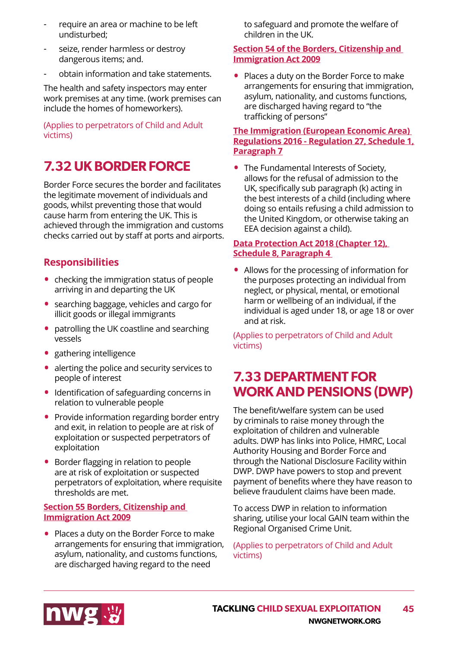- <span id="page-44-0"></span>require an area or machine to be left undisturbed;
- seize, render harmless or destroy dangerous items; and.
- obtain information and take statements.

The health and safety inspectors may enter work premises at any time. (work premises can include the homes of homeworkers).

(Applies to perpetrators of Child and Adult victims)

# **7.32 UK BORDER FORCE**

Border Force secures the border and facilitates the legitimate movement of individuals and goods, whilst preventing those that would cause harm from entering the UK. This is achieved through the immigration and customs checks carried out by staff at ports and airports.

# **Responsibilities**

- checking the immigration status of people arriving in and departing the UK
- searching baggage, vehicles and cargo for illicit goods or illegal immigrants
- patrolling the UK coastline and searching vessels
- gathering intelligence
- alerting the police and security services to people of interest
- Identification of safeguarding concerns in relation to vulnerable people
- Provide information regarding border entry and exit, in relation to people are at risk of exploitation or suspected perpetrators of exploitation
- Border flagging in relation to people are at risk of exploitation or suspected perpetrators of exploitation, where requisite thresholds are met.

#### **[Section 55 Borders, Citizenship and](https://www.legislation.gov.uk/ukpga/2009/11/section/55)  [Immigration Act 2009](https://www.legislation.gov.uk/ukpga/2009/11/section/55)**

• Places a duty on the Border Force to make arrangements for ensuring that immigration, asylum, nationality, and customs functions, are discharged having regard to the need

to safeguard and promote the welfare of children in the UK.

#### **[Section 54 of the Borders, Citizenship and](https://www.legislation.gov.uk/ukpga/2009/11/section/54)  [Immigration Act 2009](https://www.legislation.gov.uk/ukpga/2009/11/section/54)**

• Places a duty on the Border Force to make arrangements for ensuring that immigration, asylum, nationality, and customs functions, are discharged having regard to "the trafficking of persons"

#### **[The Immigration \(European Economic Area\)](http://www.legislation.gov.uk/uksi/2016/1052/made)  [Regulations 2016 - Regulation 27, Schedule 1,](http://www.legislation.gov.uk/uksi/2016/1052/made)  [Paragraph 7](http://www.legislation.gov.uk/uksi/2016/1052/made)**

• The Fundamental Interests of Society, allows for the refusal of admission to the UK, specifically sub paragraph (k) acting in the best interests of a child (including where doing so entails refusing a child admission to the United Kingdom, or otherwise taking an EEA decision against a child).

#### **[Data Protection Act 2018 \(Chapter 12\),](https://www.legislation.gov.uk/ukpga/2018/12)  [Schedule 8, Paragraph 4](https://www.legislation.gov.uk/ukpga/2018/12)**

• Allows for the processing of information for the purposes protecting an individual from neglect, or physical, mental, or emotional harm or wellbeing of an individual, if the individual is aged under 18, or age 18 or over and at risk.

(Applies to perpetrators of Child and Adult victims)

# **7.33 DEPARTMENT FOR WORK AND PENSIONS (DWP)**

The benefit/welfare system can be used by criminals to raise money through the exploitation of children and vulnerable adults. DWP has links into Police, HMRC, Local Authority Housing and Border Force and through the National Disclosure Facility within DWP. DWP have powers to stop and prevent payment of benefits where they have reason to believe fraudulent claims have been made.

To access DWP in relation to information sharing, utilise your local GAIN team within the Regional Organised Crime Unit.

(Applies to perpetrators of Child and Adult victims)

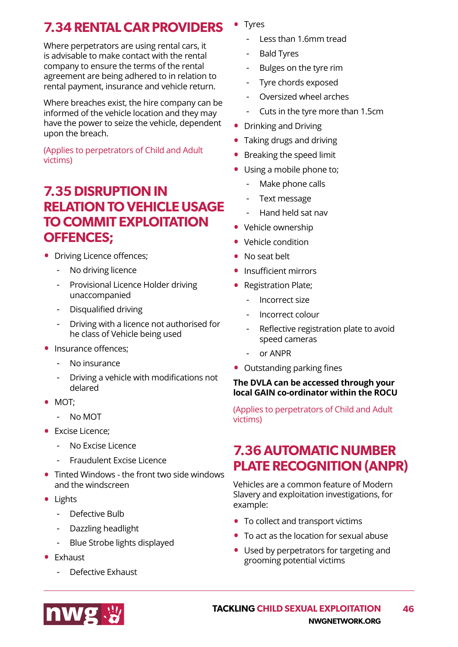# <span id="page-45-0"></span>**7.34 RENTAL CAR PROVIDERS**

Where perpetrators are using rental cars, it is advisable to make contact with the rental company to ensure the terms of the rental agreement are being adhered to in relation to rental payment, insurance and vehicle return.

Where breaches exist, the hire company can be informed of the vehicle location and they may have the power to seize the vehicle, dependent upon the breach.

(Applies to perpetrators of Child and Adult victims)

# **7.35 DISRUPTION IN RELATION TO VEHICLE USAGE TO COMMIT EXPLOITATION OFFENCES;**

- Driving Licence offences;
	- No driving licence
	- Provisional Licence Holder driving unaccompanied
	- Disqualified driving
	- Driving with a licence not authorised for he class of Vehicle being used
- Insurance offences:
	- No insurance
	- Driving a vehicle with modifications not delared
- MOT;
	- No MOT
- Excise Licence:
	- No Excise Licence
	- Fraudulent Excise Licence
- Tinted Windows the front two side windows and the windscreen
- Lights
	- Defective Bulb
	- Dazzling headlight
	- Blue Strobe lights displayed
- Exhaust
	- Defective Exhaust
- **Tyres** 
	- Less than 1.6mm tread
	- Bald Tyres
	- Bulges on the tyre rim
	- Tyre chords exposed
	- Oversized wheel arches
	- Cuts in the tyre more than 1.5cm
- Drinking and Driving
- Taking drugs and driving
- Breaking the speed limit
- Using a mobile phone to;
	- Make phone calls
	- Text message
	- Hand held sat nav
- Vehicle ownership
- Vehicle condition
- No seat belt
- Insufficient mirrors
- Registration Plate;
	- Incorrect size
	- Incorrect colour
	- Reflective registration plate to avoid speed cameras
	- or ANPR
- Outstanding parking fines

#### **The DVLA can be accessed through your local GAIN co-ordinator within the ROCU**

(Applies to perpetrators of Child and Adult victims)

# **7.36 AUTOMATIC NUMBER PLATE RECOGNITION (ANPR)**

Vehicles are a common feature of Modern Slavery and exploitation investigations, for example:

- To collect and transport victims
- To act as the location for sexual abuse
- Used by perpetrators for targeting and grooming potential victims

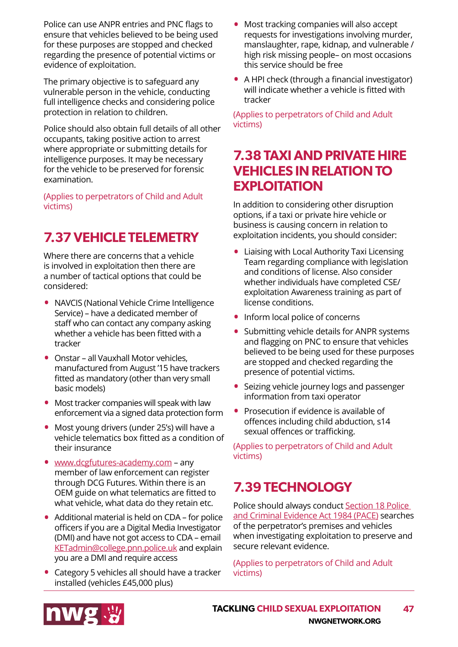<span id="page-46-0"></span>Police can use ANPR entries and PNC flags to ensure that vehicles believed to be being used for these purposes are stopped and checked regarding the presence of potential victims or evidence of exploitation.

The primary objective is to safeguard any vulnerable person in the vehicle, conducting full intelligence checks and considering police protection in relation to children.

Police should also obtain full details of all other occupants, taking positive action to arrest where appropriate or submitting details for intelligence purposes. It may be necessary for the vehicle to be preserved for forensic examination.

(Applies to perpetrators of Child and Adult victims)

# **7.37 VEHICLE TELEMETRY**

Where there are concerns that a vehicle is involved in exploitation then there are a number of tactical options that could be considered:

- NAVCIS (National Vehicle Crime Intelligence Service) – have a dedicated member of staff who can contact any company asking whether a vehicle has been fitted with a tracker
- Onstar all Vauxhall Motor vehicles, manufactured from August '15 have trackers fitted as mandatory (other than very small basic models)
- Most tracker companies will speak with law enforcement via a signed data protection form
- Most young drivers (under 25's) will have a vehicle telematics box fitted as a condition of their insurance
- [www.dcgfutures-academy.com](https://dcgfutures-academy.com/login/index.php)  any member of law enforcement can register through DCG Futures. Within there is an OEM guide on what telematics are fitted to what vehicle, what data do they retain etc.
- Additional material is held on CDA for police officers if you are a Digital Media Investigator (DMI) and have not got access to CDA – email [KETadmin@college.pnn.police.uk](mailto:KETadmin@college.pnn.police.uk) and explain you are a DMI and require access
- Category 5 vehicles all should have a tracker installed (vehicles £45,000 plus)
- Most tracking companies will also accept requests for investigations involving murder, manslaughter, rape, kidnap, and vulnerable / high risk missing people– on most occasions this service should be free
- A HPI check (through a financial investigator) will indicate whether a vehicle is fitted with tracker

(Applies to perpetrators of Child and Adult victims)

# **7.38 TAXI AND PRIVATE HIRE VEHICLES IN RELATION TO EXPLOITATION**

In addition to considering other disruption options, if a taxi or private hire vehicle or business is causing concern in relation to exploitation incidents, you should consider:

- Liaising with Local Authority Taxi Licensing Team regarding compliance with legislation and conditions of license. Also consider whether individuals have completed CSE/ exploitation Awareness training as part of license conditions.
- Inform local police of concerns
- Submitting vehicle details for ANPR systems and flagging on PNC to ensure that vehicles believed to be being used for these purposes are stopped and checked regarding the presence of potential victims.
- Seizing vehicle journey logs and passenger information from taxi operator
- Prosecution if evidence is available of offences including child abduction, s14 sexual offences or trafficking.

(Applies to perpetrators of Child and Adult victims)

# **7.39 TECHNOLOGY**

Police should always conduct [Section 18 Police](http://www.legislation.gov.uk/ukpga/1984/60/section/18)  [and Criminal Evidence Act 1984 \(PACE\)](http://www.legislation.gov.uk/ukpga/1984/60/section/18) searches of the perpetrator's premises and vehicles when investigating exploitation to preserve and secure relevant evidence.

(Applies to perpetrators of Child and Adult victims)

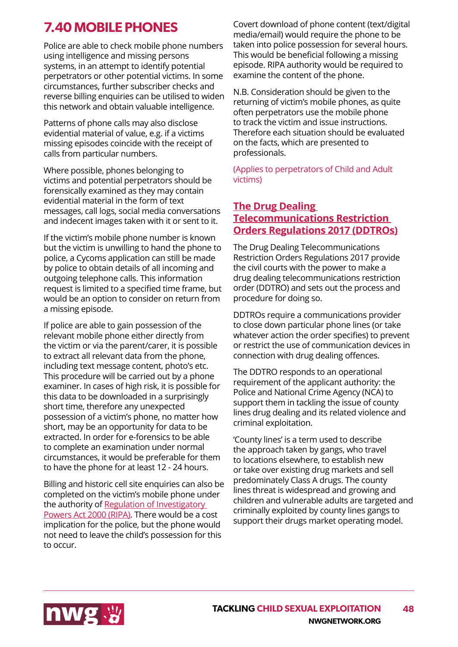# <span id="page-47-0"></span>**7.40 MOBILE PHONES**

Police are able to check mobile phone numbers using intelligence and missing persons systems, in an attempt to identify potential perpetrators or other potential victims. In some circumstances, further subscriber checks and reverse billing enquiries can be utilised to widen this network and obtain valuable intelligence.

Patterns of phone calls may also disclose evidential material of value, e.g. if a victims missing episodes coincide with the receipt of calls from particular numbers.

Where possible, phones belonging to victims and potential perpetrators should be forensically examined as they may contain evidential material in the form of text messages, call logs, social media conversations and indecent images taken with it or sent to it.

If the victim's mobile phone number is known but the victim is unwilling to hand the phone to police, a Cycoms application can still be made by police to obtain details of all incoming and outgoing telephone calls. This information request is limited to a specified time frame, but would be an option to consider on return from a missing episode.

If police are able to gain possession of the relevant mobile phone either directly from the victim or via the parent/carer, it is possible to extract all relevant data from the phone, including text message content, photo's etc. This procedure will be carried out by a phone examiner. In cases of high risk, it is possible for this data to be downloaded in a surprisingly short time, therefore any unexpected possession of a victim's phone, no matter how short, may be an opportunity for data to be extracted. In order for e-forensics to be able to complete an examination under normal circumstances, it would be preferable for them to have the phone for at least 12 - 24 hours.

Billing and historic cell site enquiries can also be completed on the victim's mobile phone under the authority of Regulation of Investigatory [Powers Act 2000 \(RIPA\)](http://www.legislation.gov.uk/ukpga/2000/23). There would be a cost implication for the police, but the phone would not need to leave the child's possession for this to occur.

Covert download of phone content (text/digital media/email) would require the phone to be taken into police possession for several hours. This would be beneficial following a missing episode. RIPA authority would be required to examine the content of the phone.

N.B. Consideration should be given to the returning of victim's mobile phones, as quite often perpetrators use the mobile phone to track the victim and issue instructions. Therefore each situation should be evaluated on the facts, which are presented to professionals.

(Applies to perpetrators of Child and Adult victims)

### **[The Drug Dealing](https://www.legislation.gov.uk/ukdsi/2017/9780111160572)  [Telecommunications Restriction](https://www.legislation.gov.uk/ukdsi/2017/9780111160572)  [Orders Regulations 2017 \(DDTROs\)](https://www.legislation.gov.uk/ukdsi/2017/9780111160572)**

The Drug Dealing Telecommunications Restriction Orders Regulations 2017 provide the civil courts with the power to make a drug dealing telecommunications restriction order (DDTRO) and sets out the process and procedure for doing so.

DDTROs require a communications provider to close down particular phone lines (or take whatever action the order specifies) to prevent or restrict the use of communication devices in connection with drug dealing offences.

The DDTRO responds to an operational requirement of the applicant authority: the Police and National Crime Agency (NCA) to support them in tackling the issue of county lines drug dealing and its related violence and criminal exploitation.

'County lines' is a term used to describe the approach taken by gangs, who travel to locations elsewhere, to establish new or take over existing drug markets and sell predominately Class A drugs. The county lines threat is widespread and growing and children and vulnerable adults are targeted and criminally exploited by county lines gangs to support their drugs market operating model.

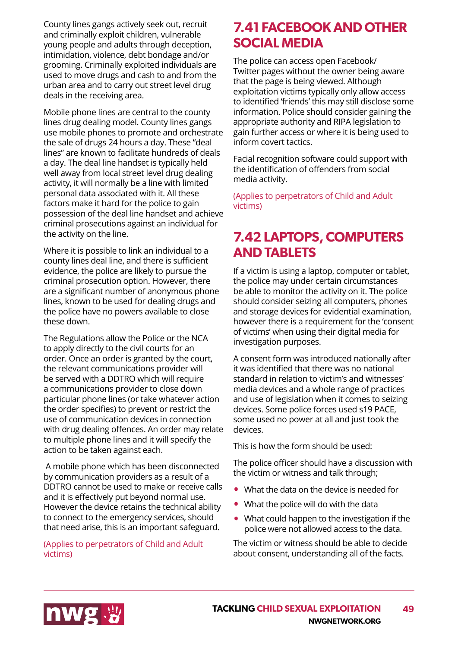<span id="page-48-0"></span>County lines gangs actively seek out, recruit and criminally exploit children, vulnerable young people and adults through deception, intimidation, violence, debt bondage and/or grooming. Criminally exploited individuals are used to move drugs and cash to and from the urban area and to carry out street level drug deals in the receiving area.

Mobile phone lines are central to the county lines drug dealing model. County lines gangs use mobile phones to promote and orchestrate the sale of drugs 24 hours a day. These "deal lines" are known to facilitate hundreds of deals a day. The deal line handset is typically held well away from local street level drug dealing activity, it will normally be a line with limited personal data associated with it. All these factors make it hard for the police to gain possession of the deal line handset and achieve criminal prosecutions against an individual for the activity on the line.

Where it is possible to link an individual to a county lines deal line, and there is sufficient evidence, the police are likely to pursue the criminal prosecution option. However, there are a significant number of anonymous phone lines, known to be used for dealing drugs and the police have no powers available to close these down.

The Regulations allow the Police or the NCA to apply directly to the civil courts for an order. Once an order is granted by the court, the relevant communications provider will be served with a DDTRO which will require a communications provider to close down particular phone lines (or take whatever action the order specifies) to prevent or restrict the use of communication devices in connection with drug dealing offences. An order may relate to multiple phone lines and it will specify the action to be taken against each.

 A mobile phone which has been disconnected by communication providers as a result of a DDTRO cannot be used to make or receive calls and it is effectively put beyond normal use. However the device retains the technical ability to connect to the emergency services, should that need arise, this is an important safeguard.

(Applies to perpetrators of Child and Adult victims)

# **7.41 FACEBOOK AND OTHER SOCIAL MEDIA**

The police can access open Facebook/ Twitter pages without the owner being aware that the page is being viewed. Although exploitation victims typically only allow access to identified 'friends' this may still disclose some information. Police should consider gaining the appropriate authority and RIPA legislation to gain further access or where it is being used to inform covert tactics.

Facial recognition software could support with the identification of offenders from social media activity.

(Applies to perpetrators of Child and Adult victims)

# **7.42 LAPTOPS, COMPUTERS AND TABLETS**

If a victim is using a laptop, computer or tablet, the police may under certain circumstances be able to monitor the activity on it. The police should consider seizing all computers, phones and storage devices for evidential examination, however there is a requirement for the 'consent of victims' when using their digital media for investigation purposes.

A consent form was introduced nationally after it was identified that there was no national standard in relation to victim's and witnesses' media devices and a whole range of practices and use of legislation when it comes to seizing devices. Some police forces used s19 PACE, some used no power at all and just took the devices.

This is how the form should be used:

The police officer should have a discussion with the victim or witness and talk through;

- What the data on the device is needed for
- What the police will do with the data
- What could happen to the investigation if the police were not allowed access to the data.

The victim or witness should be able to decide about consent, understanding all of the facts.

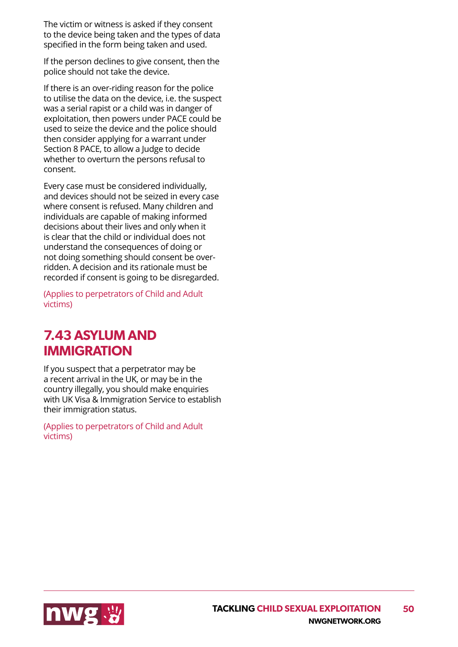<span id="page-49-0"></span>The victim or witness is asked if they consent to the device being taken and the types of data specified in the form being taken and used.

If the person declines to give consent, then the police should not take the device.

If there is an over-riding reason for the police to utilise the data on the device, i.e. the suspect was a serial rapist or a child was in danger of exploitation, then powers under PACE could be used to seize the device and the police should then consider applying for a warrant under Section 8 PACE, to allow a Judge to decide whether to overturn the persons refusal to consent.

Every case must be considered individually, and devices should not be seized in every case where consent is refused. Many children and individuals are capable of making informed decisions about their lives and only when it is clear that the child or individual does not understand the consequences of doing or not doing something should consent be overridden. A decision and its rationale must be recorded if consent is going to be disregarded.

(Applies to perpetrators of Child and Adult victims)

# **7.43 ASYLUM AND IMMIGRATION**

If you suspect that a perpetrator may be a recent arrival in the UK, or may be in the country illegally, you should make enquiries with UK Visa & Immigration Service to establish their immigration status.

(Applies to perpetrators of Child and Adult victims)

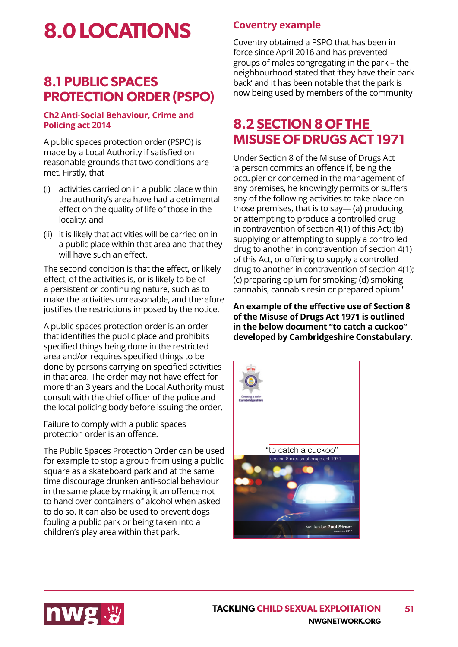# <span id="page-50-0"></span>**8.0 LOCATIONS**

# **8.1 PUBLIC SPACES PROTECTION ORDER (PSPO)**

### **[Ch2 Anti-Social Behaviour, Crime and](http://www.legislation.gov.uk/ukpga/2014/12/contents/enacted)  [Policing act 2014](http://www.legislation.gov.uk/ukpga/2014/12/contents/enacted)**

A public spaces protection order (PSPO) is made by a Local Authority if satisfied on reasonable grounds that two conditions are met. Firstly, that

- (i) activities carried on in a public place within the authority's area have had a detrimental effect on the quality of life of those in the locality; and
- (ii) it is likely that activities will be carried on in a public place within that area and that they will have such an effect.

The second condition is that the effect, or likely effect, of the activities is, or is likely to be of a persistent or continuing nature, such as to make the activities unreasonable, and therefore justifies the restrictions imposed by the notice.

A public spaces protection order is an order that identifies the public place and prohibits specified things being done in the restricted area and/or requires specified things to be done by persons carrying on specified activities in that area. The order may not have effect for more than 3 years and the Local Authority must consult with the chief officer of the police and the local policing body before issuing the order.

Failure to comply with a public spaces protection order is an offence.

The Public Spaces Protection Order can be used for example to stop a group from using a public square as a skateboard park and at the same time discourage drunken anti-social behaviour in the same place by making it an offence not to hand over containers of alcohol when asked to do so. It can also be used to prevent dogs fouling a public park or being taken into a children's play area within that park.

# **Coventry example**

Coventry obtained a PSPO that has been in force since April 2016 and has prevented groups of males congregating in the park – the neighbourhood stated that 'they have their park back' and it has been notable that the park is now being used by members of the community

# **8.2 [SECTION 8 OF THE](https://www.legislation.gov.uk/ukpga/1971/38/section/8)  [MISUSE OF DRUGS ACT 1971](https://www.legislation.gov.uk/ukpga/1971/38/section/8)**

Under Section 8 of the Misuse of Drugs Act 'a person commits an offence if, being the occupier or concerned in the management of any premises, he knowingly permits or suffers any of the following activities to take place on those premises, that is to say— (a) producing or attempting to produce a controlled drug in contravention of section 4(1) of this Act; (b) supplying or attempting to supply a controlled drug to another in contravention of section 4(1) of this Act, or offering to supply a controlled drug to another in contravention of section 4(1); (c) preparing opium for smoking; (d) smoking cannabis, cannabis resin or prepared opium.'

**An example of the effective use of [Section 8](https://www.legislation.gov.uk/ukpga/1971/38/section/8)  [of the Misuse of Drugs Act 1971](https://www.legislation.gov.uk/ukpga/1971/38/section/8) is outlined in the below document "to catch a cuckoo" developed by Cambridgeshire Constabulary.**



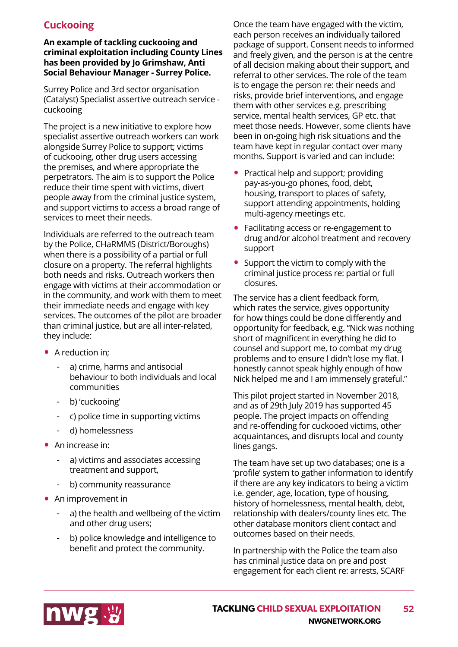# **Cuckooing**

#### **An example of tackling cuckooing and criminal exploitation including County Lines has been provided by Jo Grimshaw, Anti Social Behaviour Manager - Surrey Police.**

Surrey Police and 3rd sector organisation (Catalyst) Specialist assertive outreach service cuckooing

The project is a new initiative to explore how specialist assertive outreach workers can work alongside Surrey Police to support; victims of cuckooing, other drug users accessing the premises, and where appropriate the perpetrators. The aim is to support the Police reduce their time spent with victims, divert people away from the criminal justice system, and support victims to access a broad range of services to meet their needs.

Individuals are referred to the outreach team by the Police, CHaRMMS (District/Boroughs) when there is a possibility of a partial or full closure on a property. The referral highlights both needs and risks. Outreach workers then engage with victims at their accommodation or in the community, and work with them to meet their immediate needs and engage with key services. The outcomes of the pilot are broader than criminal justice, but are all inter-related, they include:

- A reduction in;
	- a) crime, harms and antisocial behaviour to both individuals and local communities
	- b) 'cuckooing'
	- c) police time in supporting victims
	- d) homelessness
- An increase in:
	- a) victims and associates accessing treatment and support,
	- b) community reassurance
- An improvement in
	- a) the health and wellbeing of the victim and other drug users;
	- b) police knowledge and intelligence to benefit and protect the community.

Once the team have engaged with the victim, each person receives an individually tailored package of support. Consent needs to informed and freely given, and the person is at the centre of all decision making about their support, and referral to other services. The role of the team is to engage the person re: their needs and risks, provide brief interventions, and engage them with other services e.g. prescribing service, mental health services, GP etc. that meet those needs. However, some clients have been in on-going high risk situations and the team have kept in regular contact over many months. Support is varied and can include:

- Practical help and support; providing pay-as-you-go phones, food, debt, housing, transport to places of safety, support attending appointments, holding multi-agency meetings etc.
- Facilitating access or re-engagement to drug and/or alcohol treatment and recovery support
- Support the victim to comply with the criminal justice process re: partial or full closures.

The service has a client feedback form, which rates the service, gives opportunity for how things could be done differently and opportunity for feedback, e.g. "Nick was nothing short of magnificent in everything he did to counsel and support me, to combat my drug problems and to ensure I didn't lose my flat. I honestly cannot speak highly enough of how Nick helped me and I am immensely grateful."

This pilot project started in November 2018, and as of 29th July 2019 has supported 45 people. The project impacts on offending and re-offending for cuckooed victims, other acquaintances, and disrupts local and county lines gangs.

The team have set up two databases; one is a 'profile' system to gather information to identify if there are any key indicators to being a victim i.e. gender, age, location, type of housing, history of homelessness, mental health, debt, relationship with dealers/county lines etc. The other database monitors client contact and outcomes based on their needs.

In partnership with the Police the team also has criminal justice data on pre and post engagement for each client re: arrests, SCARF

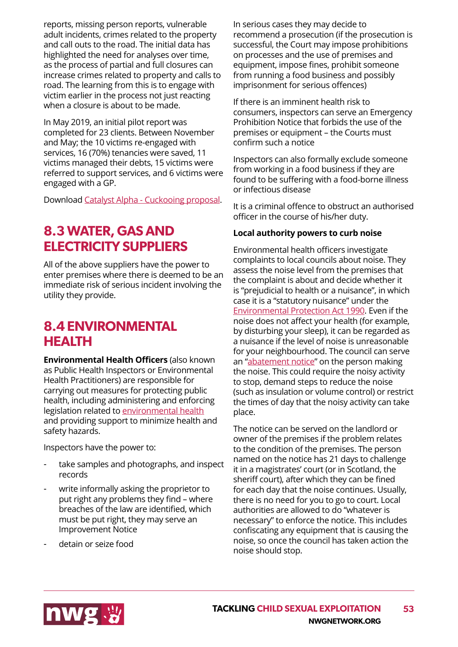<span id="page-52-0"></span>reports, missing person reports, vulnerable adult incidents, crimes related to the property and call outs to the road. The initial data has highlighted the need for analyses over time, as the process of partial and full closures can increase crimes related to property and calls to road. The learning from this is to engage with victim earlier in the process not just reacting when a closure is about to be made.

In May 2019, an initial pilot report was completed for 23 clients. Between November and May; the 10 victims re-engaged with services, 16 (70%) tenancies were saved, 11 victims managed their debts, 15 victims were referred to support services, and 6 victims were engaged with a GP.

Download [Catalyst Alpha - Cuckooing proposal.](http://www.stop-cse.org/download/5318/)

# **8.3 WATER, GAS AND ELECTRICITY SUPPLIERS**

All of the above suppliers have the power to enter premises where there is deemed to be an immediate risk of serious incident involving the utility they provide.

# **8.4 ENVIRONMENTAL HEALTH**

**Environmental Health Officers** (also known as Public Health Inspectors or Environmental Health Practitioners) are responsible for carrying out measures for protecting public health, including administering and enforcing legislation related to [environmental health](https://en.wikipedia.org/wiki/Environmental_health) and providing support to minimize health and safety hazards.

Inspectors have the power to:

- take samples and photographs, and inspect records
- write informally asking the proprietor to put right any problems they find – where breaches of the law are identified, which must be put right, they may serve an Improvement Notice
- detain or seize food

In serious cases they may decide to recommend a prosecution (if the prosecution is successful, the Court may impose prohibitions on processes and the use of premises and equipment, impose fines, prohibit someone from running a food business and possibly imprisonment for serious offences)

If there is an imminent health risk to consumers, inspectors can serve an Emergency Prohibition Notice that forbids the use of the premises or equipment – the Courts must confirm such a notice

Inspectors can also formally exclude someone from working in a food business if they are found to be suffering with a food-borne illness or infectious disease

It is a criminal offence to obstruct an authorised officer in the course of his/her duty.

#### **Local authority powers to curb noise**

Environmental health officers investigate complaints to local councils about noise. They assess the noise level from the premises that the complaint is about and decide whether it is "prejudicial to health or a nuisance", in which case it is a "statutory nuisance" under the [Environmental Protection Act 1990.](https://www.legislation.gov.uk/ukpga/1990/43/contents) Even if the noise does not affect your health (for example, by disturbing your sleep), it can be regarded as a nuisance if the level of noise is unreasonable for your neighbourhood. The council can serve an ["abatement notice"](http://www.environmentlaw.org.uk/rte.asp?id=76) on the person making the noise. This could require the noisy activity to stop, demand steps to reduce the noise (such as insulation or volume control) or restrict the times of day that the noisy activity can take place.

The notice can be served on the landlord or owner of the premises if the problem relates to the condition of the premises. The person named on the notice has 21 days to challenge it in a magistrates' court (or in Scotland, the sheriff court), after which they can be fined for each day that the noise continues. Usually, there is no need for you to go to court. Local authorities are allowed to do "whatever is necessary" to enforce the notice. This includes confiscating any equipment that is causing the noise, so once the council has taken action the noise should stop.

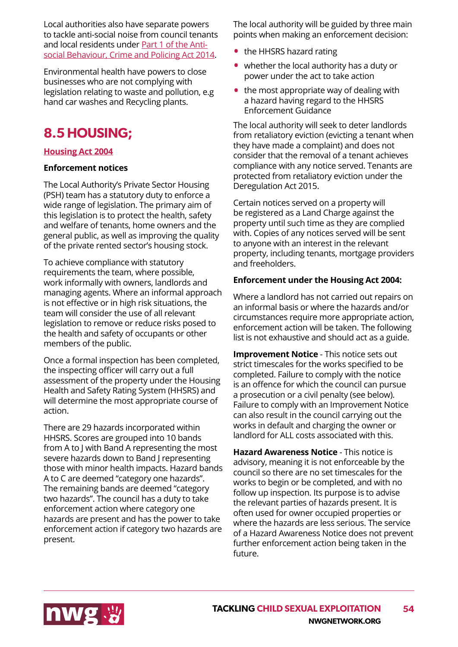<span id="page-53-0"></span>Local authorities also have separate powers to tackle anti-social noise from council tenants and local residents under [Part 1 of the Anti](http://www.legislation.gov.uk/ukpga/2014/12/contents/enacted)[social Behaviour, Crime and Policing Act 2014.](http://www.legislation.gov.uk/ukpga/2014/12/contents/enacted)

Environmental health have powers to close businesses who are not complying with legislation relating to waste and pollution, e.g hand car washes and Recycling plants.

# **8.5 HOUSING;**

### **[Housing Act 2004](https://www.legislation.gov.uk/ukpga/2004/34/contents)**

#### **Enforcement notices**

The Local Authority's Private Sector Housing (PSH) team has a statutory duty to enforce a wide range of legislation. The primary aim of this legislation is to protect the health, safety and welfare of tenants, home owners and the general public, as well as improving the quality of the private rented sector's housing stock.

To achieve compliance with statutory requirements the team, where possible, work informally with owners, landlords and managing agents. Where an informal approach is not effective or in high risk situations, the team will consider the use of all relevant legislation to remove or reduce risks posed to the health and safety of occupants or other members of the public.

Once a formal inspection has been completed, the inspecting officer will carry out a full assessment of the property under the Housing Health and Safety Rating System (HHSRS) and will determine the most appropriate course of action.

There are 29 hazards incorporated within HHSRS. Scores are grouped into 10 bands from A to J with Band A representing the most severe hazards down to Band J representing those with minor health impacts. Hazard bands A to C are deemed "category one hazards". The remaining bands are deemed "category two hazards". The council has a duty to take enforcement action where category one hazards are present and has the power to take enforcement action if category two hazards are present.

The local authority will be guided by three main points when making an enforcement decision:

- the HHSRS hazard rating
- whether the local authority has a duty or power under the act to take action
- the most appropriate way of dealing with a hazard having regard to the HHSRS Enforcement Guidance

The local authority will seek to deter landlords from retaliatory eviction (evicting a tenant when they have made a complaint) and does not consider that the removal of a tenant achieves compliance with any notice served. Tenants are protected from retaliatory eviction under the Deregulation Act 2015.

Certain notices served on a property will be registered as a Land Charge against the property until such time as they are complied with. Copies of any notices served will be sent to anyone with an interest in the relevant property, including tenants, mortgage providers and freeholders.

### **Enforcement under the Housing Act 2004:**

Where a landlord has not carried out repairs on an informal basis or where the hazards and/or circumstances require more appropriate action, enforcement action will be taken. The following list is not exhaustive and should act as a guide.

**Improvement Notice** - This notice sets out strict timescales for the works specified to be completed. Failure to comply with the notice is an offence for which the council can pursue a prosecution or a civil penalty (see below). Failure to comply with an Improvement Notice can also result in the council carrying out the works in default and charging the owner or landlord for ALL costs associated with this.

**Hazard Awareness Notice** - This notice is advisory, meaning it is not enforceable by the council so there are no set timescales for the works to begin or be completed, and with no follow up inspection. Its purpose is to advise the relevant parties of hazards present. It is often used for owner occupied properties or where the hazards are less serious. The service of a Hazard Awareness Notice does not prevent further enforcement action being taken in the future.

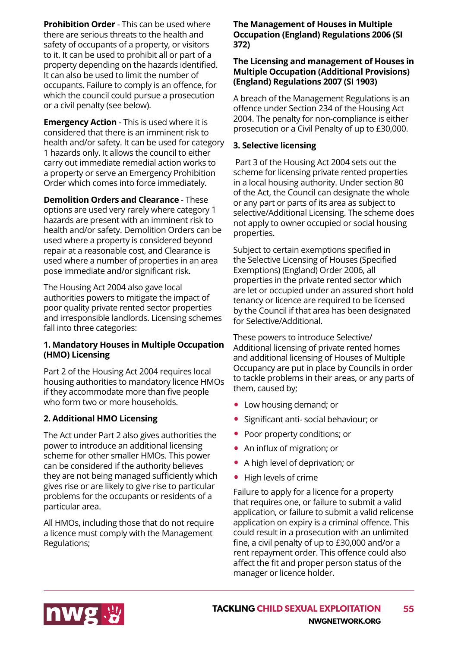**Prohibition Order** - This can be used where there are serious threats to the health and safety of occupants of a property, or visitors to it. It can be used to prohibit all or part of a property depending on the hazards identified. It can also be used to limit the number of occupants. Failure to comply is an offence, for which the council could pursue a prosecution or a civil penalty (see below).

**Emergency Action** - This is used where it is considered that there is an imminent risk to health and/or safety. It can be used for category 1 hazards only. It allows the council to either carry out immediate remedial action works to a property or serve an Emergency Prohibition Order which comes into force immediately.

**Demolition Orders and Clearance** - These options are used very rarely where category 1 hazards are present with an imminent risk to health and/or safety. Demolition Orders can be used where a property is considered beyond repair at a reasonable cost, and Clearance is used where a number of properties in an area pose immediate and/or significant risk.

The Housing Act 2004 also gave local authorities powers to mitigate the impact of poor quality private rented sector properties and irresponsible landlords. Licensing schemes fall into three categories:

#### **1. Mandatory Houses in Multiple Occupation (HMO) Licensing**

Part 2 of the Housing Act 2004 requires local housing authorities to mandatory licence HMOs if they accommodate more than five people who form two or more households.

### **2. Additional HMO Licensing**

The Act under Part 2 also gives authorities the power to introduce an additional licensing scheme for other smaller HMOs. This power can be considered if the authority believes they are not being managed sufficiently which gives rise or are likely to give rise to particular problems for the occupants or residents of a particular area.

All HMOs, including those that do not require a licence must comply with the Management Regulations;

#### **The Management of Houses in Multiple Occupation (England) Regulations 2006 (SI 372)**

#### **The Licensing and management of Houses in Multiple Occupation (Additional Provisions) (England) Regulations 2007 (SI 1903)**

A breach of the Management Regulations is an offence under Section 234 of the Housing Act 2004. The penalty for non-compliance is either prosecution or a Civil Penalty of up to £30,000.

### **3. Selective licensing**

 Part 3 of the Housing Act 2004 sets out the scheme for licensing private rented properties in a local housing authority. Under section 80 of the Act, the Council can designate the whole or any part or parts of its area as subject to selective/Additional Licensing. The scheme does not apply to owner occupied or social housing properties.

Subject to certain exemptions specified in the Selective Licensing of Houses (Specified Exemptions) (England) Order 2006, all properties in the private rented sector which are let or occupied under an assured short hold tenancy or licence are required to be licensed by the Council if that area has been designated for Selective/Additional.

These powers to introduce Selective/ Additional licensing of private rented homes and additional licensing of Houses of Multiple Occupancy are put in place by Councils in order to tackle problems in their areas, or any parts of them, caused by;

- Low housing demand; or
- Significant anti- social behaviour; or
- Poor property conditions; or
- An influx of migration; or
- A high level of deprivation; or
- High levels of crime

Failure to apply for a licence for a property that requires one, or failure to submit a valid application, or failure to submit a valid relicense application on expiry is a criminal offence. This could result in a prosecution with an unlimited fine, a civil penalty of up to £30,000 and/or a rent repayment order. This offence could also affect the fit and proper person status of the manager or licence holder.

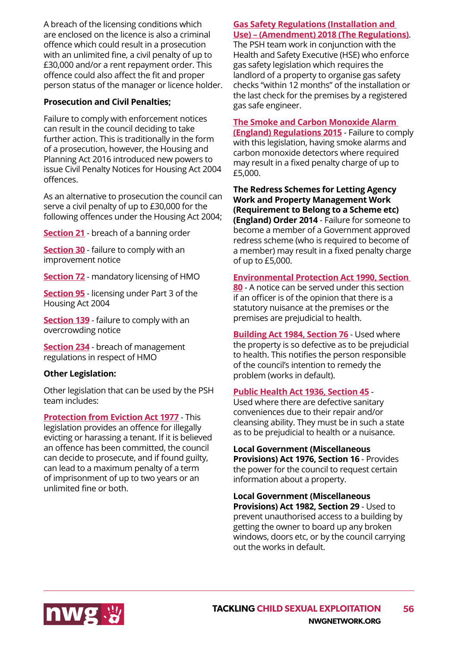A breach of the licensing conditions which are enclosed on the licence is also a criminal offence which could result in a prosecution with an unlimited fine, a civil penalty of up to £30,000 and/or a rent repayment order. This offence could also affect the fit and proper person status of the manager or licence holder.

### **Prosecution and Civil Penalties;**

Failure to comply with enforcement notices can result in the council deciding to take further action. This is traditionally in the form of a prosecution, however, the Housing and Planning Act 2016 introduced new powers to issue Civil Penalty Notices for Housing Act 2004 offences.

As an alternative to prosecution the council can serve a civil penalty of up to £30,000 for the following offences under the Housing Act 2004;

**[Section 21](http://www.legislation.gov.uk/ukpga/2004/34/section/21)** - breach of a banning order

**[Section 30](http://www.legislation.gov.uk/ukpga/2004/34/section/30)** - failure to comply with an improvement notice

**[Section 72](http://www.legislation.gov.uk/ukpga/2004/34/section/72)** - mandatory licensing of HMO

**[Section 95](http://www.legislation.gov.uk/ukpga/2004/34/section/95)** - licensing under Part 3 of the Housing Act 2004

**[Section 139](http://www.legislation.gov.uk/ukpga/2004/34/section/139)** - failure to comply with an overcrowding notice

**[Section 234](http://www.legislation.gov.uk/ukpga/2004/34/section/234)** - breach of management regulations in respect of HMO

#### **Other Legislation:**

Other legislation that can be used by the PSH team includes:

**[Protection from Eviction Act 1977](http://www.legislation.gov.uk/ukpga/1977/43)** - This legislation provides an offence for illegally evicting or harassing a tenant. If it is believed an offence has been committed, the council can decide to prosecute, and if found guilty, can lead to a maximum penalty of a term of imprisonment of up to two years or an unlimited fine or both.

#### **[Gas Safety Regulations \(Installation and](http://www.hse.gov.uk/pubns/books/l56.htm)  [Use\) – \(Amendment\) 2018 \(The Regulations\)](http://www.hse.gov.uk/pubns/books/l56.htm)**.

The PSH team work in conjunction with the Health and Safety Executive (HSE) who enforce gas safety legislation which requires the landlord of a property to organise gas safety checks "within 12 months" of the installation or the last check for the premises by a registered gas safe engineer.

**[The Smoke and Carbon Monoxide Alarm](https://www.legislation.gov.uk/ukdsi/2015/9780111133439/contents)  [\(England\) Regulations 2015](https://www.legislation.gov.uk/ukdsi/2015/9780111133439/contents)** - Failure to comply with this legislation, having smoke alarms and carbon monoxide detectors where required may result in a fixed penalty charge of up to £5,000.

**The Redress Schemes for Letting Agency Work and Property Management Work (Requirement to Belong to a Scheme etc) (England) Order 2014** - Failure for someone to become a member of a Government approved redress scheme (who is required to become of a member) may result in a fixed penalty charge of up to £5,000.

**[Environmental Protection Act 1990, Section](https://www.legislation.gov.uk/ukpga/1990/43/section/80)  [80](https://www.legislation.gov.uk/ukpga/1990/43/section/80)** - A notice can be served under this section

if an officer is of the opinion that there is a statutory nuisance at the premises or the premises are prejudicial to health.

**[Building Act 1984, Section 76](https://www.legislation.gov.uk/ukpga/1984/55/section/76)** - Used where the property is so defective as to be prejudicial to health. This notifies the person responsible of the council's intention to remedy the problem (works in default).

#### **[Public Health Act 1936, Section 45](https://www.legislation.gov.uk/ukpga/Geo5and1Edw8/26/49/section/45)** -

Used where there are defective sanitary conveniences due to their repair and/or cleansing ability. They must be in such a state as to be prejudicial to health or a nuisance.

**Local Government (Miscellaneous Provisions) Act 1976, Section 16** - Provides the power for the council to request certain information about a property.

**Local Government (Miscellaneous Provisions) Act 1982, Section 29** - Used to prevent unauthorised access to a building by getting the owner to board up any broken windows, doors etc, or by the council carrying out the works in default.

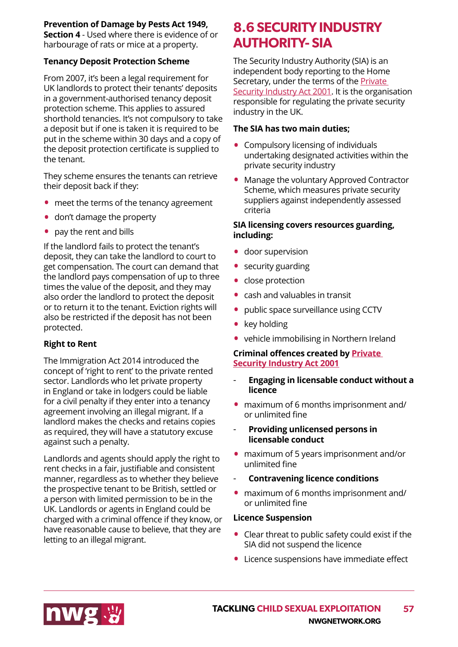### <span id="page-56-0"></span>**Prevention of Damage by Pests Act 1949,**

**Section 4** - Used where there is evidence of or harbourage of rats or mice at a property.

### **Tenancy Deposit Protection Scheme**

From 2007, it's been a legal requirement for UK landlords to protect their tenants' deposits in a government-authorised tenancy deposit protection scheme. This applies to assured shorthold tenancies. It's not compulsory to take a deposit but if one is taken it is required to be put in the scheme within 30 days and a copy of the deposit protection certificate is supplied to the tenant.

They scheme ensures the tenants can retrieve their deposit back if they:

- meet the terms of the tenancy agreement
- don't damage the property
- pay the rent and bills

If the landlord fails to protect the tenant's deposit, they can take the landlord to court to get compensation. The court can demand that the landlord pays compensation of up to three times the value of the deposit, and they may also order the landlord to protect the deposit or to return it to the tenant. Eviction rights will also be restricted if the deposit has not been protected.

### **Right to Rent**

The Immigration Act 2014 introduced the concept of 'right to rent' to the private rented sector. Landlords who let private property in England or take in lodgers could be liable for a civil penalty if they enter into a tenancy agreement involving an illegal migrant. If a landlord makes the checks and retains copies as required, they will have a statutory excuse against such a penalty.

Landlords and agents should apply the right to rent checks in a fair, justifiable and consistent manner, regardless as to whether they believe the prospective tenant to be British, settled or a person with limited permission to be in the UK. Landlords or agents in England could be charged with a criminal offence if they know, or have reasonable cause to believe, that they are letting to an illegal migrant.

# **8.6 SECURITY INDUSTRY AUTHORITY- SIA**

The Security Industry Authority (SIA) is an independent body reporting to the Home Secretary, under the terms of the [Private](https://www.legislation.gov.uk/ukpga/2001/12/contents)  [Security Industry Act 2001.](https://www.legislation.gov.uk/ukpga/2001/12/contents) It is the organisation responsible for regulating the private security industry in the UK.

### **The SIA has two main duties;**

- Compulsory licensing of individuals undertaking designated activities within the private security industry
- Manage the voluntary Approved Contractor Scheme, which measures private security suppliers against independently assessed criteria

#### **SIA licensing covers resources guarding, including:**

- door supervision
- security guarding
- close protection
- cash and valuables in transit
- public space surveillance using CCTV
- key holding
- vehicle immobilising in Northern Ireland

#### **Criminal offences created by [Private](https://www.legislation.gov.uk/ukpga/2001/12/contents)  [Security Industry Act 2001](https://www.legislation.gov.uk/ukpga/2001/12/contents)**

- **Engaging in licensable conduct without a licence**
- maximum of 6 months imprisonment and/ or unlimited fine
- **Providing unlicensed persons in licensable conduct**
- maximum of 5 years imprisonment and/or unlimited fine
- **Contravening licence conditions**
- maximum of 6 months imprisonment and/ or unlimited fine

#### **Licence Suspension**

- Clear threat to public safety could exist if the SIA did not suspend the licence
- Licence suspensions have immediate effect

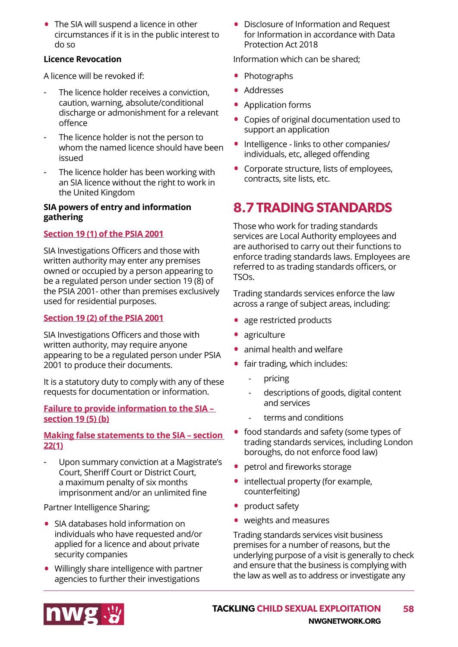<span id="page-57-0"></span>• The SIA will suspend a licence in other circumstances if it is in the public interest to do so

### **Licence Revocation**

A licence will be revoked if:

- The licence holder receives a conviction, caution, warning, absolute/conditional discharge or admonishment for a relevant offence
- The licence holder is not the person to whom the named licence should have been issued
- The licence holder has been working with an SIA licence without the right to work in the United Kingdom

#### **SIA powers of entry and information gathering**

### **[Section 19 \(1\) of the PSIA 2001](https://www.legislation.gov.uk/ukpga/2001/12/section/19)**

SIA Investigations Officers and those with written authority may enter any premises owned or occupied by a person appearing to be a regulated person under section 19 (8) of the PSIA 2001- other than premises exclusively used for residential purposes.

### **[Section 19 \(2\) of the PSIA 2001](https://www.legislation.gov.uk/ukpga/2001/12/section/19)**

SIA Investigations Officers and those with written authority, may require anyone appearing to be a regulated person under PSIA 2001 to produce their documents.

It is a statutory duty to comply with any of these requests for documentation or information.

#### **[Failure to provide information to the SIA –](https://www.legislation.gov.uk/ukpga/2001/12/section/19)  [section 19 \(5\) \(b\)](https://www.legislation.gov.uk/ukpga/2001/12/section/19)**

#### **[Making false statements to the SIA – section](https://www.legislation.gov.uk/ukpga/2001/12/section/22)  [22\(1\)](https://www.legislation.gov.uk/ukpga/2001/12/section/22)**

Upon summary conviction at a Magistrate's Court, Sheriff Court or District Court, a maximum penalty of six months imprisonment and/or an unlimited fine

Partner Intelligence Sharing;

- SIA databases hold information on individuals who have requested and/or applied for a licence and about private security companies
- Willingly share intelligence with partner agencies to further their investigations

• Disclosure of Information and Request for Information in accordance with Data Protection Act 2018

Information which can be shared;

- Photographs
- Addresses
- Application forms
- Copies of original documentation used to support an application
- Intelligence links to other companies/ individuals, etc, alleged offending
- Corporate structure, lists of employees, contracts, site lists, etc.

# **8.7 TRADING STANDARDS**

Those who work for trading standards services are Local Authority employees and are authorised to carry out their functions to enforce trading standards laws. Employees are referred to as trading standards officers, or TSOs.

Trading standards services enforce the law across a range of subject areas, including:

- age restricted products
- agriculture
- animal health and welfare
- fair trading, which includes:
	- pricing
	- descriptions of goods, digital content and services
	- terms and conditions
- food standards and safety (some types of trading standards services, including London boroughs, do not enforce food law)
- petrol and fireworks storage
- intellectual property (for example, counterfeiting)
- product safety
- weights and measures

Trading standards services visit business premises for a number of reasons, but the underlying purpose of a visit is generally to check and ensure that the business is complying with the law as well as to address or investigate any

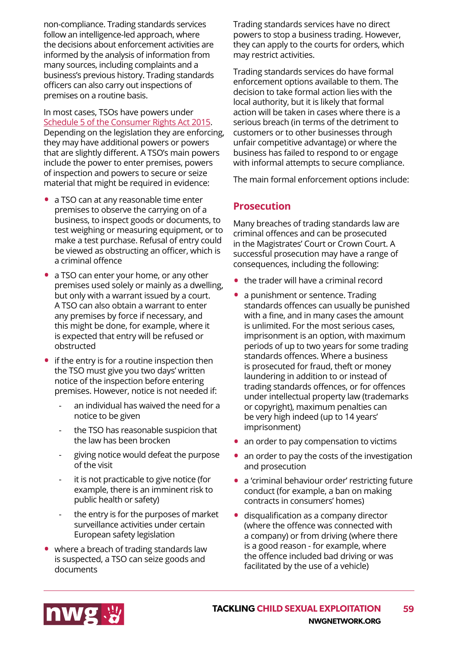non-compliance. Trading standards services follow an intelligence-led approach, where the decisions about enforcement activities are informed by the analysis of information from many sources, including complaints and a business's previous history. Trading standards officers can also carry out inspections of premises on a routine basis.

In most cases, TSOs have powers under [Schedule 5 of the Consumer Rights Act 2015.](http://www.legislation.gov.uk/ukpga/2015/15/schedule/5/enacted) Depending on the legislation they are enforcing, they may have additional powers or powers that are slightly different. A TSO's main powers include the power to enter premises, powers of inspection and powers to secure or seize material that might be required in evidence:

- a TSO can at any reasonable time enter premises to observe the carrying on of a business, to inspect goods or documents, to test weighing or measuring equipment, or to make a test purchase. Refusal of entry could be viewed as obstructing an officer, which is a criminal offence
- a TSO can enter your home, or any other premises used solely or mainly as a dwelling, but only with a warrant issued by a court. A TSO can also obtain a warrant to enter any premises by force if necessary, and this might be done, for example, where it is expected that entry will be refused or obstructed
- if the entry is for a routine inspection then the TSO must give you two days' written notice of the inspection before entering premises. However, notice is not needed if:
	- an individual has waived the need for a notice to be given
	- the TSO has reasonable suspicion that the law has been brocken
	- giving notice would defeat the purpose of the visit
	- it is not practicable to give notice (for example, there is an imminent risk to public health or safety)
	- the entry is for the purposes of market surveillance activities under certain European safety legislation
- where a breach of trading standards law is suspected, a TSO can seize goods and documents

Trading standards services have no direct powers to stop a business trading. However, they can apply to the courts for orders, which may restrict activities.

Trading standards services do have formal enforcement options available to them. The decision to take formal action lies with the local authority, but it is likely that formal action will be taken in cases where there is a serious breach (in terms of the detriment to customers or to other businesses through unfair competitive advantage) or where the business has failed to respond to or engage with informal attempts to secure compliance.

The main formal enforcement options include:

## **Prosecution**

Many breaches of trading standards law are criminal offences and can be prosecuted in the Magistrates' Court or Crown Court. A successful prosecution may have a range of consequences, including the following:

- the trader will have a criminal record
- a punishment or sentence. Trading standards offences can usually be punished with a fine, and in many cases the amount is unlimited. For the most serious cases, imprisonment is an option, with maximum periods of up to two years for some trading standards offences. Where a business is prosecuted for fraud, theft or money laundering in addition to or instead of trading standards offences, or for offences under intellectual property law (trademarks or copyright), maximum penalties can be very high indeed (up to 14 years' imprisonment)
- an order to pay compensation to victims
- an order to pay the costs of the investigation and prosecution
- a 'criminal behaviour order' restricting future conduct (for example, a ban on making contracts in consumers' homes)
- disqualification as a company director (where the offence was connected with a company) or from driving (where there is a good reason - for example, where the offence included bad driving or was facilitated by the use of a vehicle)

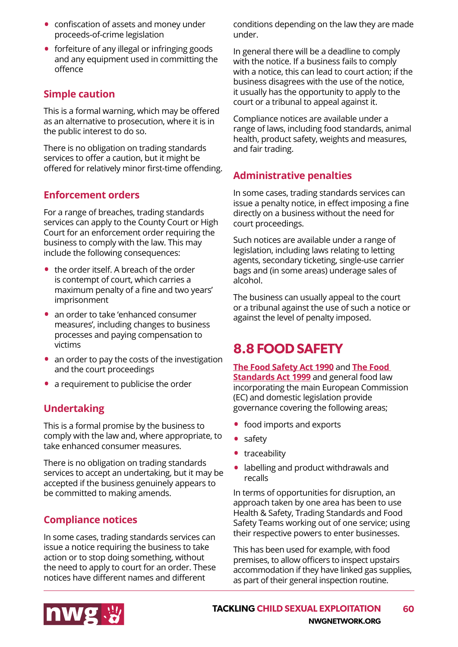- <span id="page-59-0"></span>• confiscation of assets and money under proceeds-of-crime legislation
- forfeiture of any illegal or infringing goods and any equipment used in committing the offence

## **Simple caution**

This is a formal warning, which may be offered as an alternative to prosecution, where it is in the public interest to do so.

There is no obligation on trading standards services to offer a caution, but it might be offered for relatively minor first-time offending.

# **Enforcement orders**

For a range of breaches, trading standards services can apply to the County Court or High Court for an enforcement order requiring the business to comply with the law. This may include the following consequences:

- the order itself. A breach of the order is contempt of court, which carries a maximum penalty of a fine and two years' imprisonment
- an order to take 'enhanced consumer measures', including changes to business processes and paying compensation to victims
- an order to pay the costs of the investigation and the court proceedings
- a requirement to publicise the order

# **Undertaking**

This is a formal promise by the business to comply with the law and, where appropriate, to take enhanced consumer measures.

There is no obligation on trading standards services to accept an undertaking, but it may be accepted if the business genuinely appears to be committed to making amends.

### **Compliance notices**

In some cases, trading standards services can issue a notice requiring the business to take action or to stop doing something, without the need to apply to court for an order. These notices have different names and different

conditions depending on the law they are made under.

In general there will be a deadline to comply with the notice. If a business fails to comply with a notice, this can lead to court action; if the business disagrees with the use of the notice, it usually has the opportunity to apply to the court or a tribunal to appeal against it.

Compliance notices are available under a range of laws, including food standards, animal health, product safety, weights and measures, and fair trading.

# **Administrative penalties**

In some cases, trading standards services can issue a penalty notice, in effect imposing a fine directly on a business without the need for court proceedings.

Such notices are available under a range of legislation, including laws relating to letting agents, secondary ticketing, single-use carrier bags and (in some areas) underage sales of alcohol.

The business can usually appeal to the court or a tribunal against the use of such a notice or against the level of penalty imposed.

# **8.8 FOOD SAFETY**

#### **[The Food Safety Act 1990](https://www.legislation.gov.uk/ukpga/1990/16/contents)** and **[The Food](https://www.legislation.gov.uk/ukpga/1999/28/contents)**

**[Standards Act 1999](https://www.legislation.gov.uk/ukpga/1999/28/contents)** and general food law incorporating the main European Commission (EC) and domestic legislation provide governance covering the following areas;

- food imports and exports
- safety
- traceability
- labelling and product withdrawals and recalls

In terms of opportunities for disruption, an approach taken by one area has been to use Health & Safety, Trading Standards and Food Safety Teams working out of one service; using their respective powers to enter businesses.

This has been used for example, with food premises, to allow officers to inspect upstairs accommodation if they have linked gas supplies, as part of their general inspection routine.

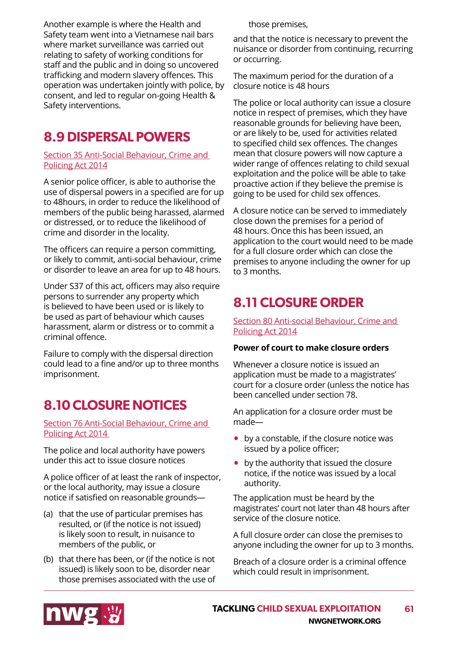<span id="page-60-0"></span>Another example is where the Health and Safety team went into a Vietnamese nail bars where market surveillance was carried out relating to safety of working conditions for staff and the public and in doing so uncovered trafficking and modern slavery offences. This operation was undertaken jointly with police, by consent, and led to regular on-going Health & Safety interventions.

# **8.9 DISPERSAL POWERS**

#### [Section 35 Anti-Social Behaviour, Crime and](http://www.legislation.gov.uk/ukpga/2014/12/section/35/enacted)  [Policing Act 2014](http://www.legislation.gov.uk/ukpga/2014/12/section/35/enacted)

A senior police officer, is able to authorise the use of dispersal powers in a specified are for up to 48hours, in order to reduce the likelihood of members of the public being harassed, alarmed or distressed, or to reduce the likelihood of crime and disorder in the locality.

The officers can require a person committing, or likely to commit, anti-social behaviour, crime or disorder to leave an area for up to 48 hours.

Under S37 of this act, officers may also require persons to surrender any property which is believed to have been used or is likely to be used as part of behaviour which causes harassment, alarm or distress or to commit a criminal offence.

Failure to comply with the dispersal direction could lead to a fine and/or up to three months imprisonment.

# **8.10 CLOSURE NOTICES**

[Section 76 Anti-Social Behaviour, Crime and](http://www.legislation.gov.uk/ukpga/2014/12/part/4/chapter/3/enacted)  [Policing Act 2014](http://www.legislation.gov.uk/ukpga/2014/12/part/4/chapter/3/enacted) 

The police and local authority have powers under this act to issue closure notices

A police officer of at least the rank of inspector, or the local authority, may issue a closure notice if satisfied on reasonable grounds—

- (a) that the use of particular premises has resulted, or (if the notice is not issued) is likely soon to result, in nuisance to members of the public, or
- (b) that there has been, or (if the notice is not issued) is likely soon to be, disorder near those premises associated with the use of

those premises,

and that the notice is necessary to prevent the nuisance or disorder from continuing, recurring or occurring.

The maximum period for the duration of a closure notice is 48 hours

The police or local authority can issue a closure notice in respect of premises, which they have reasonable grounds for believing have been, or are likely to be, used for activities related to specified child sex offences. The changes mean that closure powers will now capture a wider range of offences relating to child sexual exploitation and the police will be able to take proactive action if they believe the premise is going to be used for child sex offences.

A closure notice can be served to immediately close down the premises for a period of 48 hours. Once this has been issued, an application to the court would need to be made for a full closure order which can close the premises to anyone including the owner for up to 3 months.

# **8.11 CLOSURE ORDER**

Section 80 Anti-social Behaviour, Crime and [Policing Act 2014](http://www.legislation.gov.uk/ukpga/2014/12/section/80/enacted)

#### **Power of court to make closure orders**

Whenever a closure notice is issued an application must be made to a magistrates' court for a closure order (unless the notice has been cancelled under section 78.

An application for a closure order must be made—

- by a constable, if the closure notice was issued by a police officer;
- by the authority that issued the closure notice, if the notice was issued by a local authority.

The application must be heard by the magistrates' court not later than 48 hours after service of the closure notice.

A full closure order can close the premises to anyone including the owner for up to 3 months.

Breach of a closure order is a criminal offence which could result in imprisonment.

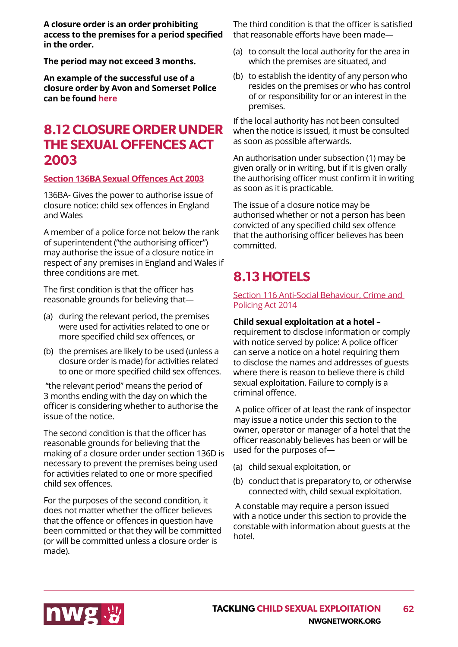<span id="page-61-0"></span>**A closure order is an order prohibiting access to the premises for a period specified in the order.**

**The period may not exceed 3 months.** 

**An example of the successful use of a closure order by Avon and Somerset Police can be found [here](https://www.avonandsomerset.police.uk/news/2019/03/partial-closure-order-granted-to-help-protect-cuckooing-victim/)**

# **8.12 CLOSURE ORDER UNDER THE SEXUAL OFFENCES ACT 2003**

#### **[Section 136BA Sexual Offences Act 2003](https://www.legislation.gov.uk/ukpga/2003/42/section/136BA)**

136BA- Gives the power to authorise issue of closure notice: child sex offences in England and Wales

A member of a police force not below the rank of superintendent ("the authorising officer") may authorise the issue of a closure notice in respect of any premises in England and Wales if three conditions are met.

The first condition is that the officer has reasonable grounds for believing that—

- (a) during the relevant period, the premises were used for activities related to one or more specified child sex offences, or
- (b) the premises are likely to be used (unless a closure order is made) for activities related to one or more specified child sex offences.

 "the relevant period" means the period of 3 months ending with the day on which the officer is considering whether to authorise the issue of the notice.

The second condition is that the officer has reasonable grounds for believing that the making of a closure order under section 136D is necessary to prevent the premises being used for activities related to one or more specified child sex offences.

For the purposes of the second condition, it does not matter whether the officer believes that the offence or offences in question have been committed or that they will be committed (or will be committed unless a closure order is made).

The third condition is that the officer is satisfied that reasonable efforts have been made—

- (a) to consult the local authority for the area in which the premises are situated, and
- (b) to establish the identity of any person who resides on the premises or who has control of or responsibility for or an interest in the premises.

If the local authority has not been consulted when the notice is issued, it must be consulted as soon as possible afterwards.

An authorisation under subsection (1) may be given orally or in writing, but if it is given orally the authorising officer must confirm it in writing as soon as it is practicable.

The issue of a closure notice may be authorised whether or not a person has been convicted of any specified child sex offence that the authorising officer believes has been committed.

# **8.13 HOTELS**

[Section 116 Anti-Social Behaviour, Crime and](http://www.legislation.gov.uk/ukpga/2014/12/part/9/crossheading/child-sexual-exploitation-at-hotels/enacted)  [Policing Act 2014](http://www.legislation.gov.uk/ukpga/2014/12/part/9/crossheading/child-sexual-exploitation-at-hotels/enacted) 

#### **Child sexual exploitation at a hotel** –

requirement to disclose information or comply with notice served by police: A police officer can serve a notice on a hotel requiring them to disclose the names and addresses of guests where there is reason to believe there is child sexual exploitation. Failure to comply is a criminal offence.

 A police officer of at least the rank of inspector may issue a notice under this section to the owner, operator or manager of a hotel that the officer reasonably believes has been or will be used for the purposes of—

- (a) child sexual exploitation, or
- (b) conduct that is preparatory to, or otherwise connected with, child sexual exploitation.

 A constable may require a person issued with a notice under this section to provide the constable with information about guests at the hotel.

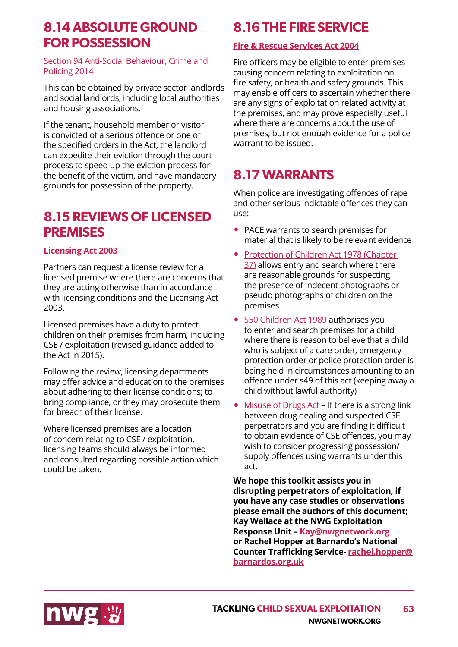# <span id="page-62-0"></span>**8.14 ABSOLUTE GROUND FOR POSSESSION**

[Section 94 Anti-Social Behaviour, Crime and](http://www.legislation.gov.uk/ukpga/2014/12/section/94/enacted)  [Policing 2014](http://www.legislation.gov.uk/ukpga/2014/12/section/94/enacted)

This can be obtained by private sector landlords and social landlords, including local authorities and housing associations.

If the tenant, household member or visitor is convicted of a serious offence or one of the specified orders in the Act, the landlord can expedite their eviction through the court process to speed up the eviction process for the benefit of the victim, and have mandatory grounds for possession of the property.

# **8.15 REVIEWS OF LICENSED PREMISES**

### **[Licensing Act 2003](http://www.legislation.gov.uk/ukpga/2003/17/contents)**

Partners can request a license review for a licensed premise where there are concerns that they are acting otherwise than in accordance with licensing conditions and the Licensing Act 2003.

Licensed premises have a duty to protect children on their premises from harm, including CSE / exploitation (revised guidance added to the Act in 2015).

Following the review, licensing departments may offer advice and education to the premises about adhering to their license conditions; to bring compliance, or they may prosecute them for breach of their license.

Where licensed premises are a location of concern relating to CSE / exploitation, licensing teams should always be informed and consulted regarding possible action which could be taken.

# **8.16 THE FIRE SERVICE**

### **[Fire & Rescue Services Act 2004](https://www.legislation.gov.uk/ukpga/2004/21/contents)**

Fire officers may be eligible to enter premises causing concern relating to exploitation on fire safety, or health and safety grounds. This may enable officers to ascertain whether there are any signs of exploitation related activity at the premises, and may prove especially useful where there are concerns about the use of premises, but not enough evidence for a police warrant to be issued.

# **8.17 WARRANTS**

When police are investigating offences of rape and other serious indictable offences they can use:

- PACE warrants to search premises for material that is likely to be relevant evidence
- Protection of Children Act 1978 (Chapter [37\)](http://www.legislation.gov.uk/ukpga/1978/37) allows entry and search where there are reasonable grounds for suspecting the presence of indecent photographs or pseudo photographs of children on the premises
- [S50 Children Act 1989](http://www.legislation.gov.uk/ukpga/1989/41/section/50) authorises you to enter and search premises for a child where there is reason to believe that a child who is subject of a care order, emergency protection order or police protection order is being held in circumstances amounting to an offence under s49 of this act (keeping away a child without lawful authority)
- [Misuse of Drugs Act](http://www.legislation.gov.uk/ukpga/1971/38/contents) If there is a strong link between drug dealing and suspected CSE perpetrators and you are finding it difficult to obtain evidence of CSE offences, you may wish to consider progressing possession/ supply offences using warrants under this act.

**We hope this toolkit assists you in disrupting perpetrators of exploitation, if you have any case studies or observations please email the authors of this document; Kay Wallace at the NWG Exploitation Response Unit – [Kay@nwgnetwork.org](mailto:Kay@nwgnetwork.org) or Rachel Hopper at Barnardo's National Counter Trafficking Service- [rachel.hopper@](mailto:rachel.hopper@barnardos.org.uk) [barnardos.org.uk](mailto:rachel.hopper@barnardos.org.uk)**